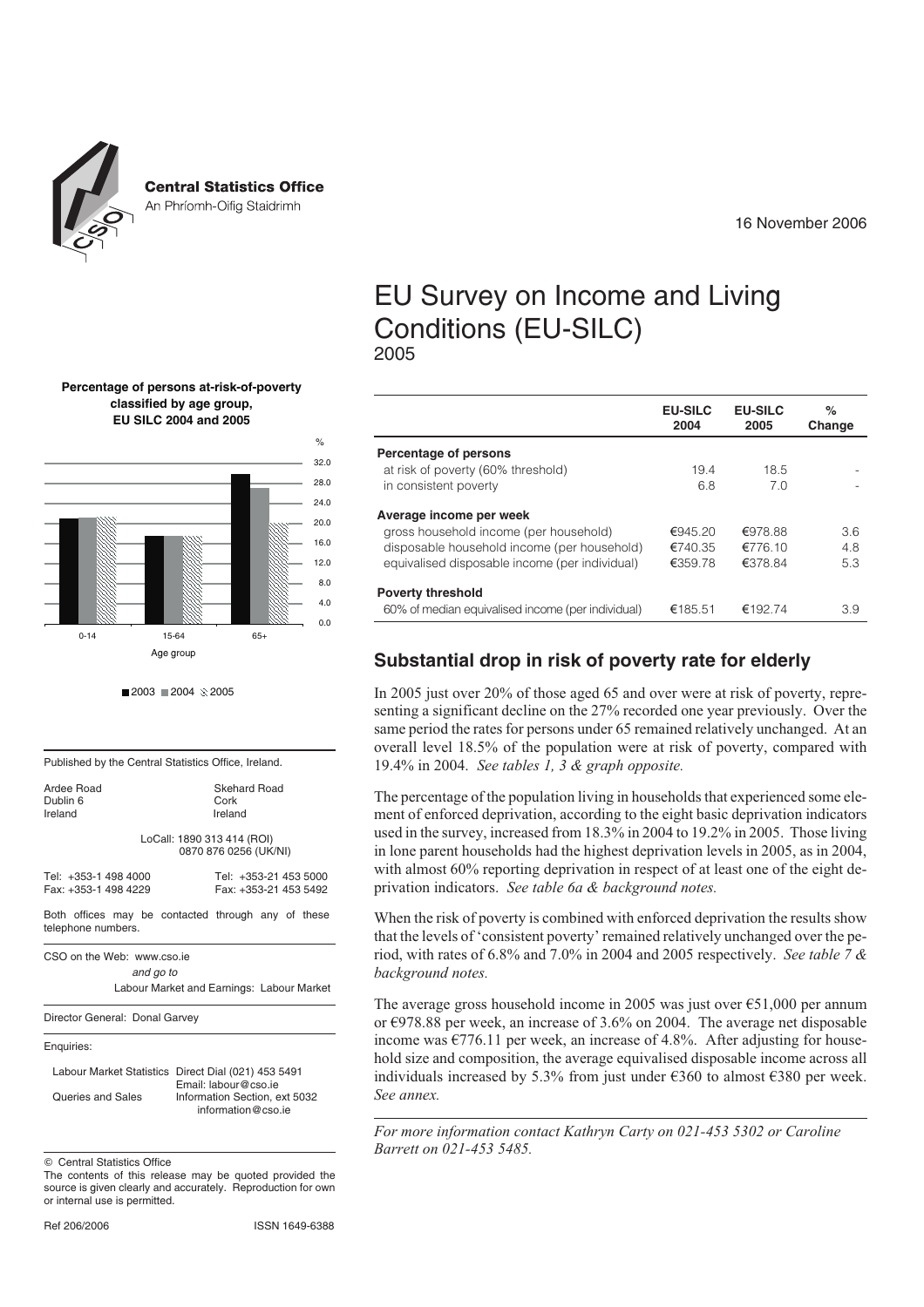

**Central Statistics Office** 

An Phríomh-Oifig Staidrimh

16 November 2006

# EU Survey on Income and Living Conditions (EU-SILC) 2005

|                                                   | <b>EU-SILC</b><br>2004 | <b>EU-SILC</b><br>2005 | ℅<br>Change |
|---------------------------------------------------|------------------------|------------------------|-------------|
| Percentage of persons                             |                        |                        |             |
| at risk of poverty (60% threshold)                | 19.4                   | 18.5                   |             |
| in consistent poverty                             | 6.8                    | 7.0                    |             |
| Average income per week                           |                        |                        |             |
| gross household income (per household)            | €945.20                | €978.88                | 3.6         |
| disposable household income (per household)       | €740.35                | €776.10                | 4.8         |
| equivalised disposable income (per individual)    | €359.78                | €378.84                | 5.3         |
| <b>Poverty threshold</b>                          |                        |                        |             |
| 60% of median equivalised income (per individual) | €185.51                | €192.74                | 3.9         |

# **Substantial drop in risk of poverty rate for elderly**

In 2005 just over 20% of those aged 65 and over were at risk of poverty, representing a significant decline on the 27% recorded one year previously. Over the same period the rates for persons under 65 remained relatively unchanged. At an overall level 18.5% of the population were at risk of poverty, compared with 19.4% in 2004. *See tables 1, 3 & graph opposite.*

The percentage of the population living in households that experienced some element of enforced deprivation, according to the eight basic deprivation indicators used in the survey, increased from 18.3% in 2004 to 19.2% in 2005. Those living in lone parent households had the highest deprivation levels in 2005, as in 2004, with almost 60% reporting deprivation in respect of at least one of the eight deprivation indicators. *See table 6a & background notes.*

When the risk of poverty is combined with enforced deprivation the results show that the levels of 'consistent poverty' remained relatively unchanged over the period, with rates of 6.8% and 7.0% in 2004 and 2005 respectively. *See table 7 & background notes.*

The average gross household income in 2005 was just over  $\epsilon$ 51,000 per annum or €978.88 per week, an increase of 3.6% on 2004. The average net disposable income was  $\epsilon$ 776.11 per week, an increase of 4.8%. After adjusting for household size and composition, the average equivalised disposable income across all individuals increased by 5.3% from just under  $\epsilon$ 360 to almost  $\epsilon$ 380 per week. *See annex.*

*For more information contact Kathryn Carty on 021-453 5302 or Caroline Barrett on 021-453 5485.*

#### **Percentage of persons at-risk-of-poverty classified by age group, EU SILC 2004 and 2005**



 $2003 = 2004 \times 2005$ 

Published by the Central Statistics Office, Ireland.

| Ardee Road<br>Dublin 6<br>Ireland            | Skehard Road<br>Cork<br>Ireland                     |
|----------------------------------------------|-----------------------------------------------------|
|                                              | LoCall: 1890 313 414 (ROI)<br>0870 876 0256 (UK/NI) |
| Tel: +353-1 498 4000<br>Fax: +353-1 498 4229 | Tel: +353-21 453 5000<br>Fax: +353-21 453 5492      |
| telephone numbers.                           | Both offices may be contacted through any of these  |
|                                              |                                                     |

CSO on the Web: www.cso.ie *and go to* Labour Market and Earnings: Labour Market

Director General: Donal Garvey

Enquiries:

|                   | Labour Market Statistics Direct Dial (021) 453 5491 |
|-------------------|-----------------------------------------------------|
|                   | Email: labour@cso.ie                                |
| Queries and Sales | Information Section, ext 5032                       |
|                   | information@cso.ie                                  |

© Central Statistics Office

The contents of this release may be quoted provided the source is given clearly and accurately. Reproduction for own or internal use is permitted.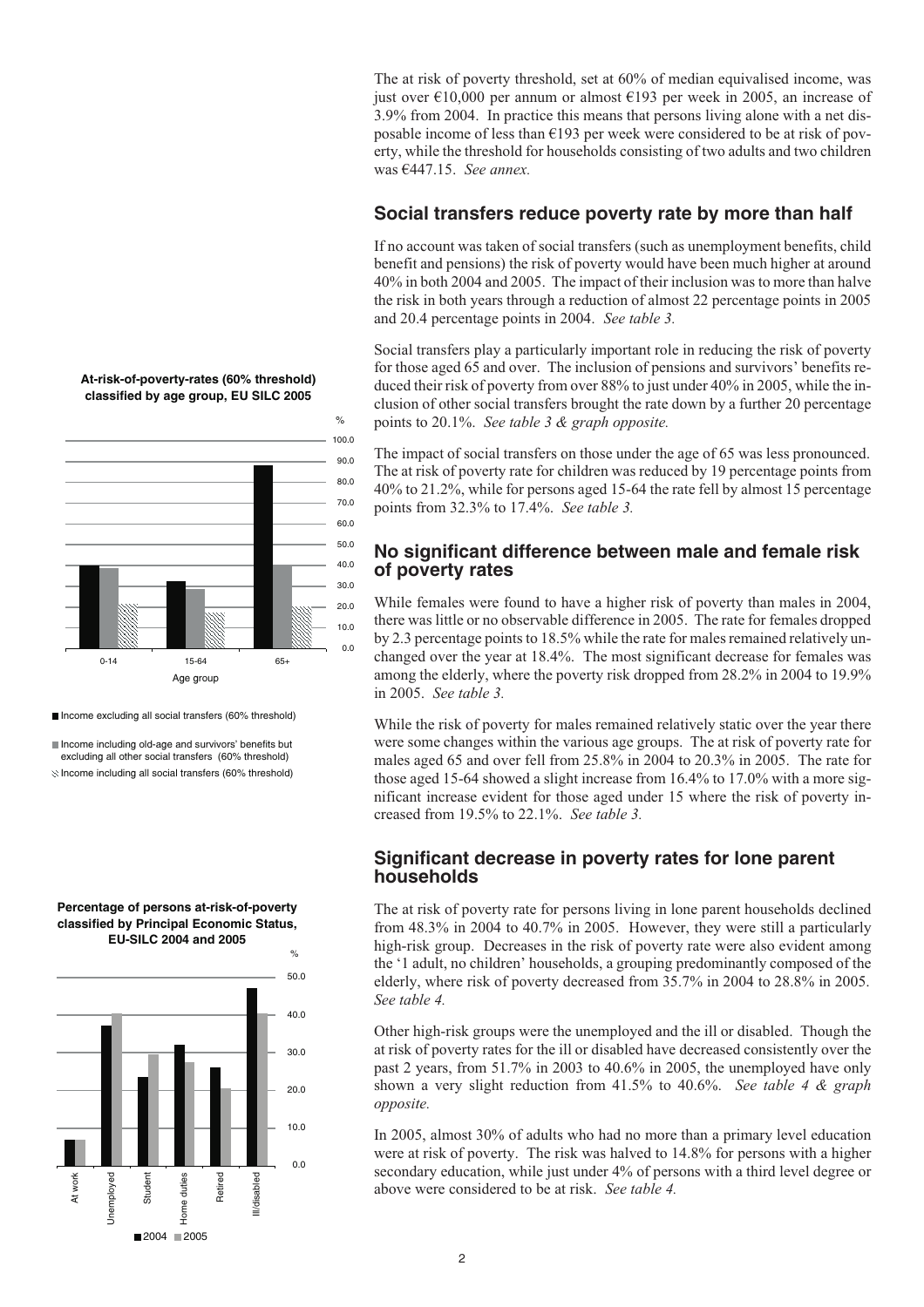The at risk of poverty threshold, set at 60% of median equivalised income, was just over €10,000 per annum or almost €193 per week in 2005, an increase of 3.9% from 2004. In practice this means that persons living alone with a net disposable income of less than  $\epsilon$ 193 per week were considered to be at risk of poverty, while the threshold for households consisting of two adults and two children was €447.15. *See annex.*

#### **Social transfers reduce poverty rate by more than half**

If no account was taken of social transfers (such as unemployment benefits, child benefit and pensions) the risk of poverty would have been much higher at around 40% in both 2004 and 2005. The impact of their inclusion was to more than halve the risk in both years through a reduction of almost 22 percentage points in 2005 and 20.4 percentage points in 2004. *See table 3.*

Social transfers play a particularly important role in reducing the risk of poverty for those aged 65 and over. The inclusion of pensions and survivors' benefits reduced their risk of poverty from over 88% to just under 40% in 2005, while the inclusion of other social transfers brought the rate down by a further 20 percentage points to 20.1%. *See table 3 & graph opposite.*

The impact of social transfers on those under the age of 65 was less pronounced. The at risk of poverty rate for children was reduced by 19 percentage points from 40% to 21.2%, while for persons aged 15-64 the rate fell by almost 15 percentage points from 32.3% to 17.4%. *See table 3.*

#### **No significant difference between male and female risk of poverty rates**

While females were found to have a higher risk of poverty than males in 2004, there was little or no observable difference in 2005. The rate for females dropped by 2.3 percentage points to 18.5% while the rate for males remained relatively unchanged over the year at 18.4%. The most significant decrease for females was among the elderly, where the poverty risk dropped from 28.2% in 2004 to 19.9% in 2005. *See table 3.*

While the risk of poverty for males remained relatively static over the year there were some changes within the various age groups. The at risk of poverty rate for males aged 65 and over fell from 25.8% in 2004 to 20.3% in 2005. The rate for those aged 15-64 showed a slight increase from 16.4% to 17.0% with a more significant increase evident for those aged under 15 where the risk of poverty increased from 19.5% to 22.1%. *See table 3.*

### **Significant decrease in poverty rates for lone parent households**

The at risk of poverty rate for persons living in lone parent households declined from 48.3% in 2004 to 40.7% in 2005. However, they were still a particularly high-risk group. Decreases in the risk of poverty rate were also evident among the '1 adult, no children' households, a grouping predominantly composed of the elderly, where risk of poverty decreased from 35.7% in 2004 to 28.8% in 2005. *See table 4.*

Other high-risk groups were the unemployed and the ill or disabled. Though the at risk of poverty rates for the ill or disabled have decreased consistently over the past 2 years, from 51.7% in 2003 to 40.6% in 2005, the unemployed have only shown a very slight reduction from 41.5% to 40.6%. *See table 4 & graph opposite.*

In 2005, almost 30% of adults who had no more than a primary level education were at risk of poverty. The risk was halved to 14.8% for persons with a higher secondary education, while just under 4% of persons with a third level degree or above were considered to be at risk. *See table 4.*



**At-risk-of-poverty-rates (60% threshold)**

■ Income excluding all social transfers (60% threshold)

Income including old-age and survivors' benefits but excluding all other social transfers (60% threshold)  $\otimes$  Income including all social transfers (60% threshold)



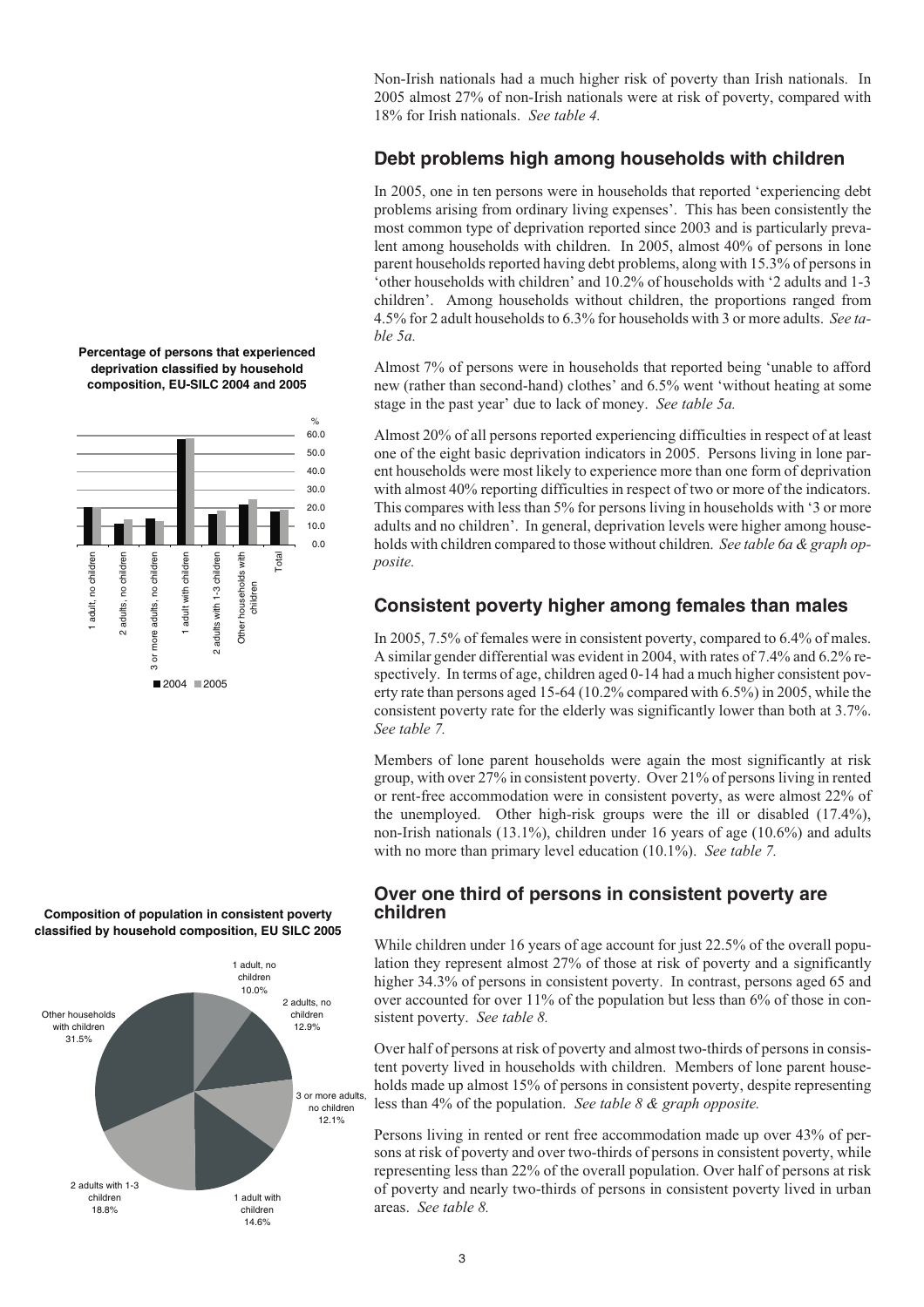60.0 Other households with adults, no children more adults, no children adult with children 2 adults with 1-3 children Total 1 adult, no children 2 adults, no children 3 or more adults, no children 1 adult with children 2 adults with 1-3 children Other households with adult, no children children  $\overline{5}$ ■2004 2005

**Composition of population in consistent poverty classified by household composition, EU SILC 2005**



Non-Irish nationals had a much higher risk of poverty than Irish nationals. In 2005 almost 27% of non-Irish nationals were at risk of poverty, compared with 18% for Irish nationals. *See table 4.*

# **Debt problems high among households with children**

In 2005, one in ten persons were in households that reported 'experiencing debt problems arising from ordinary living expenses'. This has been consistently the most common type of deprivation reported since 2003 and is particularly prevalent among households with children. In 2005, almost 40% of persons in lone parent households reported having debt problems, along with 15.3% of persons in 'other households with children' and 10.2% of households with '2 adults and 1-3 children'. Among households without children, the proportions ranged from 4.5% for 2 adult households to 6.3% for households with 3 or more adults. *See table 5a.*

Almost 7% of persons were in households that reported being 'unable to afford new (rather than second-hand) clothes' and 6.5% went 'without heating at some stage in the past year' due to lack of money. *See table 5a.*

Almost 20% of all persons reported experiencing difficulties in respect of at least one of the eight basic deprivation indicators in 2005. Persons living in lone parent households were most likely to experience more than one form of deprivation with almost 40% reporting difficulties in respect of two or more of the indicators. This compares with less than 5% for persons living in households with '3 or more adults and no children'. In general, deprivation levels were higher among households with children compared to those without children. *See table 6a & graph opposite.*

# **Consistent poverty higher among females than males**

In 2005, 7.5% of females were in consistent poverty, compared to 6.4% of males. A similar gender differential was evident in 2004, with rates of 7.4% and 6.2% respectively. In terms of age, children aged 0-14 had a much higher consistent poverty rate than persons aged 15-64 (10.2% compared with 6.5%) in 2005, while the consistent poverty rate for the elderly was significantly lower than both at 3.7%. *See table 7.*

Members of lone parent households were again the most significantly at risk group, with over 27% in consistent poverty. Over 21% of persons living in rented or rent-free accommodation were in consistent poverty, as were almost 22% of the unemployed. Other high-risk groups were the ill or disabled (17.4%), non-Irish nationals (13.1%), children under 16 years of age (10.6%) and adults with no more than primary level education (10.1%). *See table 7.*

## **Over one third of persons in consistent poverty are children**

While children under 16 years of age account for just 22.5% of the overall population they represent almost 27% of those at risk of poverty and a significantly higher 34.3% of persons in consistent poverty. In contrast, persons aged 65 and over accounted for over 11% of the population but less than 6% of those in consistent poverty. *See table 8.*

Over half of persons at risk of poverty and almost two-thirds of persons in consistent poverty lived in households with children. Members of lone parent households made up almost 15% of persons in consistent poverty, despite representing less than 4% of the population. *See table 8 & graph opposite.*

Persons living in rented or rent free accommodation made up over 43% of persons at risk of poverty and over two-thirds of persons in consistent poverty, while representing less than 22% of the overall population. Over half of persons at risk of poverty and nearly two-thirds of persons in consistent poverty lived in urban areas. *See table 8.*



 $\frac{1}{2}$ 

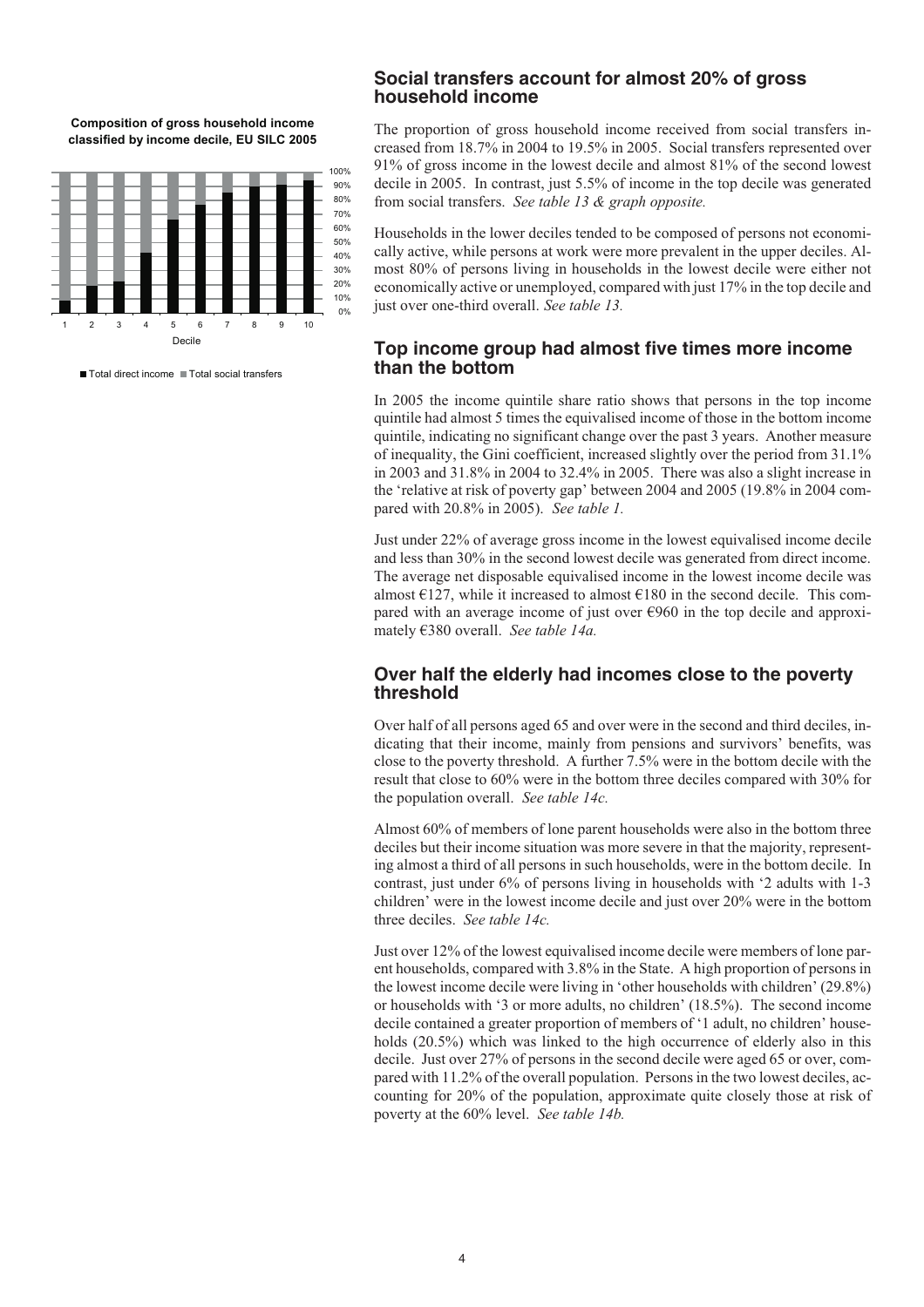**Composition of gross household income classified by income decile, EU SILC 2005**



Total direct income Total social transfers

#### **Social transfers account for almost 20% of gross household income**

The proportion of gross household income received from social transfers increased from 18.7% in 2004 to 19.5% in 2005. Social transfers represented over 91% of gross income in the lowest decile and almost 81% of the second lowest decile in 2005. In contrast, just 5.5% of income in the top decile was generated from social transfers. *See table 13 & graph opposite.*

Households in the lower deciles tended to be composed of persons not economically active, while persons at work were more prevalent in the upper deciles. Almost 80% of persons living in households in the lowest decile were either not economically active or unemployed, compared with just 17% in the top decile and just over one-third overall. *See table 13.*

### **Top income group had almost five times more income than the bottom**

In 2005 the income quintile share ratio shows that persons in the top income quintile had almost 5 times the equivalised income of those in the bottom income quintile, indicating no significant change over the past 3 years. Another measure of inequality, the Gini coefficient, increased slightly over the period from 31.1% in 2003 and 31.8% in 2004 to 32.4% in 2005. There was also a slight increase in the 'relative at risk of poverty gap' between 2004 and 2005 (19.8% in 2004 compared with 20.8% in 2005). *See table 1.*

Just under 22% of average gross income in the lowest equivalised income decile and less than 30% in the second lowest decile was generated from direct income. The average net disposable equivalised income in the lowest income decile was almost  $E127$ , while it increased to almost  $E180$  in the second decile. This compared with an average income of just over  $\epsilon$ 960 in the top decile and approximately €380 overall. *See table 14a.*

### **Over half the elderly had incomes close to the poverty threshold**

Over half of all persons aged 65 and over were in the second and third deciles, indicating that their income, mainly from pensions and survivors' benefits, was close to the poverty threshold. A further 7.5% were in the bottom decile with the result that close to 60% were in the bottom three deciles compared with 30% for the population overall. *See table 14c.*

Almost 60% of members of lone parent households were also in the bottom three deciles but their income situation was more severe in that the majority, representing almost a third of all persons in such households, were in the bottom decile. In contrast, just under 6% of persons living in households with '2 adults with 1-3 children' were in the lowest income decile and just over 20% were in the bottom three deciles. *See table 14c.*

Just over 12% of the lowest equivalised income decile were members of lone parent households, compared with 3.8% in the State. A high proportion of persons in the lowest income decile were living in 'other households with children' (29.8%) or households with '3 or more adults, no children' (18.5%). The second income decile contained a greater proportion of members of '1 adult, no children' households (20.5%) which was linked to the high occurrence of elderly also in this decile. Just over 27% of persons in the second decile were aged 65 or over, compared with 11.2% of the overall population. Persons in the two lowest deciles, accounting for 20% of the population, approximate quite closely those at risk of poverty at the 60% level. *See table 14b.*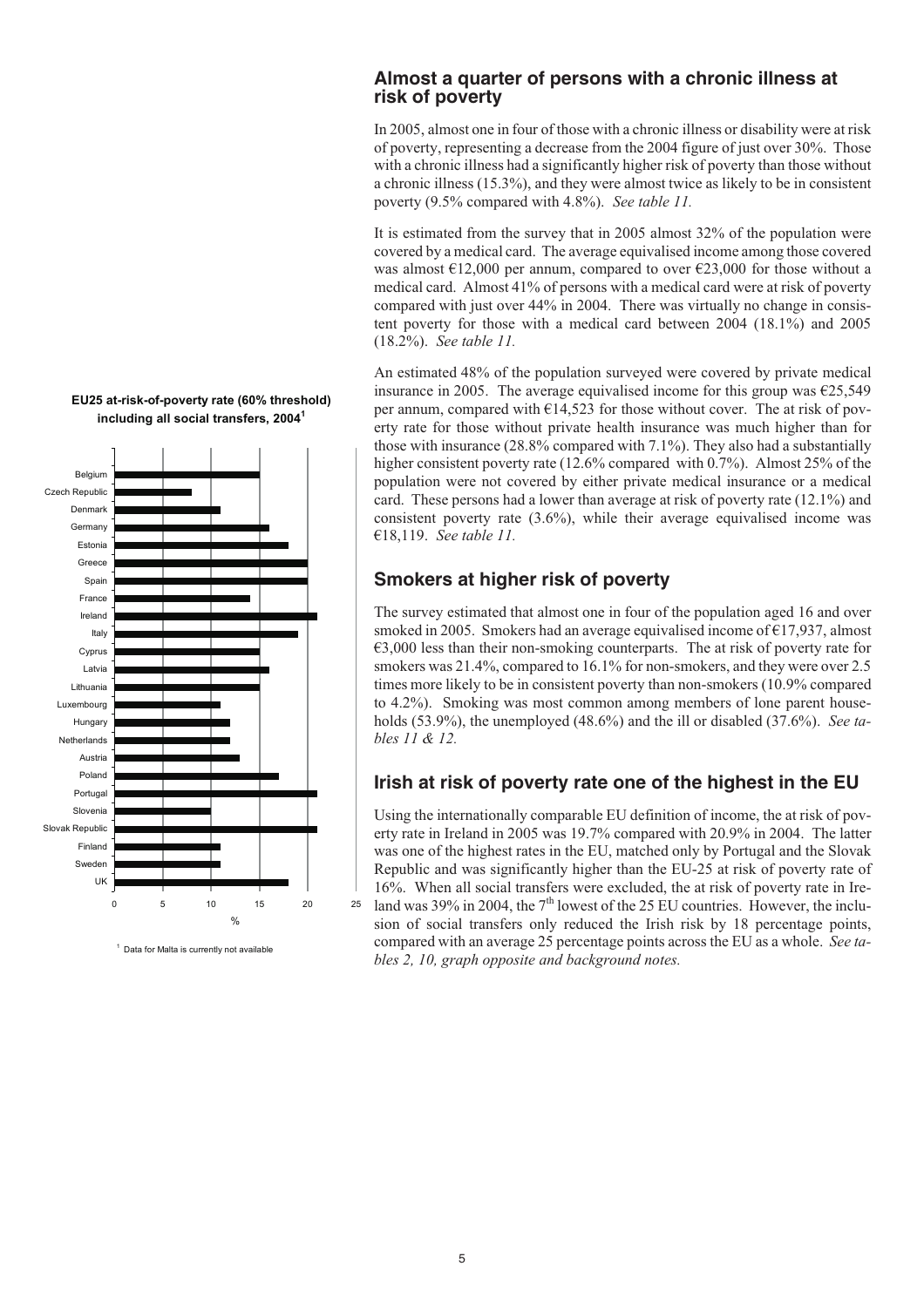

#### **EU25 at-risk-of-poverty rate (60% threshold) including all social transfers, 2004<sup>1</sup>**

<sup>1</sup> Data for Malta is currently not available

### **Almost a quarter of persons with a chronic illness at risk of poverty**

In 2005, almost one in four of those with a chronic illness or disability were at risk of poverty, representing a decrease from the 2004 figure of just over 30%. Those with a chronic illness had a significantly higher risk of poverty than those without a chronic illness (15.3%), and they were almost twice as likely to be in consistent poverty (9.5% compared with 4.8%). *See table 11.*

It is estimated from the survey that in 2005 almost 32% of the population were covered by a medical card. The average equivalised income among those covered was almost  $\epsilon$ 12,000 per annum, compared to over  $\epsilon$ 23,000 for those without a medical card. Almost 41% of persons with a medical card were at risk of poverty compared with just over 44% in 2004. There was virtually no change in consistent poverty for those with a medical card between 2004 (18.1%) and 2005 (18.2%). *See table 11.*

An estimated 48% of the population surveyed were covered by private medical insurance in 2005. The average equivalised income for this group was  $\epsilon$ 25,549 per annum, compared with  $\epsilon$ 14,523 for those without cover. The at risk of poverty rate for those without private health insurance was much higher than for those with insurance (28.8% compared with 7.1%). They also had a substantially higher consistent poverty rate (12.6% compared with 0.7%). Almost 25% of the population were not covered by either private medical insurance or a medical card. These persons had a lower than average at risk of poverty rate (12.1%) and consistent poverty rate (3.6%), while their average equivalised income was €18,119. *See table 11.*

# **Smokers at higher risk of poverty**

The survey estimated that almost one in four of the population aged 16 and over smoked in 2005. Smokers had an average equivalised income of  $E17,937$ , almost  $\epsilon$ 3,000 less than their non-smoking counterparts. The at risk of poverty rate for smokers was 21.4%, compared to 16.1% for non-smokers, and they were over 2.5 times more likely to be in consistent poverty than non-smokers (10.9% compared to 4.2%). Smoking was most common among members of lone parent households (53.9%), the unemployed (48.6%) and the ill or disabled (37.6%). *See tables 11 & 12.*

# **Irish at risk of poverty rate one of the highest in the EU**

Using the internationally comparable EU definition of income, the at risk of poverty rate in Ireland in 2005 was 19.7% compared with 20.9% in 2004. The latter was one of the highest rates in the EU, matched only by Portugal and the Slovak Republic and was significantly higher than the EU-25 at risk of poverty rate of 16%. When all social transfers were excluded, the at risk of poverty rate in Ireland was 39% in 2004, the  $7<sup>th</sup>$  lowest of the 25 EU countries. However, the inclusion of social transfers only reduced the Irish risk by 18 percentage points, compared with an average 25 percentage points across the EU as a whole. *See tables 2, 10, graph opposite and background notes.*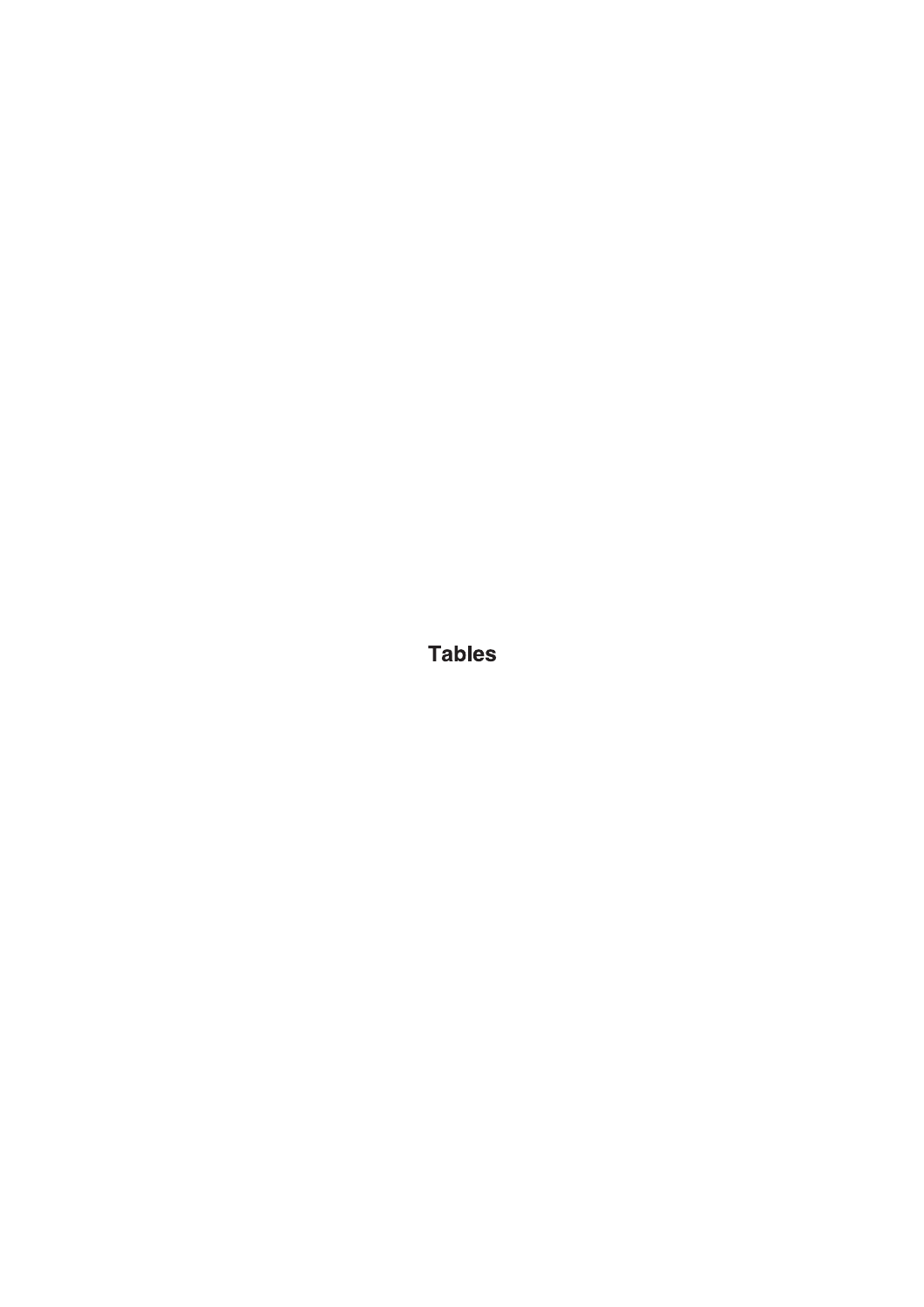**Tables**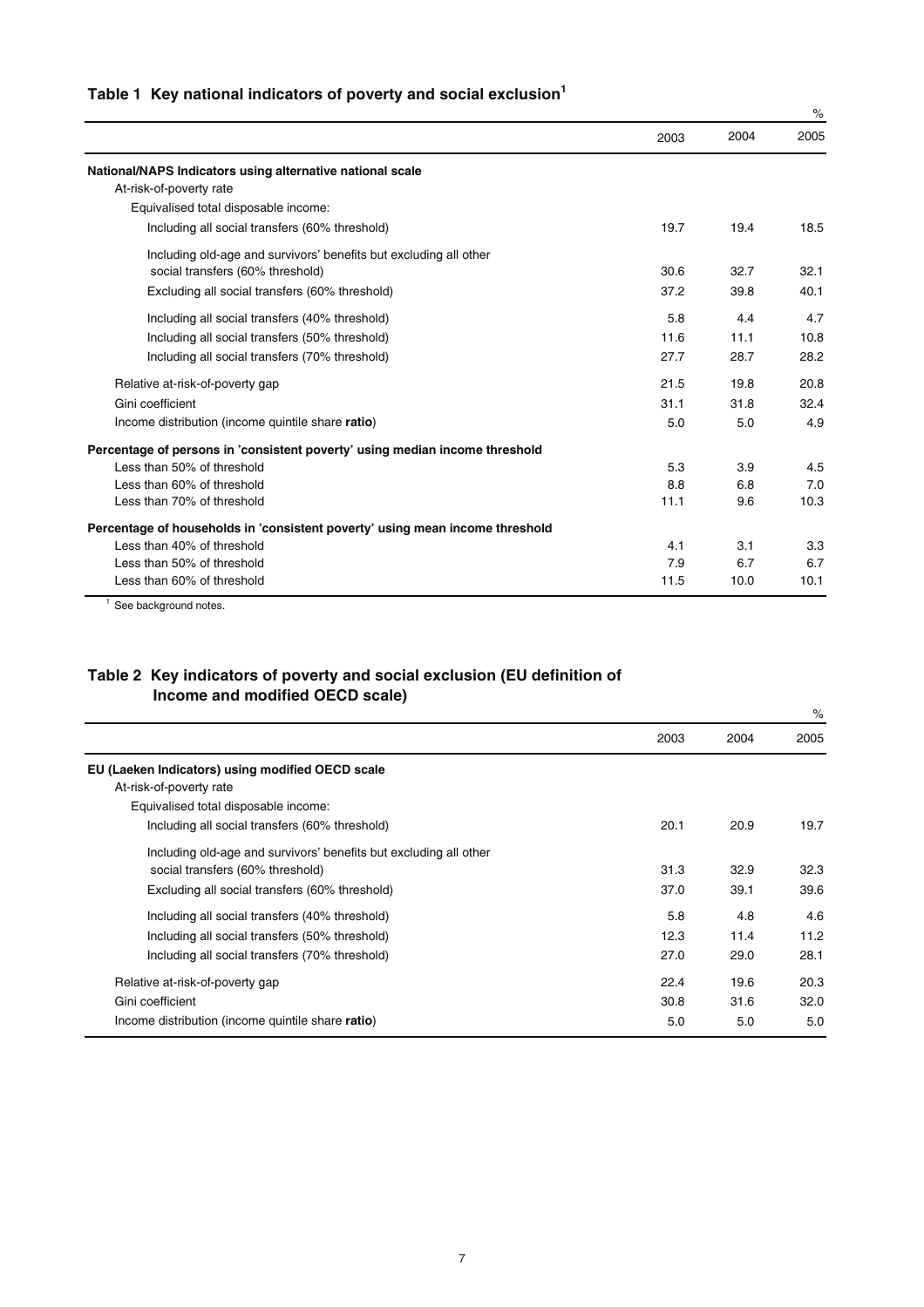|  | Table 1 Key national indicators of poverty and social exclusion <sup>1</sup> |  |  |  |  |  |
|--|------------------------------------------------------------------------------|--|--|--|--|--|
|--|------------------------------------------------------------------------------|--|--|--|--|--|

|                                                                              |      |      | $\%$ |
|------------------------------------------------------------------------------|------|------|------|
|                                                                              | 2003 | 2004 | 2005 |
| National/NAPS Indicators using alternative national scale                    |      |      |      |
| At-risk-of-poverty rate                                                      |      |      |      |
| Equivalised total disposable income:                                         |      |      |      |
| Including all social transfers (60% threshold)                               | 19.7 | 19.4 | 18.5 |
| Including old-age and survivors' benefits but excluding all other            |      |      |      |
| social transfers (60% threshold)                                             | 30.6 | 32.7 | 32.1 |
| Excluding all social transfers (60% threshold)                               | 37.2 | 39.8 | 40.1 |
| Including all social transfers (40% threshold)                               | 5.8  | 4.4  | 4.7  |
| Including all social transfers (50% threshold)                               | 11.6 | 11.1 | 10.8 |
| Including all social transfers (70% threshold)                               | 27.7 | 28.7 | 28.2 |
| Relative at-risk-of-poverty gap                                              | 21.5 | 19.8 | 20.8 |
| Gini coefficient                                                             | 31.1 | 31.8 | 32.4 |
| Income distribution (income quintile share ratio)                            | 5.0  | 5.0  | 4.9  |
| Percentage of persons in 'consistent poverty' using median income threshold  |      |      |      |
| Less than 50% of threshold                                                   | 5.3  | 3.9  | 4.5  |
| Less than 60% of threshold                                                   | 8.8  | 6.8  | 7.0  |
| Less than 70% of threshold                                                   | 11.1 | 9.6  | 10.3 |
| Percentage of households in 'consistent poverty' using mean income threshold |      |      |      |
| Less than 40% of threshold                                                   | 4.1  | 3.1  | 3.3  |
| Less than 50% of threshold                                                   | 7.9  | 6.7  | 6.7  |
| Less than 60% of threshold                                                   | 11.5 | 10.0 | 10.1 |

<sup>1</sup> See background notes.

#### **Table 2 Key indicators of poverty and social exclusion (EU definition of Income and modified OECD scale)**

|                                                                   |      |      | $\%$ |
|-------------------------------------------------------------------|------|------|------|
|                                                                   | 2003 | 2004 | 2005 |
| EU (Laeken Indicators) using modified OECD scale                  |      |      |      |
| At-risk-of-poverty rate                                           |      |      |      |
| Equivalised total disposable income:                              |      |      |      |
| Including all social transfers (60% threshold)                    | 20.1 | 20.9 | 19.7 |
| Including old-age and survivors' benefits but excluding all other |      |      |      |
| social transfers (60% threshold)                                  | 31.3 | 32.9 | 32.3 |
| Excluding all social transfers (60% threshold)                    | 37.0 | 39.1 | 39.6 |
| Including all social transfers (40% threshold)                    | 5.8  | 4.8  | 4.6  |
| Including all social transfers (50% threshold)                    | 12.3 | 11.4 | 11.2 |
| Including all social transfers (70% threshold)                    | 27.0 | 29.0 | 28.1 |
| Relative at-risk-of-poverty gap                                   | 22.4 | 19.6 | 20.3 |
| Gini coefficient                                                  | 30.8 | 31.6 | 32.0 |
| Income distribution (income quintile share ratio)                 | 5.0  | 5.0  | 5.0  |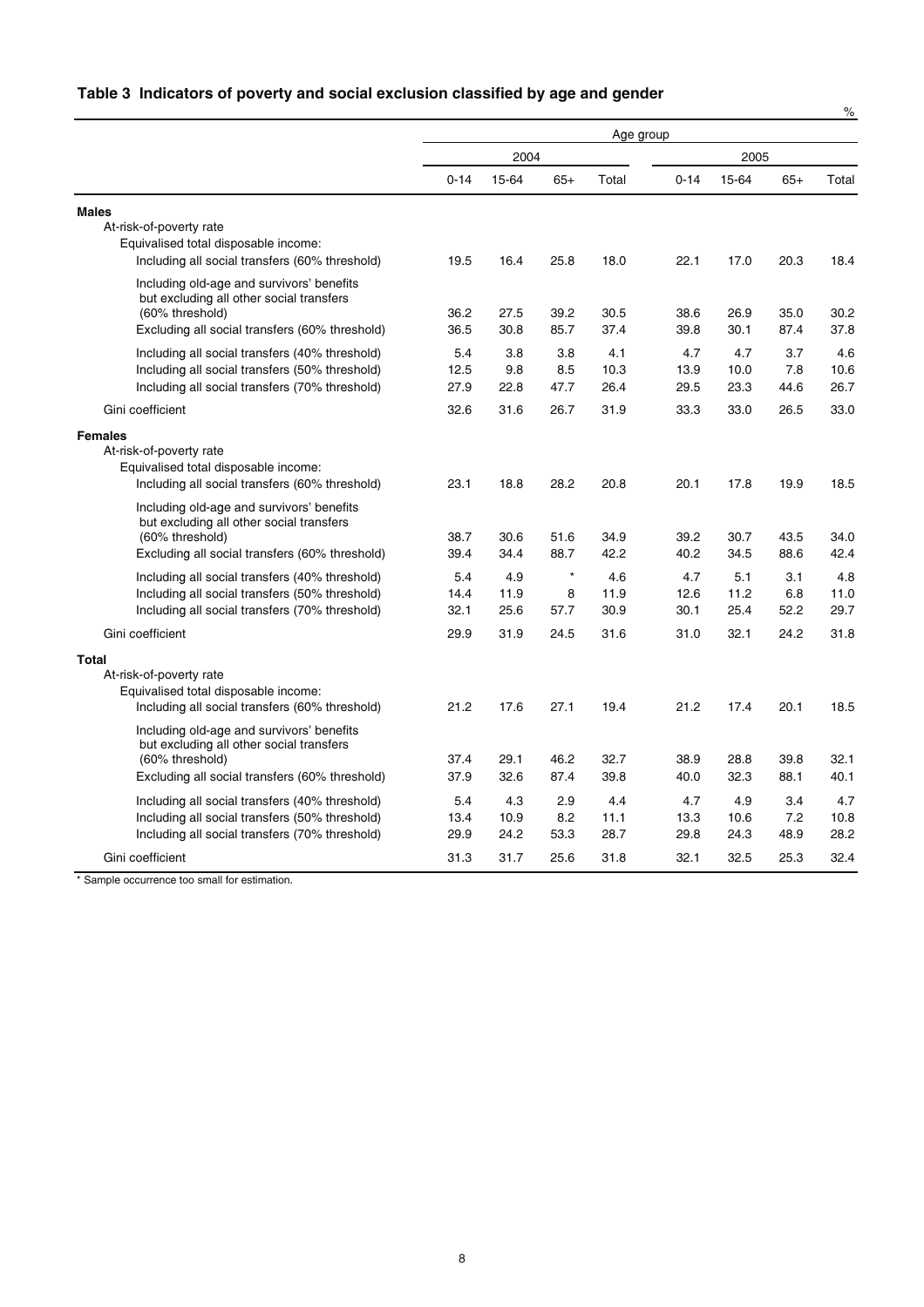## **Table 3 Indicators of poverty and social exclusion classified by age and gender**

|                                                                                                                                                            |                     |                     |                      |                     |                     |                     |                    | $\%$                |
|------------------------------------------------------------------------------------------------------------------------------------------------------------|---------------------|---------------------|----------------------|---------------------|---------------------|---------------------|--------------------|---------------------|
|                                                                                                                                                            | Age group           |                     |                      |                     |                     |                     |                    |                     |
|                                                                                                                                                            |                     | 2004                |                      |                     |                     | 2005                |                    |                     |
|                                                                                                                                                            | $0 - 14$            | 15-64               | $65+$                | Total               | $0 - 14$            | 15-64               | $65+$              | Total               |
| <b>Males</b>                                                                                                                                               |                     |                     |                      |                     |                     |                     |                    |                     |
| At-risk-of-poverty rate<br>Equivalised total disposable income:<br>Including all social transfers (60% threshold)                                          | 19.5                | 16.4                | 25.8                 | 18.0                | 22.1                | 17.0                | 20.3               | 18.4                |
| Including old-age and survivors' benefits<br>but excluding all other social transfers<br>(60% threshold)                                                   | 36.2                | 27.5                | 39.2                 | 30.5                | 38.6                | 26.9                | 35.0               | 30.2                |
| Excluding all social transfers (60% threshold)                                                                                                             | 36.5                | 30.8                | 85.7                 | 37.4                | 39.8                | 30.1                | 87.4               | 37.8                |
| Including all social transfers (40% threshold)<br>Including all social transfers (50% threshold)<br>Including all social transfers (70% threshold)         | 5.4<br>12.5<br>27.9 | 3.8<br>9.8<br>22.8  | 3.8<br>8.5<br>47.7   | 4.1<br>10.3<br>26.4 | 4.7<br>13.9<br>29.5 | 4.7<br>10.0<br>23.3 | 3.7<br>7.8<br>44.6 | 4.6<br>10.6<br>26.7 |
| Gini coefficient                                                                                                                                           | 32.6                | 31.6                | 26.7                 | 31.9                | 33.3                | 33.0                | 26.5               | 33.0                |
| <b>Females</b><br>At-risk-of-poverty rate<br>Equivalised total disposable income:<br>Including all social transfers (60% threshold)                        | 23.1                | 18.8                | 28.2                 | 20.8                | 20.1                | 17.8                | 19.9               | 18.5                |
| Including old-age and survivors' benefits<br>but excluding all other social transfers<br>(60% threshold)<br>Excluding all social transfers (60% threshold) | 38.7<br>39.4        | 30.6<br>34.4        | 51.6<br>88.7         | 34.9<br>42.2        | 39.2<br>40.2        | 30.7<br>34.5        | 43.5<br>88.6       | 34.0<br>42.4        |
| Including all social transfers (40% threshold)<br>Including all social transfers (50% threshold)<br>Including all social transfers (70% threshold)         | 5.4<br>14.4<br>32.1 | 4.9<br>11.9<br>25.6 | $\star$<br>8<br>57.7 | 4.6<br>11.9<br>30.9 | 4.7<br>12.6<br>30.1 | 5.1<br>11.2<br>25.4 | 3.1<br>6.8<br>52.2 | 4.8<br>11.0<br>29.7 |
| Gini coefficient                                                                                                                                           | 29.9                | 31.9                | 24.5                 | 31.6                | 31.0                | 32.1                | 24.2               | 31.8                |
| Total<br>At-risk-of-poverty rate<br>Equivalised total disposable income:<br>Including all social transfers (60% threshold)                                 | 21.2                | 17.6                | 27.1                 | 19.4                | 21.2                | 17.4                | 20.1               | 18.5                |
| Including old-age and survivors' benefits<br>but excluding all other social transfers<br>(60% threshold)<br>Excluding all social transfers (60% threshold) | 37.4<br>37.9        | 29.1<br>32.6        | 46.2<br>87.4         | 32.7<br>39.8        | 38.9<br>40.0        | 28.8<br>32.3        | 39.8<br>88.1       | 32.1<br>40.1        |
| Including all social transfers (40% threshold)<br>Including all social transfers (50% threshold)<br>Including all social transfers (70% threshold)         | 5.4<br>13.4<br>29.9 | 4.3<br>10.9<br>24.2 | 2.9<br>8.2<br>53.3   | 4.4<br>11.1<br>28.7 | 4.7<br>13.3<br>29.8 | 4.9<br>10.6<br>24.3 | 3.4<br>7.2<br>48.9 | 4.7<br>10.8<br>28.2 |
| Gini coefficient                                                                                                                                           | 31.3                | 31.7                | 25.6                 | 31.8                | 32.1                | 32.5                | 25.3               | 32.4                |

\* Sample occurrence too small for estimation.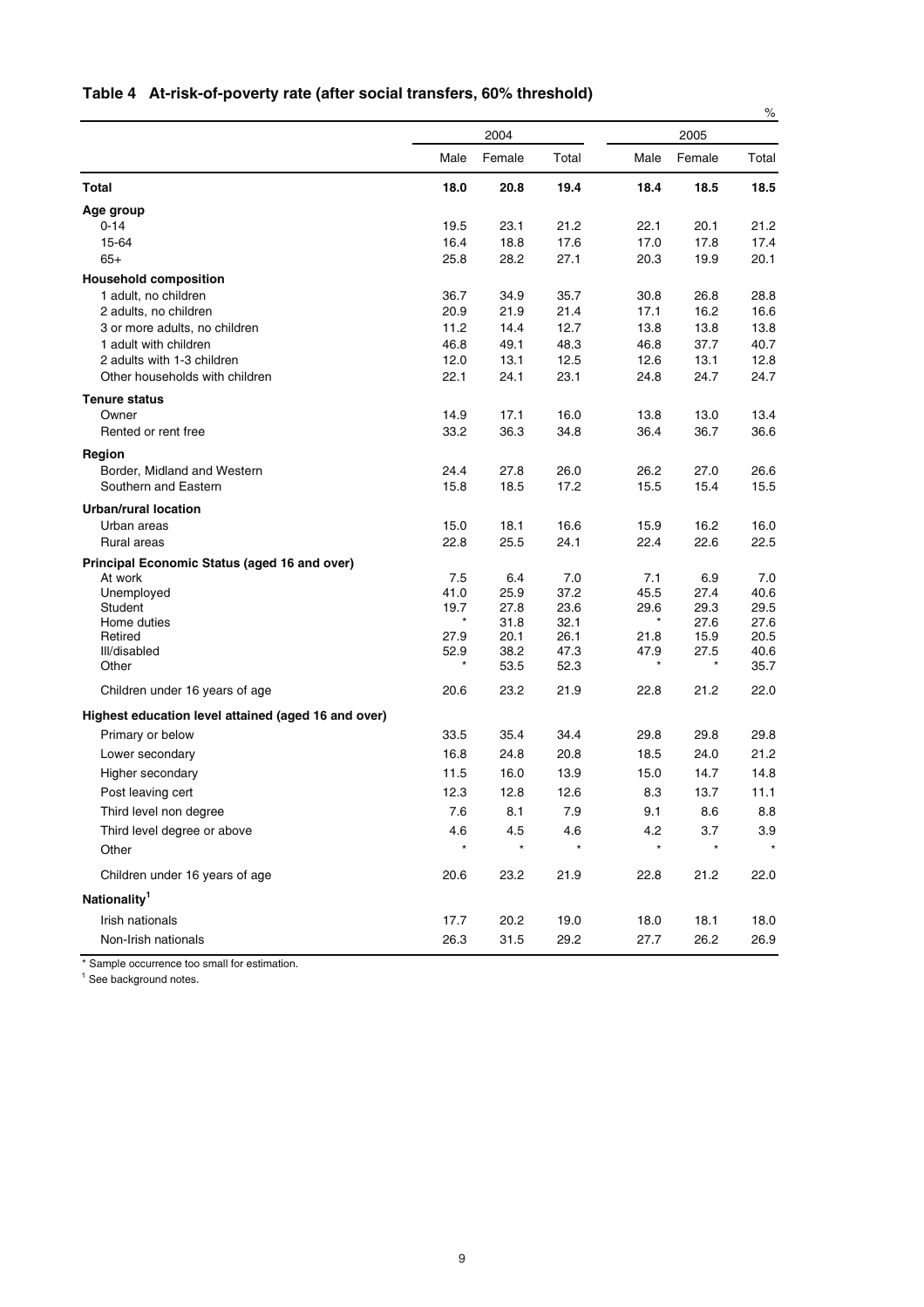| Table 4 At-risk-of-poverty rate (after social transfers, 60% threshold) |
|-------------------------------------------------------------------------|
|-------------------------------------------------------------------------|

|                                                         |              |              |              |              |              | $\%$         |
|---------------------------------------------------------|--------------|--------------|--------------|--------------|--------------|--------------|
|                                                         |              | 2004         |              |              | 2005         |              |
|                                                         | Male         | Female       | Total        | Male         | Female       | Total        |
| <b>Total</b>                                            | 18.0         | 20.8         | 19.4         | 18.4         | 18.5         | 18.5         |
| Age group                                               |              |              |              |              |              |              |
| $0 - 14$                                                | 19.5         | 23.1         | 21.2         | 22.1         | 20.1         | 21.2         |
| 15-64                                                   | 16.4         | 18.8         | 17.6         | 17.0         | 17.8         | 17.4         |
| $65+$                                                   | 25.8         | 28.2         | 27.1         | 20.3         | 19.9         | 20.1         |
| <b>Household composition</b>                            |              |              |              |              |              |              |
| 1 adult, no children                                    | 36.7         | 34.9         | 35.7         | 30.8         | 26.8         | 28.8         |
| 2 adults, no children<br>3 or more adults, no children  | 20.9         | 21.9         | 21.4<br>12.7 | 17.1         | 16.2         | 16.6         |
| 1 adult with children                                   | 11.2<br>46.8 | 14.4<br>49.1 | 48.3         | 13.8<br>46.8 | 13.8<br>37.7 | 13.8<br>40.7 |
| 2 adults with 1-3 children                              | 12.0         | 13.1         | 12.5         | 12.6         | 13.1         | 12.8         |
| Other households with children                          | 22.1         | 24.1         | 23.1         | 24.8         | 24.7         | 24.7         |
|                                                         |              |              |              |              |              |              |
| <b>Tenure status</b><br>Owner                           | 14.9         | 17.1         | 16.0         | 13.8         | 13.0         | 13.4         |
| Rented or rent free                                     | 33.2         | 36.3         | 34.8         | 36.4         | 36.7         | 36.6         |
|                                                         |              |              |              |              |              |              |
| Region<br>Border, Midland and Western                   | 24.4         | 27.8         | 26.0         | 26.2         | 27.0         |              |
| Southern and Eastern                                    | 15.8         | 18.5         | 17.2         | 15.5         | 15.4         | 26.6<br>15.5 |
|                                                         |              |              |              |              |              |              |
| <b>Urban/rural location</b>                             |              |              |              |              |              |              |
| Urban areas<br>Rural areas                              | 15.0<br>22.8 | 18.1<br>25.5 | 16.6<br>24.1 | 15.9<br>22.4 | 16.2<br>22.6 | 16.0<br>22.5 |
|                                                         |              |              |              |              |              |              |
| Principal Economic Status (aged 16 and over)<br>At work | 7.5          | 6.4          | 7.0          | 7.1          | 6.9          | 7.0          |
| Unemployed                                              | 41.0         | 25.9         | 37.2         | 45.5         | 27.4         | 40.6         |
| Student                                                 | 19.7         | 27.8         | 23.6         | 29.6         | 29.3         | 29.5         |
| Home duties                                             | $^{\star}$   | 31.8         | 32.1         | $\star$      | 27.6         | 27.6         |
| Retired                                                 | 27.9         | 20.1         | 26.1         | 21.8         | 15.9         | 20.5         |
| III/disabled                                            | 52.9         | 38.2         | 47.3         | 47.9         | 27.5         | 40.6         |
| Other                                                   |              | 53.5         | 52.3         |              |              | 35.7         |
| Children under 16 years of age                          | 20.6         | 23.2         | 21.9         | 22.8         | 21.2         | 22.0         |
| Highest education level attained (aged 16 and over)     |              |              |              |              |              |              |
| Primary or below                                        | 33.5         | 35.4         | 34.4         | 29.8         | 29.8         | 29.8         |
| Lower secondary                                         | 16.8         | 24.8         | 20.8         | 18.5         | 24.0         | 21.2         |
| Higher secondary                                        | 11.5         | 16.0         | 13.9         | 15.0         | 14.7         | 14.8         |
| Post leaving cert                                       | 12.3         | 12.8         | 12.6         | 8.3          | 13.7         | 11.1         |
| Third level non degree                                  | 7.6          | 8.1          | 7.9          | 9.1          | 8.6          | 8.8          |
| Third level degree or above                             | 4.6          | 4.5          | 4.6          | 4.2          | 3.7          | 3.9          |
| Other                                                   | $\star$      | $\star$      | $\star$      | $\star$      | $\star$      |              |
| Children under 16 years of age                          | 20.6         | 23.2         | 21.9         | 22.8         | 21.2         | 22.0         |
| Nationality <sup>1</sup>                                |              |              |              |              |              |              |
| Irish nationals                                         |              |              |              |              |              |              |
|                                                         | 17.7         | 20.2         | 19.0         | 18.0         | 18.1         | 18.0         |
| Non-Irish nationals                                     | 26.3         | 31.5         | 29.2         | 27.7         | 26.2         | 26.9         |

\* Sample occurrence too small for estimation.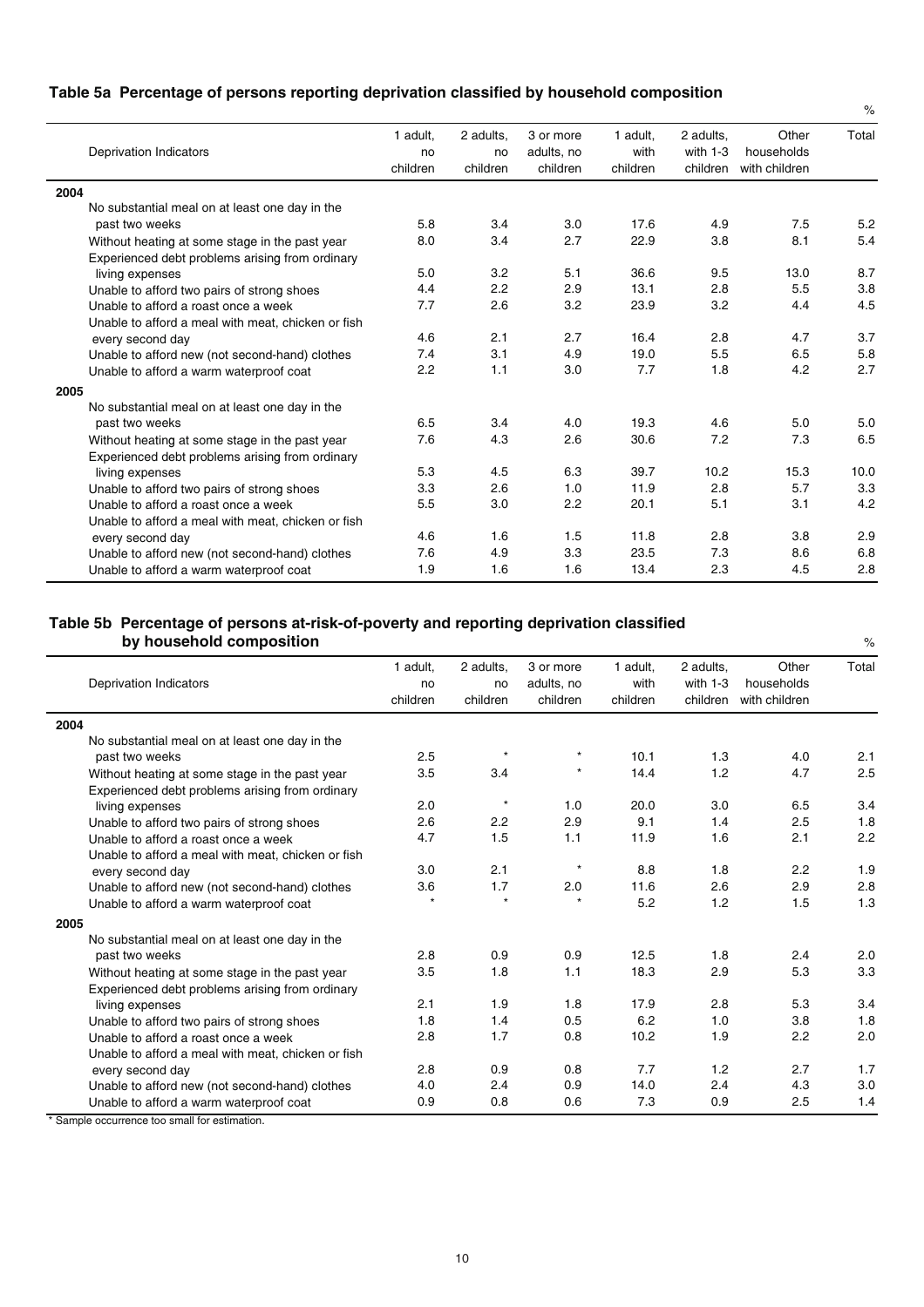## **Table 5a Percentage of persons reporting deprivation classified by household composition**

| Deprivation Indicators                             | 1 adult.<br>no<br>children | 2 adults,<br>no<br>children | 3 or more<br>adults, no<br>children | 1 adult.<br>with<br>children | 2 adults,<br>with $1-3$<br>children | Other<br>households<br>with children | Total |
|----------------------------------------------------|----------------------------|-----------------------------|-------------------------------------|------------------------------|-------------------------------------|--------------------------------------|-------|
| 2004                                               |                            |                             |                                     |                              |                                     |                                      |       |
| No substantial meal on at least one day in the     |                            |                             |                                     |                              |                                     |                                      |       |
| past two weeks                                     | 5.8                        | 3.4                         | 3.0                                 | 17.6                         | 4.9                                 | 7.5                                  | 5.2   |
| Without heating at some stage in the past year     | 8.0                        | 3.4                         | 2.7                                 | 22.9                         | 3.8                                 | 8.1                                  | 5.4   |
| Experienced debt problems arising from ordinary    |                            |                             |                                     |                              |                                     |                                      |       |
| living expenses                                    | 5.0                        | 3.2                         | 5.1                                 | 36.6                         | 9.5                                 | 13.0                                 | 8.7   |
| Unable to afford two pairs of strong shoes         | 4.4                        | 2.2                         | 2.9                                 | 13.1                         | 2.8                                 | 5.5                                  | 3.8   |
| Unable to afford a roast once a week               | 7.7                        | 2.6                         | 3.2                                 | 23.9                         | 3.2                                 | 4.4                                  | 4.5   |
| Unable to afford a meal with meat, chicken or fish |                            |                             |                                     |                              |                                     |                                      |       |
| every second day                                   | 4.6                        | 2.1                         | 2.7                                 | 16.4                         | 2.8                                 | 4.7                                  | 3.7   |
| Unable to afford new (not second-hand) clothes     | 7.4                        | 3.1                         | 4.9                                 | 19.0                         | 5.5                                 | 6.5                                  | 5.8   |
| Unable to afford a warm waterproof coat            | 2.2                        | 1.1                         | 3.0                                 | 7.7                          | 1.8                                 | 4.2                                  | 2.7   |
| 2005                                               |                            |                             |                                     |                              |                                     |                                      |       |
| No substantial meal on at least one day in the     |                            |                             |                                     |                              |                                     |                                      |       |
| past two weeks                                     | 6.5                        | 3.4                         | 4.0                                 | 19.3                         | 4.6                                 | 5.0                                  | 5.0   |
| Without heating at some stage in the past year     | 7.6                        | 4.3                         | 2.6                                 | 30.6                         | 7.2                                 | 7.3                                  | 6.5   |
| Experienced debt problems arising from ordinary    |                            |                             |                                     |                              |                                     |                                      |       |
| living expenses                                    | 5.3                        | 4.5                         | 6.3                                 | 39.7                         | 10.2                                | 15.3                                 | 10.0  |
| Unable to afford two pairs of strong shoes         | 3.3                        | 2.6                         | 1.0                                 | 11.9                         | 2.8                                 | 5.7                                  | 3.3   |
| Unable to afford a roast once a week               | 5.5                        | 3.0                         | 2.2                                 | 20.1                         | 5.1                                 | 3.1                                  | 4.2   |
| Unable to afford a meal with meat, chicken or fish |                            |                             |                                     |                              |                                     |                                      |       |
| every second day                                   | 4.6                        | 1.6                         | 1.5                                 | 11.8                         | 2.8                                 | 3.8                                  | 2.9   |
| Unable to afford new (not second-hand) clothes     | 7.6                        | 4.9                         | 3.3                                 | 23.5                         | 7.3                                 | 8.6                                  | 6.8   |
| Unable to afford a warm waterproof coat            | 1.9                        | 1.6                         | 1.6                                 | 13.4                         | 2.3                                 | 4.5                                  | 2.8   |

%

## **Table 5b Percentage of persons at-risk-of-poverty and reporting deprivation classified by household composition**

| <b>Deprivation Indicators</b>                      | 1 adult,<br>no<br>children | 2 adults,<br>no<br>children | 3 or more<br>adults, no<br>children | 1 adult.<br>with<br>children | 2 adults.<br>with $1-3$<br>children | Other<br>households<br>with children | Total |
|----------------------------------------------------|----------------------------|-----------------------------|-------------------------------------|------------------------------|-------------------------------------|--------------------------------------|-------|
| 2004                                               |                            |                             |                                     |                              |                                     |                                      |       |
| No substantial meal on at least one day in the     |                            |                             |                                     |                              |                                     |                                      |       |
| past two weeks                                     | 2.5                        |                             | $\star$                             | 10.1                         | 1.3                                 | 4.0                                  | 2.1   |
| Without heating at some stage in the past year     | 3.5                        | 3.4                         |                                     | 14.4                         | 1.2                                 | 4.7                                  | 2.5   |
| Experienced debt problems arising from ordinary    |                            |                             |                                     |                              |                                     |                                      |       |
| living expenses                                    | 2.0                        | $\star$                     | 1.0                                 | 20.0                         | 3.0                                 | 6.5                                  | 3.4   |
| Unable to afford two pairs of strong shoes         | 2.6                        | 2.2                         | 2.9                                 | 9.1                          | 1.4                                 | 2.5                                  | 1.8   |
| Unable to afford a roast once a week               | 4.7                        | 1.5                         | 1.1                                 | 11.9                         | 1.6                                 | 2.1                                  | 2.2   |
| Unable to afford a meal with meat, chicken or fish |                            |                             |                                     |                              |                                     |                                      |       |
| every second day                                   | 3.0                        | 2.1                         |                                     | 8.8                          | 1.8                                 | 2.2                                  | 1.9   |
| Unable to afford new (not second-hand) clothes     | 3.6                        | 1.7                         | 2.0                                 | 11.6                         | 2.6                                 | 2.9                                  | 2.8   |
| Unable to afford a warm waterproof coat            |                            |                             |                                     | 5.2                          | 1.2                                 | 1.5                                  | 1.3   |
| 2005                                               |                            |                             |                                     |                              |                                     |                                      |       |
| No substantial meal on at least one day in the     |                            |                             |                                     |                              |                                     |                                      |       |
| past two weeks                                     | 2.8                        | 0.9                         | 0.9                                 | 12.5                         | 1.8                                 | 2.4                                  | 2.0   |
| Without heating at some stage in the past year     | 3.5                        | 1.8                         | 1.1                                 | 18.3                         | 2.9                                 | 5.3                                  | 3.3   |
| Experienced debt problems arising from ordinary    |                            |                             |                                     |                              |                                     |                                      |       |
| living expenses                                    | 2.1                        | 1.9                         | 1.8                                 | 17.9                         | 2.8                                 | 5.3                                  | 3.4   |
| Unable to afford two pairs of strong shoes         | 1.8                        | 1.4                         | 0.5                                 | 6.2                          | 1.0                                 | 3.8                                  | 1.8   |
| Unable to afford a roast once a week               | 2.8                        | 1.7                         | 0.8                                 | 10.2                         | 1.9                                 | 2.2                                  | 2.0   |
| Unable to afford a meal with meat, chicken or fish |                            |                             |                                     |                              |                                     |                                      |       |
| every second day                                   | 2.8                        | 0.9                         | 0.8                                 | 7.7                          | 1.2                                 | 2.7                                  | 1.7   |
| Unable to afford new (not second-hand) clothes     | 4.0                        | 2.4                         | 0.9                                 | 14.0                         | 2.4                                 | 4.3                                  | 3.0   |
| Unable to afford a warm waterproof coat            | 0.9                        | 0.8                         | 0.6                                 | 7.3                          | 0.9                                 | 2.5                                  | 1.4   |

\* Sample occurrence too small for estimation.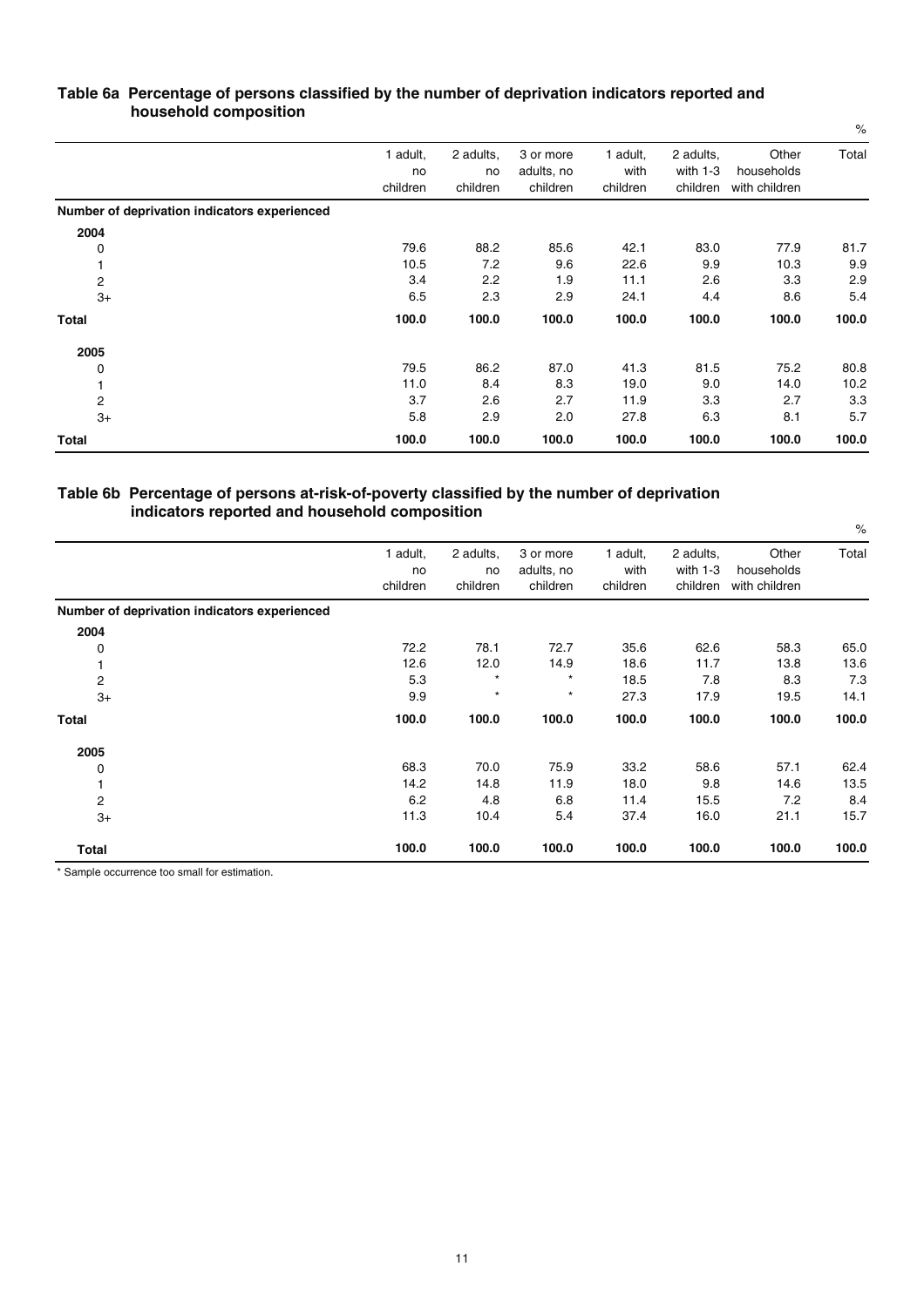| $\blacksquare$                               |                            |                             |                                     |                              |                                     |                                      | $\%$  |
|----------------------------------------------|----------------------------|-----------------------------|-------------------------------------|------------------------------|-------------------------------------|--------------------------------------|-------|
|                                              | 1 adult,<br>no<br>children | 2 adults,<br>no<br>children | 3 or more<br>adults, no<br>children | 1 adult,<br>with<br>children | 2 adults,<br>with $1-3$<br>children | Other<br>households<br>with children | Total |
| Number of deprivation indicators experienced |                            |                             |                                     |                              |                                     |                                      |       |
| 2004                                         |                            |                             |                                     |                              |                                     |                                      |       |
| 0                                            | 79.6                       | 88.2                        | 85.6                                | 42.1                         | 83.0                                | 77.9                                 | 81.7  |
|                                              | 10.5                       | 7.2                         | 9.6                                 | 22.6                         | 9.9                                 | 10.3                                 | 9.9   |
| 2                                            | 3.4                        | 2.2                         | 1.9                                 | 11.1                         | 2.6                                 | 3.3                                  | 2.9   |
| $3+$                                         | 6.5                        | 2.3                         | 2.9                                 | 24.1                         | 4.4                                 | 8.6                                  | 5.4   |
| <b>Total</b>                                 | 100.0                      | 100.0                       | 100.0                               | 100.0                        | 100.0                               | 100.0                                | 100.0 |
| 2005                                         |                            |                             |                                     |                              |                                     |                                      |       |
| 0                                            | 79.5                       | 86.2                        | 87.0                                | 41.3                         | 81.5                                | 75.2                                 | 80.8  |
|                                              | 11.0                       | 8.4                         | 8.3                                 | 19.0                         | 9.0                                 | 14.0                                 | 10.2  |
| 2                                            | 3.7                        | 2.6                         | 2.7                                 | 11.9                         | 3.3                                 | 2.7                                  | 3.3   |
| $3+$                                         | 5.8                        | 2.9                         | 2.0                                 | 27.8                         | 6.3                                 | 8.1                                  | 5.7   |
| Total                                        | 100.0                      | 100.0                       | 100.0                               | 100.0                        | 100.0                               | 100.0                                | 100.0 |

### **Table 6a Percentage of persons classified by the number of deprivation indicators reported and household composition**

#### **Table 6b Percentage of persons at-risk-of-poverty classified by the number of deprivation indicators reported and household composition**

|                                              |                            |                             |                                     |                              |                                     |                                      | $\%$  |
|----------------------------------------------|----------------------------|-----------------------------|-------------------------------------|------------------------------|-------------------------------------|--------------------------------------|-------|
|                                              | 1 adult,<br>no<br>children | 2 adults,<br>no<br>children | 3 or more<br>adults, no<br>children | 1 adult,<br>with<br>children | 2 adults,<br>with $1-3$<br>children | Other<br>households<br>with children | Total |
| Number of deprivation indicators experienced |                            |                             |                                     |                              |                                     |                                      |       |
| 2004                                         |                            |                             |                                     |                              |                                     |                                      |       |
| 0                                            | 72.2                       | 78.1                        | 72.7                                | 35.6                         | 62.6                                | 58.3                                 | 65.0  |
|                                              | 12.6                       | 12.0                        | 14.9                                | 18.6                         | 11.7                                | 13.8                                 | 13.6  |
| $\overline{c}$                               | 5.3                        | $\star$                     | $^\star$                            | 18.5                         | 7.8                                 | 8.3                                  | 7.3   |
| $3+$                                         | 9.9                        | $\star$                     | $\star$                             | 27.3                         | 17.9                                | 19.5                                 | 14.1  |
| Total                                        | 100.0                      | 100.0                       | 100.0                               | 100.0                        | 100.0                               | 100.0                                | 100.0 |
| 2005                                         |                            |                             |                                     |                              |                                     |                                      |       |
| 0                                            | 68.3                       | 70.0                        | 75.9                                | 33.2                         | 58.6                                | 57.1                                 | 62.4  |
|                                              | 14.2                       | 14.8                        | 11.9                                | 18.0                         | 9.8                                 | 14.6                                 | 13.5  |
| $\overline{c}$                               | 6.2                        | 4.8                         | 6.8                                 | 11.4                         | 15.5                                | 7.2                                  | 8.4   |
| $3+$                                         | 11.3                       | 10.4                        | 5.4                                 | 37.4                         | 16.0                                | 21.1                                 | 15.7  |
| Total                                        | 100.0                      | 100.0                       | 100.0                               | 100.0                        | 100.0                               | 100.0                                | 100.0 |

\* Sample occurrence too small for estimation.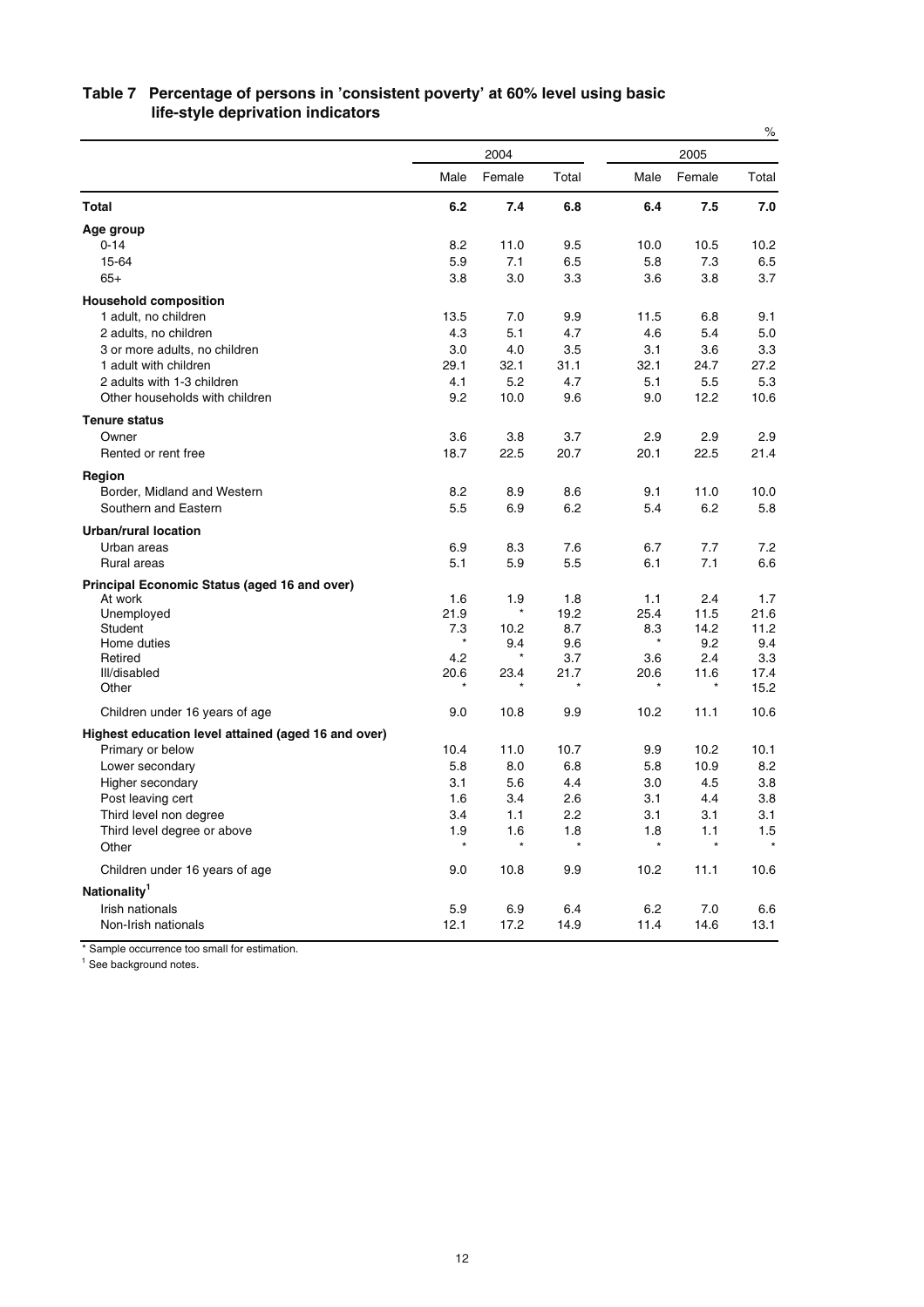|                                                     |                 |               |            |                |             | $\%$        |
|-----------------------------------------------------|-----------------|---------------|------------|----------------|-------------|-------------|
|                                                     |                 | 2004          |            |                | 2005        |             |
|                                                     | Male            | Female        | Total      | Male           | Female      | Total       |
| <b>Total</b>                                        | 6.2             | 7.4           | 6.8        | 6.4            | 7.5         | 7.0         |
| Age group                                           |                 |               |            |                |             |             |
| $0 - 14$                                            | 8.2             | 11.0          | 9.5        | 10.0           | 10.5        | 10.2        |
| 15-64                                               | 5.9             | 7.1           | 6.5        | 5.8            | 7.3         | 6.5         |
| $65+$                                               | 3.8             | 3.0           | 3.3        | 3.6            | 3.8         | 3.7         |
| <b>Household composition</b>                        |                 |               |            |                |             |             |
| 1 adult, no children                                | 13.5            | 7.0           | 9.9        | 11.5           | 6.8         | 9.1         |
| 2 adults, no children                               | 4.3             | 5.1           | 4.7        | 4.6            | 5.4         | 5.0         |
| 3 or more adults, no children                       | 3.0             | 4.0           | 3.5        | 3.1            | 3.6         | 3.3         |
| 1 adult with children                               | 29.1            | 32.1          | 31.1       | 32.1           | 24.7        | 27.2        |
| 2 adults with 1-3 children                          | 4.1             | 5.2           | 4.7        | 5.1            | 5.5         | 5.3         |
| Other households with children                      | 9.2             | 10.0          | 9.6        | 9.0            | 12.2        | 10.6        |
| <b>Tenure status</b>                                |                 |               |            |                |             |             |
| Owner                                               | 3.6             | 3.8           | 3.7        | 2.9            | 2.9         | 2.9         |
| Rented or rent free                                 | 18.7            | 22.5          | 20.7       | 20.1           | 22.5        | 21.4        |
| Region                                              |                 |               |            |                |             |             |
| Border, Midland and Western                         | 8.2             | 8.9           | 8.6        | 9.1            | 11.0        | 10.0        |
| Southern and Eastern                                | 5.5             | 6.9           | 6.2        | 5.4            | 6.2         | 5.8         |
|                                                     |                 |               |            |                |             |             |
| <b>Urban/rural location</b>                         |                 |               |            |                |             |             |
| Urban areas                                         | 6.9             | 8.3           | 7.6        | 6.7            | 7.7         | 7.2         |
| Rural areas                                         | 5.1             | 5.9           | 5.5        | 6.1            | 7.1         | 6.6         |
| Principal Economic Status (aged 16 and over)        |                 |               |            |                |             |             |
| At work                                             | 1.6             | 1.9<br>$\ast$ | 1.8        | 1.1            | 2.4         | 1.7         |
| Unemployed                                          | 21.9            |               | 19.2       | 25.4           | 11.5        | 21.6        |
| Student<br>Home duties                              | 7.3<br>$^\star$ | 10.2<br>9.4   | 8.7<br>9.6 | 8.3<br>$\star$ | 14.2<br>9.2 | 11.2<br>9.4 |
| Retired                                             | 4.2             | $\star$       | 3.7        | 3.6            | 2.4         | 3.3         |
| III/disabled                                        | 20.6            | 23.4          | 21.7       | 20.6           | 11.6        | 17.4        |
| Other                                               |                 |               |            |                |             | 15.2        |
| Children under 16 years of age                      | 9.0             | 10.8          | 9.9        | 10.2           | 11.1        | 10.6        |
| Highest education level attained (aged 16 and over) |                 |               |            |                |             |             |
| Primary or below                                    | 10.4            | 11.0          | 10.7       | 9.9            | 10.2        | 10.1        |
| Lower secondary                                     | 5.8             | 8.0           | 6.8        | 5.8            | 10.9        | 8.2         |
| Higher secondary                                    | 3.1             | 5.6           | 4.4        | 3.0            | 4.5         | 3.8         |
| Post leaving cert                                   | 1.6             | 3.4           | 2.6        | 3.1            | 4.4         | 3.8         |
| Third level non degree                              | 3.4             | 1.1           | 2.2        | 3.1            | 3.1         | 3.1         |
| Third level degree or above                         | 1.9             | 1.6           | 1.8        | 1.8            | 1.1         | 1.5         |
| Other                                               | $^\star$        | $\star$       | $\star$    |                | $\star$     |             |
| Children under 16 years of age                      | 9.0             | 10.8          | 9.9        | 10.2           | 11.1        | 10.6        |
| Nationality <sup>1</sup>                            |                 |               |            |                |             |             |
| Irish nationals                                     | 5.9             | 6.9           | 6.4        | 6.2            | 7.0         | 6.6         |
| Non-Irish nationals                                 | 12.1            | 17.2          | 14.9       | 11.4           | 14.6        | 13.1        |
|                                                     |                 |               |            |                |             |             |

## **Table 7 Percentage of persons in 'consistent poverty' at 60% level using basic life-style deprivation indicators**

\* Sample occurrence too small for estimation.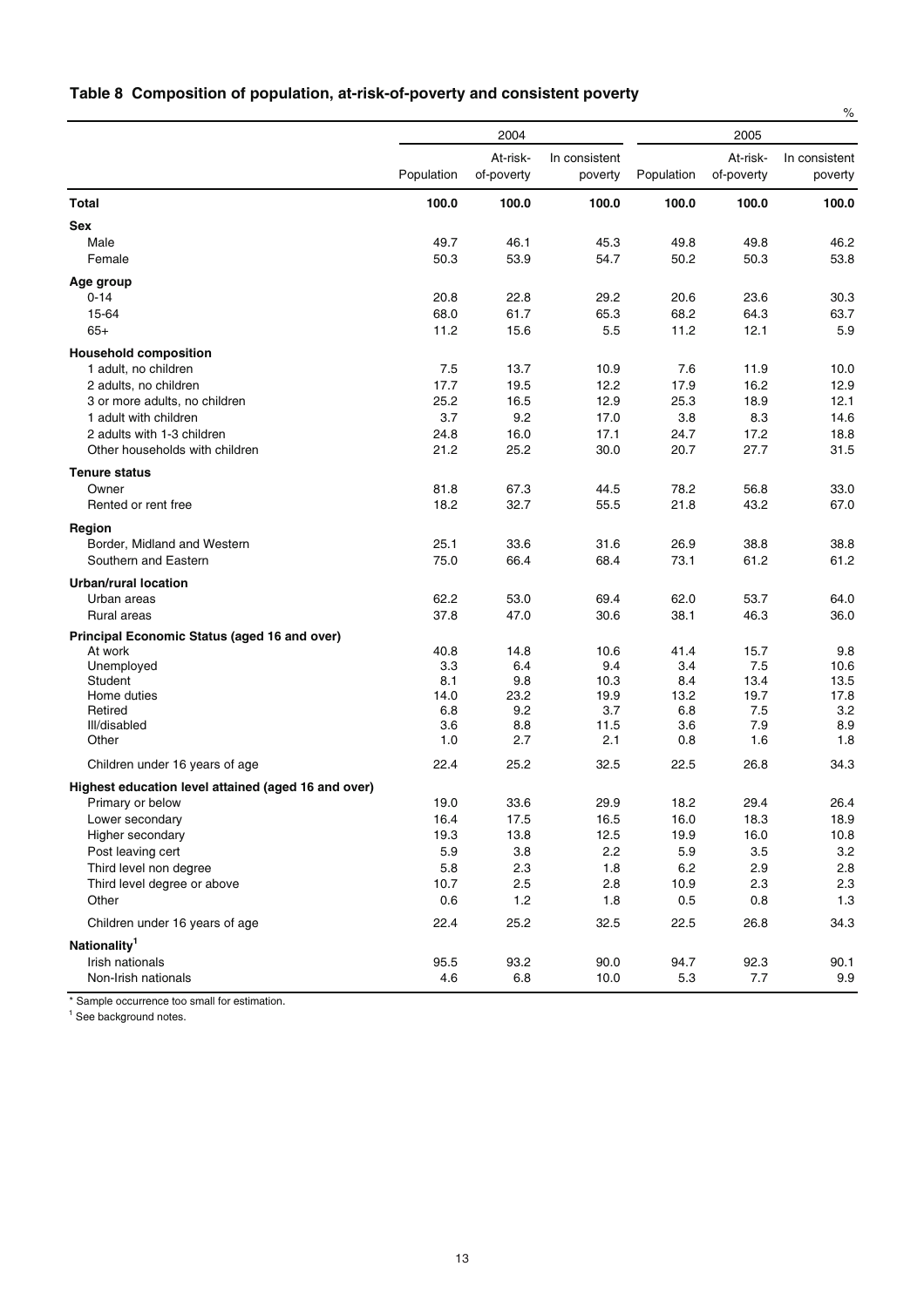## **Table 8 Composition of population, at-risk-of-poverty and consistent poverty**

|                                                     |              |                        |                          |            |                        | $\%$                     |
|-----------------------------------------------------|--------------|------------------------|--------------------------|------------|------------------------|--------------------------|
|                                                     |              | 2004                   |                          |            | 2005                   |                          |
|                                                     | Population   | At-risk-<br>of-poverty | In consistent<br>poverty | Population | At-risk-<br>of-poverty | In consistent<br>poverty |
| <b>Total</b>                                        | 100.0        | 100.0                  | 100.0                    | 100.0      | 100.0                  | 100.0                    |
| <b>Sex</b>                                          |              |                        |                          |            |                        |                          |
| Male                                                | 49.7         | 46.1                   | 45.3                     | 49.8       | 49.8                   | 46.2                     |
| Female                                              | 50.3         | 53.9                   | 54.7                     | 50.2       | 50.3                   | 53.8                     |
| Age group                                           |              |                        |                          |            |                        |                          |
| $0 - 14$                                            | 20.8         | 22.8                   | 29.2                     | 20.6       | 23.6                   | 30.3                     |
| 15-64                                               | 68.0         | 61.7                   | 65.3                     | 68.2       | 64.3                   | 63.7                     |
| $65+$                                               | 11.2         | 15.6                   | 5.5                      | 11.2       | 12.1                   | 5.9                      |
| <b>Household composition</b>                        |              |                        |                          |            |                        |                          |
| 1 adult, no children                                | 7.5          | 13.7                   | 10.9                     | 7.6        | 11.9                   | 10.0                     |
| 2 adults, no children                               | 17.7         | 19.5                   | 12.2                     | 17.9       | 16.2                   | 12.9                     |
| 3 or more adults, no children                       | 25.2         | 16.5                   | 12.9                     | 25.3       | 18.9                   | 12.1                     |
| 1 adult with children                               | 3.7          | 9.2                    | 17.0                     | 3.8        | 8.3                    | 14.6                     |
| 2 adults with 1-3 children                          | 24.8         | 16.0                   | 17.1                     | 24.7       | 17.2                   | 18.8                     |
| Other households with children                      | 21.2         | 25.2                   | 30.0                     | 20.7       | 27.7                   | 31.5                     |
|                                                     |              |                        |                          |            |                        |                          |
| <b>Tenure status</b>                                |              |                        |                          |            |                        |                          |
| Owner                                               | 81.8<br>18.2 | 67.3<br>32.7           | 44.5                     | 78.2       | 56.8<br>43.2           | 33.0                     |
| Rented or rent free                                 |              |                        | 55.5                     | 21.8       |                        | 67.0                     |
| Region                                              |              |                        |                          |            |                        |                          |
| Border, Midland and Western                         | 25.1         | 33.6                   | 31.6                     | 26.9       | 38.8                   | 38.8                     |
| Southern and Eastern                                | 75.0         | 66.4                   | 68.4                     | 73.1       | 61.2                   | 61.2                     |
| Urban/rural location                                |              |                        |                          |            |                        |                          |
| Urban areas                                         | 62.2         | 53.0                   | 69.4                     | 62.0       | 53.7                   | 64.0                     |
| Rural areas                                         | 37.8         | 47.0                   | 30.6                     | 38.1       | 46.3                   | 36.0                     |
| Principal Economic Status (aged 16 and over)        |              |                        |                          |            |                        |                          |
| At work                                             | 40.8         | 14.8                   | 10.6                     | 41.4       | 15.7                   | 9.8                      |
| Unemployed                                          | 3.3          | 6.4                    | 9.4                      | 3.4        | 7.5                    | 10.6                     |
| Student                                             | 8.1          | 9.8                    | 10.3                     | 8.4        | 13.4                   | 13.5                     |
| Home duties                                         | 14.0         | 23.2                   | 19.9                     | 13.2       | 19.7                   | 17.8                     |
| Retired                                             | 6.8          | 9.2                    | 3.7                      | 6.8        | 7.5                    | 3.2                      |
| Ill/disabled                                        | 3.6          | 8.8                    | 11.5                     | 3.6        | 7.9                    | 8.9                      |
| Other                                               | 1.0          | 2.7                    | 2.1                      | 0.8        | 1.6                    | 1.8                      |
| Children under 16 years of age                      | 22.4         | 25.2                   | 32.5                     | 22.5       | 26.8                   | 34.3                     |
| Highest education level attained (aged 16 and over) |              |                        |                          |            |                        |                          |
| Primary or below                                    | 19.0         | 33.6                   | 29.9                     | 18.2       | 29.4                   | 26.4                     |
| Lower secondary                                     | 16.4         | 17.5                   | 16.5                     | 16.0       | 18.3                   | 18.9                     |
| Higher secondary                                    | 19.3         | 13.8                   | 12.5                     | 19.9       | 16.0                   | 10.8                     |
| Post leaving cert                                   | 5.9          | $3.8\,$                | 2.2                      | 5.9        | 3.5                    | 3.2                      |
| Third level non degree                              | 5.8          | 2.3                    | 1.8                      | 6.2        | 2.9                    | 2.8                      |
| Third level degree or above                         | 10.7         | 2.5                    | 2.8                      | 10.9       | 2.3                    | 2.3                      |
| Other                                               | 0.6          | $1.2$                  | 1.8                      | 0.5        | 0.8                    | $1.3$                    |
|                                                     |              |                        |                          |            |                        |                          |
| Children under 16 years of age                      | 22.4         | 25.2                   | 32.5                     | 22.5       | 26.8                   | 34.3                     |
| Nationality <sup>1</sup>                            |              |                        |                          |            |                        |                          |
| Irish nationals                                     | 95.5         | 93.2                   | 90.0                     | 94.7       | 92.3                   | 90.1                     |
| Non-Irish nationals                                 | 4.6          | 6.8                    | 10.0                     | 5.3        | 7.7                    | 9.9                      |

\* Sample occurrence too small for estimation.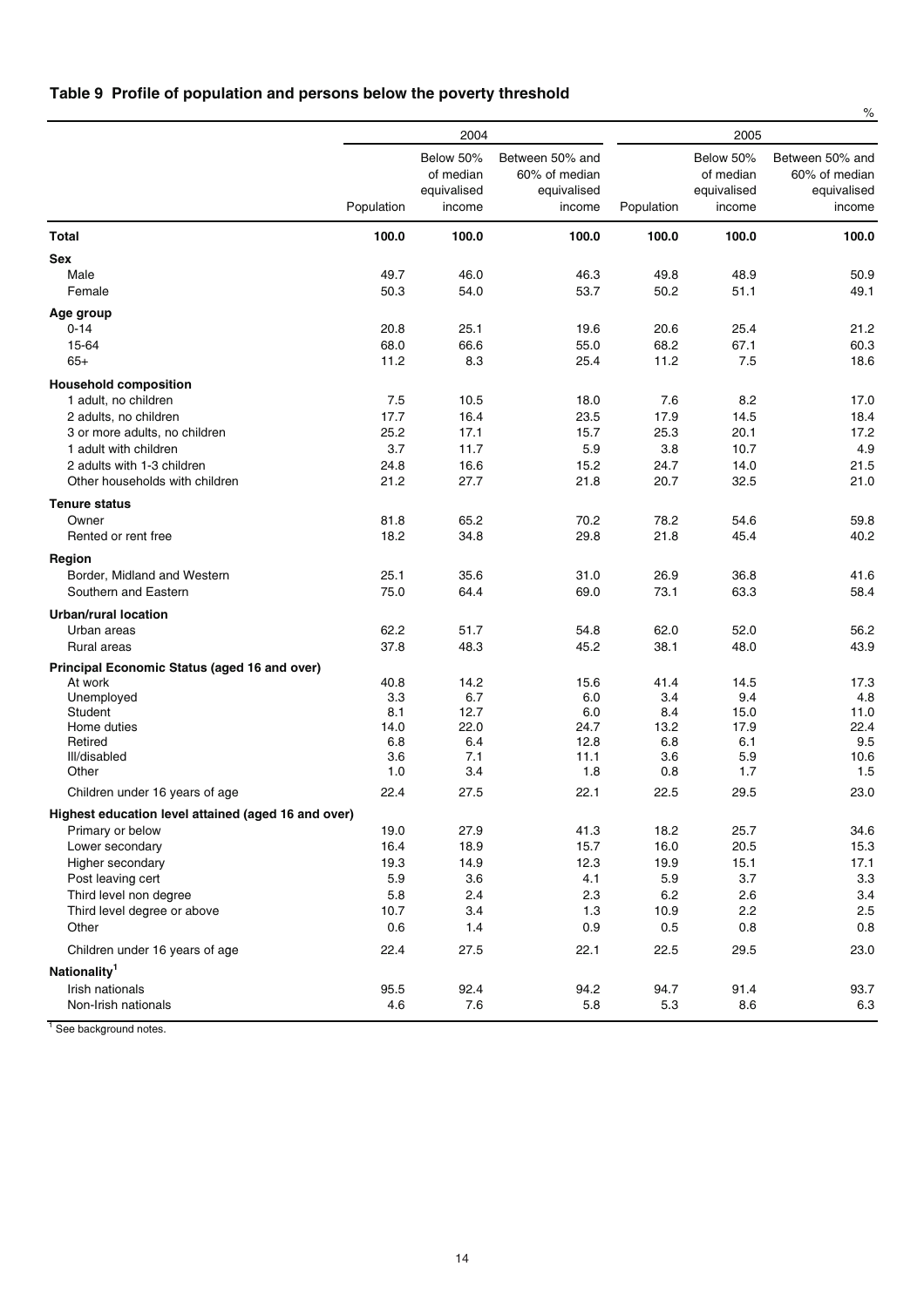## **Table 9 Profile of population and persons below the poverty threshold**

|                                                              |              |                                                 |                                                           |              |                                                 | $\%$                                                      |
|--------------------------------------------------------------|--------------|-------------------------------------------------|-----------------------------------------------------------|--------------|-------------------------------------------------|-----------------------------------------------------------|
|                                                              |              | 2004                                            |                                                           |              | 2005                                            |                                                           |
|                                                              | Population   | Below 50%<br>of median<br>equivalised<br>income | Between 50% and<br>60% of median<br>equivalised<br>income | Population   | Below 50%<br>of median<br>equivalised<br>income | Between 50% and<br>60% of median<br>equivalised<br>income |
| Total                                                        | 100.0        | 100.0                                           | 100.0                                                     | 100.0        | 100.0                                           | 100.0                                                     |
| <b>Sex</b>                                                   |              |                                                 |                                                           |              |                                                 |                                                           |
| Male<br>Female                                               | 49.7<br>50.3 | 46.0<br>54.0                                    | 46.3<br>53.7                                              | 49.8<br>50.2 | 48.9<br>51.1                                    | 50.9<br>49.1                                              |
| Age group                                                    |              |                                                 |                                                           |              |                                                 |                                                           |
| $0 - 14$                                                     | 20.8         | 25.1                                            | 19.6                                                      | 20.6         | 25.4                                            | 21.2                                                      |
| 15-64                                                        | 68.0         | 66.6                                            | 55.0                                                      | 68.2         | 67.1                                            | 60.3                                                      |
| $65+$                                                        | 11.2         | 8.3                                             | 25.4                                                      | 11.2         | 7.5                                             | 18.6                                                      |
| <b>Household composition</b>                                 |              |                                                 |                                                           |              |                                                 |                                                           |
| 1 adult, no children                                         | 7.5          | 10.5                                            | 18.0                                                      | 7.6          | 8.2                                             | 17.0                                                      |
| 2 adults, no children                                        | 17.7         | 16.4                                            | 23.5                                                      | 17.9         | 14.5                                            | 18.4                                                      |
| 3 or more adults, no children                                | 25.2         | 17.1                                            | 15.7                                                      | 25.3         | 20.1                                            | 17.2                                                      |
| 1 adult with children                                        | 3.7          | 11.7                                            | 5.9                                                       | 3.8          | 10.7                                            | 4.9                                                       |
| 2 adults with 1-3 children<br>Other households with children | 24.8<br>21.2 | 16.6                                            | 15.2<br>21.8                                              | 24.7<br>20.7 | 14.0                                            | 21.5<br>21.0                                              |
|                                                              |              | 27.7                                            |                                                           |              | 32.5                                            |                                                           |
| <b>Tenure status</b>                                         |              |                                                 |                                                           |              |                                                 |                                                           |
| Owner                                                        | 81.8         | 65.2                                            | 70.2                                                      | 78.2         | 54.6                                            | 59.8                                                      |
| Rented or rent free                                          | 18.2         | 34.8                                            | 29.8                                                      | 21.8         | 45.4                                            | 40.2                                                      |
| Region                                                       |              |                                                 |                                                           |              |                                                 |                                                           |
| Border, Midland and Western                                  | 25.1         | 35.6                                            | 31.0                                                      | 26.9         | 36.8                                            | 41.6                                                      |
| Southern and Eastern                                         | 75.0         | 64.4                                            | 69.0                                                      | 73.1         | 63.3                                            | 58.4                                                      |
| <b>Urban/rural location</b>                                  |              |                                                 |                                                           |              |                                                 |                                                           |
| Urban areas                                                  | 62.2         | 51.7                                            | 54.8                                                      | 62.0         | 52.0                                            | 56.2                                                      |
| Rural areas                                                  | 37.8         | 48.3                                            | 45.2                                                      | 38.1         | 48.0                                            | 43.9                                                      |
| Principal Economic Status (aged 16 and over)                 |              |                                                 |                                                           |              |                                                 |                                                           |
| At work                                                      | 40.8         | 14.2                                            | 15.6                                                      | 41.4         | 14.5                                            | 17.3                                                      |
| Unemployed                                                   | 3.3          | 6.7                                             | 6.0                                                       | 3.4          | 9.4                                             | 4.8                                                       |
| Student                                                      | 8.1          | 12.7                                            | 6.0                                                       | 8.4          | 15.0                                            | 11.0                                                      |
| Home duties<br>Retired                                       | 14.0<br>6.8  | 22.0<br>6.4                                     | 24.7<br>12.8                                              | 13.2<br>6.8  | 17.9<br>6.1                                     | 22.4<br>9.5                                               |
| Ill/disabled                                                 | 3.6          | 7.1                                             | 11.1                                                      | 3.6          | 5.9                                             | 10.6                                                      |
| Other                                                        | 1.0          | 3.4                                             | 1.8                                                       | 0.8          | 1.7                                             | 1.5                                                       |
| Children under 16 years of age                               | 22.4         | 27.5                                            | 22.1                                                      | 22.5         | 29.5                                            | 23.0                                                      |
| Highest education level attained (aged 16 and over)          |              |                                                 |                                                           |              |                                                 |                                                           |
| Primary or below                                             | 19.0         | 27.9                                            | 41.3                                                      | 18.2         | 25.7                                            | 34.6                                                      |
| Lower secondary                                              | 16.4         | 18.9                                            | 15.7                                                      | 16.0         | 20.5                                            | 15.3                                                      |
| Higher secondary                                             | 19.3         | 14.9                                            | 12.3                                                      | 19.9         | 15.1                                            | 17.1                                                      |
| Post leaving cert                                            | 5.9          | 3.6                                             | 4.1                                                       | 5.9          | 3.7                                             | 3.3                                                       |
| Third level non degree                                       | 5.8          | 2.4                                             | 2.3                                                       | 6.2          | 2.6                                             | 3.4                                                       |
| Third level degree or above                                  | 10.7         | 3.4                                             | 1.3                                                       | 10.9         | 2.2                                             | 2.5                                                       |
| Other                                                        | 0.6          | 1.4                                             | 0.9                                                       | 0.5          | 0.8                                             | 0.8                                                       |
| Children under 16 years of age                               | 22.4         | 27.5                                            | 22.1                                                      | 22.5         | 29.5                                            | 23.0                                                      |
| Nationality <sup>1</sup>                                     |              |                                                 |                                                           |              |                                                 |                                                           |
| Irish nationals                                              | 95.5         | 92.4                                            | 94.2                                                      | 94.7         | 91.4                                            | 93.7                                                      |
| Non-Irish nationals                                          | 4.6          | 7.6                                             | 5.8                                                       | 5.3          | 8.6                                             | 6.3                                                       |
|                                                              |              |                                                 |                                                           |              |                                                 |                                                           |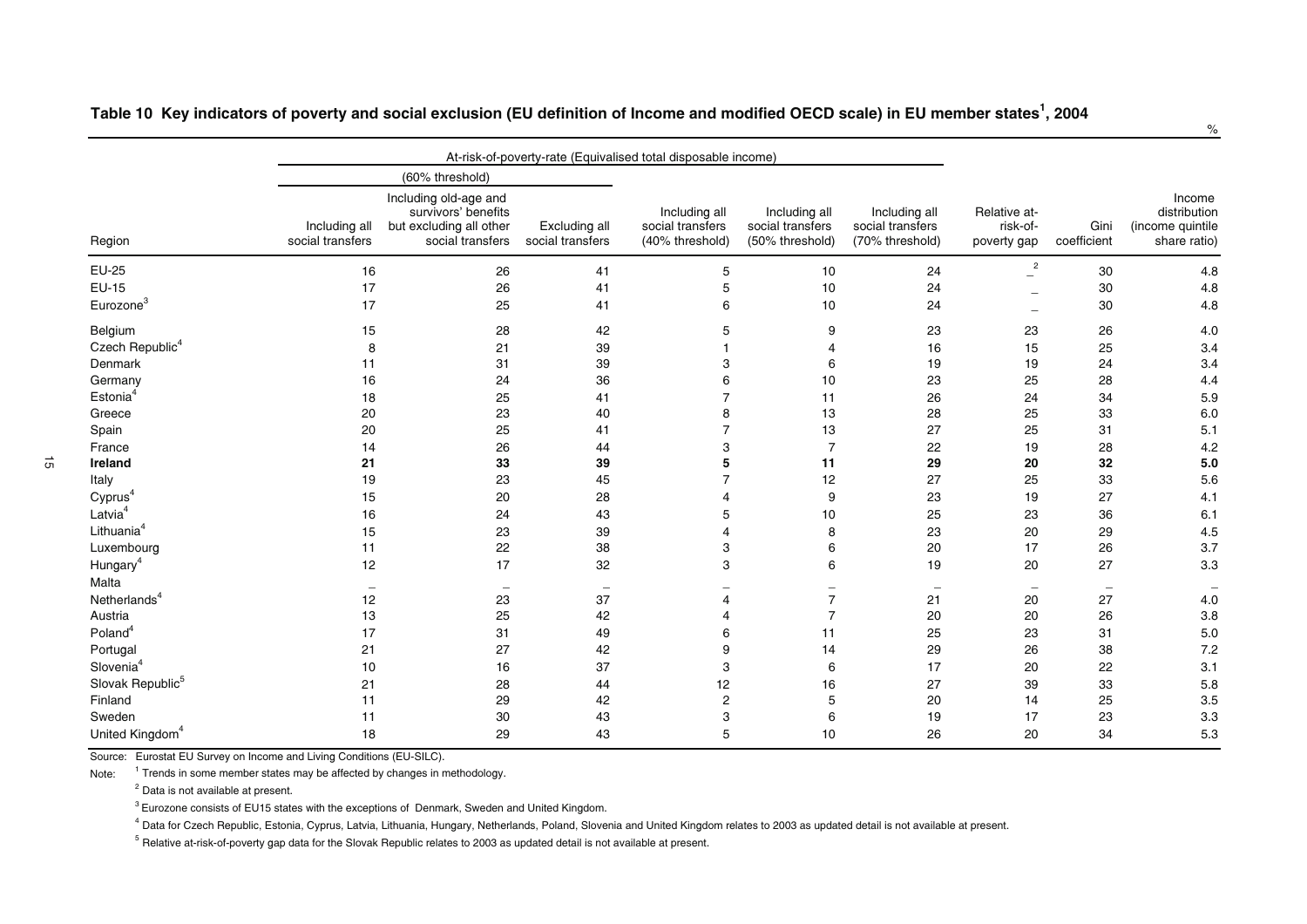|                              |                                   | At-risk-of-poverty-rate (Equivalised total disposable income)                               |                                   |                                                      |                                                      |                                                      |                                            |                          |                                                            |
|------------------------------|-----------------------------------|---------------------------------------------------------------------------------------------|-----------------------------------|------------------------------------------------------|------------------------------------------------------|------------------------------------------------------|--------------------------------------------|--------------------------|------------------------------------------------------------|
|                              |                                   | (60% threshold)                                                                             |                                   |                                                      |                                                      |                                                      |                                            |                          |                                                            |
| Region                       | Including all<br>social transfers | Including old-age and<br>survivors' benefits<br>but excluding all other<br>social transfers | Excluding all<br>social transfers | Including all<br>social transfers<br>(40% threshold) | Including all<br>social transfers<br>(50% threshold) | Including all<br>social transfers<br>(70% threshold) | Relative at-<br>risk-of-<br>poverty gap    | Gini<br>coefficient      | Income<br>distribution<br>(income quintile<br>share ratio) |
| EU-25                        | 16                                | 26                                                                                          | 41                                | 5                                                    | 10                                                   | 24                                                   | $\overline{c}$<br>$\overline{\phantom{a}}$ | 30                       | 4.8                                                        |
| <b>EU-15</b>                 | 17                                | 26                                                                                          | 41                                | 5                                                    | 10                                                   | 24                                                   | $\overline{\phantom{0}}$                   | 30                       | 4.8                                                        |
| Eurozone <sup>3</sup>        | 17                                | 25                                                                                          | 41                                | 6                                                    | 10                                                   | 24                                                   | $\overline{\phantom{0}}$                   | 30                       | 4.8                                                        |
| Belgium                      | 15                                | 28                                                                                          | 42                                | 5                                                    | 9                                                    | 23                                                   | 23                                         | 26                       | 4.0                                                        |
| Czech Republic <sup>4</sup>  | 8                                 | 21                                                                                          | 39                                |                                                      | 4                                                    | 16                                                   | 15                                         | 25                       | 3.4                                                        |
| Denmark                      | 11                                | 31                                                                                          | 39                                | 3                                                    | 6                                                    | 19                                                   | 19                                         | 24                       | 3.4                                                        |
| Germany                      | 16                                | 24                                                                                          | 36                                | 6                                                    | 10                                                   | 23                                                   | 25                                         | 28                       | 4.4                                                        |
| Estonia <sup>4</sup>         | 18                                | 25                                                                                          | 41                                | $\overline{7}$                                       | 11                                                   | 26                                                   | 24                                         | 34                       | 5.9                                                        |
| Greece                       | 20                                | 23                                                                                          | 40                                | 8                                                    | 13                                                   | 28                                                   | 25                                         | 33                       | 6.0                                                        |
| Spain                        | 20                                | 25                                                                                          | 41                                | $\overline{7}$                                       | 13                                                   | 27                                                   | 25                                         | 31                       | 5.1                                                        |
| France                       | 14                                | 26                                                                                          | 44                                | 3                                                    | $\overline{7}$                                       | 22                                                   | 19                                         | 28                       | 4.2                                                        |
| Ireland                      | 21                                | 33                                                                                          | 39                                | 5                                                    | 11                                                   | 29                                                   | 20                                         | 32                       | $5.0$                                                      |
| Italy                        | 19                                | 23                                                                                          | 45                                | $\overline{7}$                                       | 12                                                   | 27                                                   | 25                                         | 33                       | 5.6                                                        |
| Cyprus <sup>4</sup>          | 15                                | 20                                                                                          | 28                                | $\overline{4}$                                       | 9                                                    | 23                                                   | 19                                         | 27                       | 4.1                                                        |
| Latvia <sup>4</sup>          | 16                                | 24                                                                                          | 43                                | 5                                                    | 10                                                   | 25                                                   | 23                                         | 36                       | 6.1                                                        |
| Lithuania <sup>4</sup>       | 15                                | 23                                                                                          | 39                                | $\overline{4}$                                       | 8                                                    | 23                                                   | 20                                         | 29                       | 4.5                                                        |
| Luxembourg                   | 11                                | 22                                                                                          | 38                                | 3                                                    | 6                                                    | 20                                                   | 17                                         | 26                       | 3.7                                                        |
| Hungary <sup>4</sup>         | 12                                | 17                                                                                          | 32                                | 3                                                    | 6                                                    | 19                                                   | 20                                         | 27                       | 3.3                                                        |
| Malta                        | $\overline{\phantom{m}}$          | $\overline{\phantom{m}}$                                                                    | $\hspace{0.1mm}-\hspace{0.1mm}$   | $\overline{\phantom{0}}$                             | $\overline{\phantom{m}}$                             | $\overline{\phantom{m}}$                             | $\hspace{0.1mm}-\hspace{0.1mm}$            | $\overline{\phantom{m}}$ | $\overline{\phantom{0}}$                                   |
| Netherlands <sup>4</sup>     | 12                                | 23                                                                                          | 37                                | $\overline{4}$                                       | $\overline{7}$                                       | 21                                                   | 20                                         | 27                       | 4.0                                                        |
| Austria                      | 13                                | 25                                                                                          | 42                                | 4                                                    | $\overline{7}$                                       | 20                                                   | 20                                         | 26                       | 3.8                                                        |
| Poland <sup>4</sup>          | 17                                | 31                                                                                          | 49                                | 6                                                    | 11                                                   | 25                                                   | 23                                         | 31                       | 5.0                                                        |
| Portugal                     | 21                                | 27                                                                                          | 42                                | 9                                                    | 14                                                   | 29                                                   | 26                                         | 38                       | 7.2                                                        |
| Slovenia <sup>4</sup>        | 10                                | 16                                                                                          | 37                                | 3                                                    | 6                                                    | 17                                                   | 20                                         | 22                       | 3.1                                                        |
| Slovak Republic <sup>5</sup> | 21                                | 28                                                                                          | 44                                | 12                                                   | 16                                                   | 27                                                   | 39                                         | 33                       | 5.8                                                        |
| Finland                      | 11                                | 29                                                                                          | 42                                | $\boldsymbol{2}$                                     | 5                                                    | 20                                                   | 14                                         | 25                       | 3.5                                                        |
| Sweden                       | 11                                | 30                                                                                          | 43                                | 3                                                    | 6                                                    | 19                                                   | 17                                         | 23                       | 3.3                                                        |
| United Kingdom <sup>4</sup>  | 18                                | 29                                                                                          | 43                                | 5                                                    | 10                                                   | 26                                                   | 20                                         | 34                       | 5.3                                                        |

Table 10 Key indicators of poverty and social exclusion (EU definition of Income and modified OECD scale) in EU member states<sup>1</sup>, 2004

Source: Eurostat EU Survey on Income and Living Conditions (EU-SILC).

Note: $<sup>1</sup>$  Trends in some member states may be affected by changes in methodology.</sup>

<sup>2</sup> Data is not available at present.

 ${}^{3}$  Eurozone consists of EU15 states with the exceptions of Denmark, Sweden and United Kingdom.

<sup>4</sup> Data for Czech Republic, Estonia, Cyprus, Latvia, Lithuania, Hungary, Netherlands, Poland, Slovenia and United Kingdom relates to 2003 as updated detail is not available at present.

 $^5$  Relative at-risk-of-poverty gap data for the Slovak Republic relates to 2003 as updated detail is not available at present.

 $\vec{\sigma}$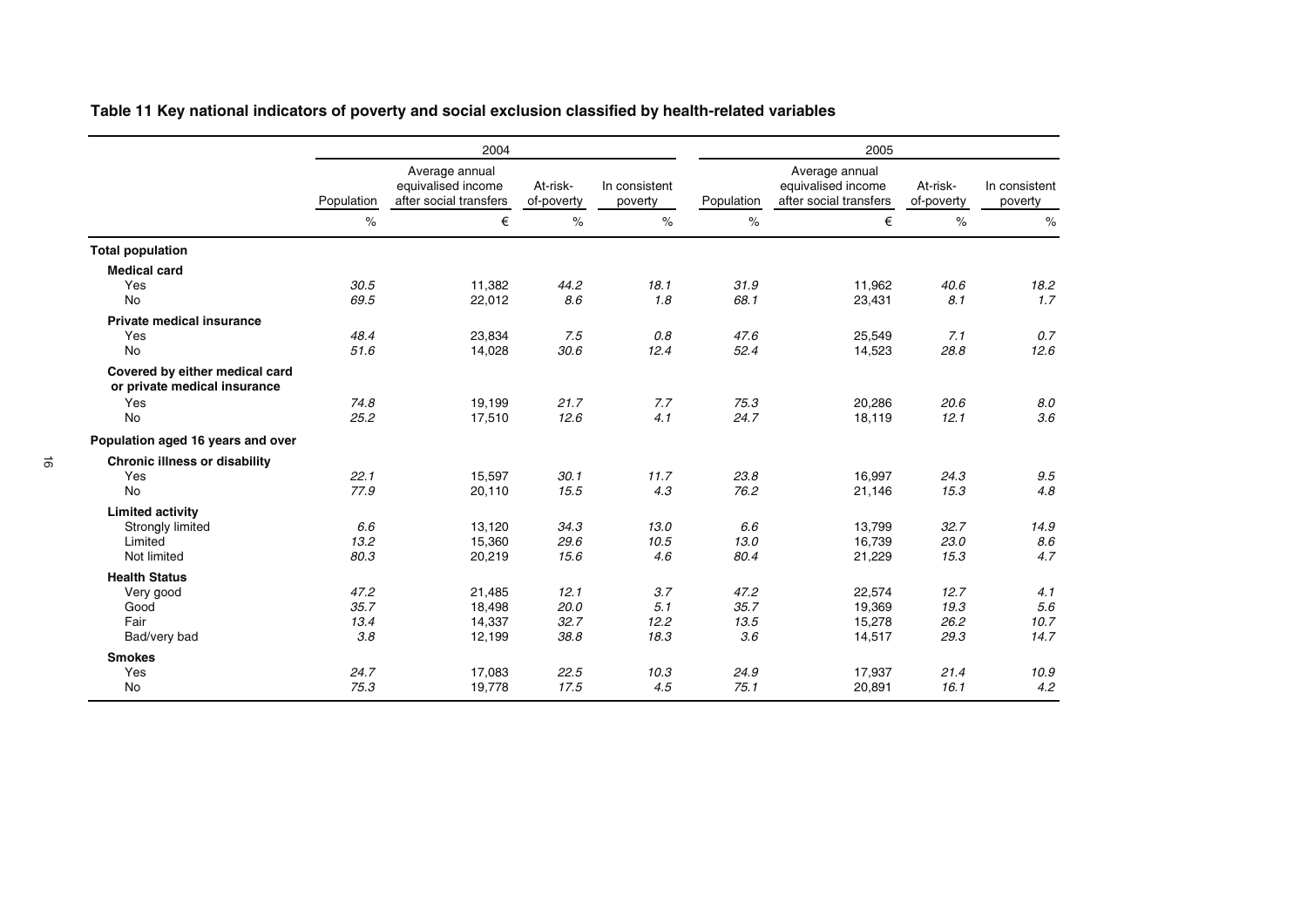|  | Table 11 Key national indicators of poverty and social exclusion classified by health-related variables |  |
|--|---------------------------------------------------------------------------------------------------------|--|
|  |                                                                                                         |  |

|                                                                |            | 2004                                                           |                        |                          | 2005       |                                                                |                        |                          |
|----------------------------------------------------------------|------------|----------------------------------------------------------------|------------------------|--------------------------|------------|----------------------------------------------------------------|------------------------|--------------------------|
|                                                                | Population | Average annual<br>equivalised income<br>after social transfers | At-risk-<br>of-poverty | In consistent<br>poverty | Population | Average annual<br>equivalised income<br>after social transfers | At-risk-<br>of-poverty | In consistent<br>poverty |
|                                                                | $\%$       | €                                                              | $\%$                   | $\%$                     | $\%$       | €                                                              | $\frac{1}{6}$          | $\%$                     |
| <b>Total population</b>                                        |            |                                                                |                        |                          |            |                                                                |                        |                          |
| <b>Medical card</b>                                            |            |                                                                |                        |                          |            |                                                                |                        |                          |
| Yes                                                            | 30.5       | 11,382                                                         | 44.2                   | 18.1                     | 31.9       | 11.962                                                         | 40.6                   | 18.2                     |
| No                                                             | 69.5       | 22,012                                                         | 8.6                    | 1.8                      | 68.1       | 23,431                                                         | 8.1                    | 1.7                      |
| <b>Private medical insurance</b>                               |            |                                                                |                        |                          |            |                                                                |                        |                          |
| Yes                                                            | 48.4       | 23,834                                                         | 7.5                    | 0.8                      | 47.6       | 25,549                                                         | 7.1                    | 0.7                      |
| No                                                             | 51.6       | 14,028                                                         | 30.6                   | 12.4                     | 52.4       | 14,523                                                         | 28.8                   | 12.6                     |
| Covered by either medical card<br>or private medical insurance |            |                                                                |                        |                          |            |                                                                |                        |                          |
| Yes                                                            | 74.8       | 19,199                                                         | 21.7                   | 7.7                      | 75.3       | 20,286                                                         | 20.6                   | 8.0                      |
| <b>No</b>                                                      | 25.2       | 17,510                                                         | 12.6                   | 4.1                      | 24.7       | 18,119                                                         | 12.1                   | 3.6                      |
| Population aged 16 years and over                              |            |                                                                |                        |                          |            |                                                                |                        |                          |
| <b>Chronic illness or disability</b>                           |            |                                                                |                        |                          |            |                                                                |                        |                          |
| Yes                                                            | 22.1       | 15,597                                                         | 30.1                   | 11.7                     | 23.8       | 16,997                                                         | 24.3                   | 9.5                      |
| <b>No</b>                                                      | 77.9       | 20,110                                                         | 15.5                   | 4.3                      | 76.2       | 21,146                                                         | 15.3                   | 4.8                      |
| <b>Limited activity</b>                                        |            |                                                                |                        |                          |            |                                                                |                        |                          |
| Strongly limited                                               | 6.6        | 13,120                                                         | 34.3                   | 13.0                     | 6.6        | 13,799                                                         | 32.7                   | 14.9                     |
| Limited                                                        | 13.2       | 15,360                                                         | 29.6                   | 10.5                     | 13.0       | 16,739                                                         | 23.0                   | 8.6                      |
| Not limited                                                    | 80.3       | 20,219                                                         | 15.6                   | 4.6                      | 80.4       | 21,229                                                         | 15.3                   | 4.7                      |
| <b>Health Status</b>                                           |            |                                                                |                        |                          |            |                                                                |                        |                          |
| Very good                                                      | 47.2       | 21,485                                                         | 12.1                   | 3.7                      | 47.2       | 22,574                                                         | 12.7                   | 4.1                      |
| Good                                                           | 35.7       | 18,498                                                         | 20.0                   | 5.1                      | 35.7       | 19,369                                                         | 19.3                   | 5.6                      |
| Fair                                                           | 13.4       | 14,337                                                         | 32.7                   | 12.2                     | 13.5       | 15,278                                                         | 26.2                   | 10.7                     |
| Bad/very bad                                                   | 3.8        | 12,199                                                         | 38.8                   | 18.3                     | 3.6        | 14,517                                                         | 29.3                   | 14.7                     |
| <b>Smokes</b>                                                  |            |                                                                |                        |                          |            |                                                                |                        |                          |
| Yes                                                            | 24.7       | 17,083                                                         | 22.5                   | 10.3                     | 24.9       | 17,937                                                         | 21.4                   | 10.9                     |
| <b>No</b>                                                      | 75.3       | 19,778                                                         | 17.5                   | 4.5                      | 75.1       | 20,891                                                         | 16.1                   | 4.2                      |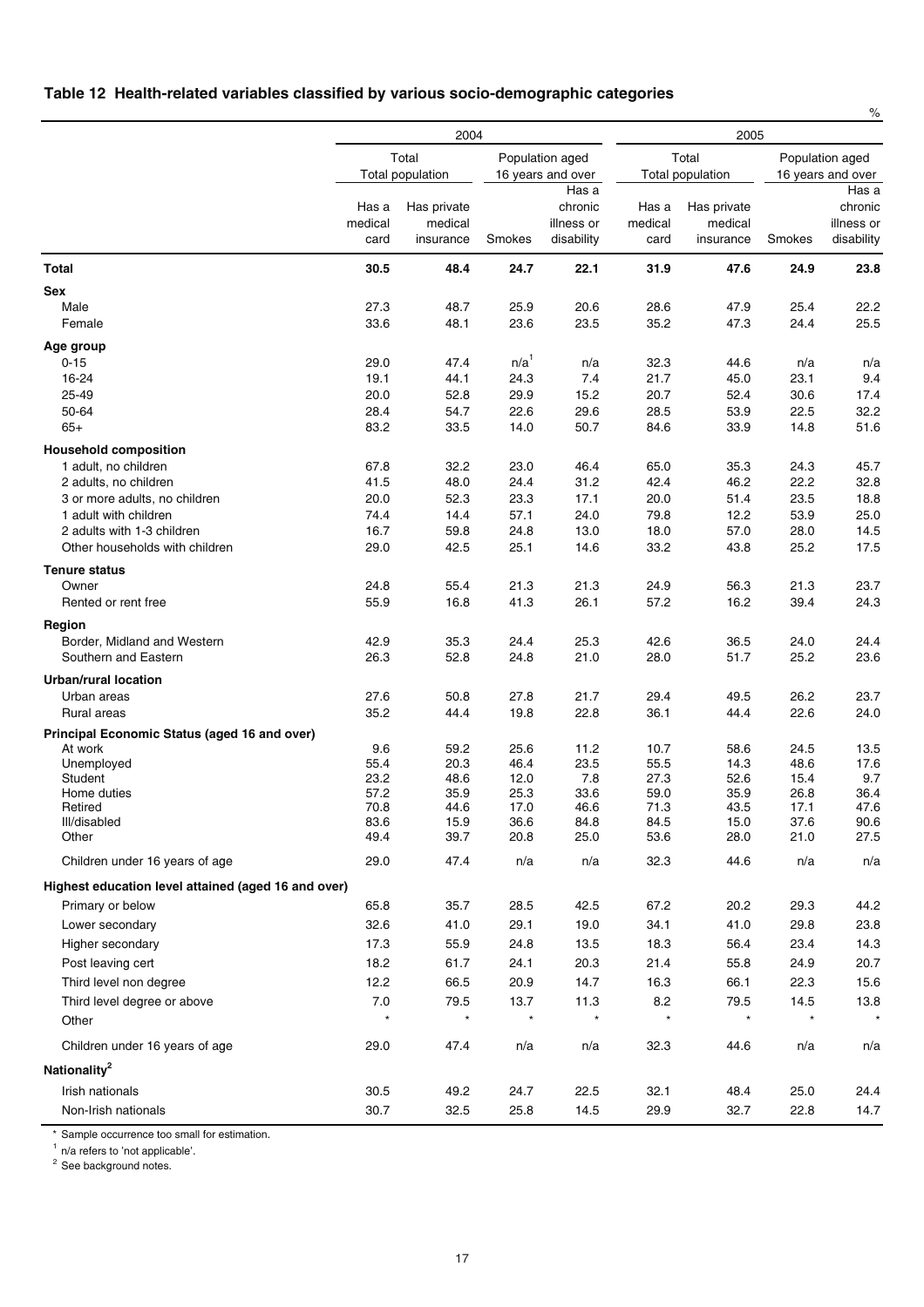## **Table 12 Health-related variables classified by various socio-demographic categories**

|                                                      |                          | 2004                                | 2005             |                                              |                          |                                     |              |                                              |
|------------------------------------------------------|--------------------------|-------------------------------------|------------------|----------------------------------------------|--------------------------|-------------------------------------|--------------|----------------------------------------------|
|                                                      |                          | Total<br>Total population           |                  | Population aged<br>16 years and over         |                          | Total<br>Total population           |              | Population aged<br>16 years and over         |
|                                                      | Has a<br>medical<br>card | Has private<br>medical<br>insurance | Smokes           | Has a<br>chronic<br>illness or<br>disability | Has a<br>medical<br>card | Has private<br>medical<br>insurance | Smokes       | Has a<br>chronic<br>illness or<br>disability |
| <b>Total</b>                                         | 30.5                     | 48.4                                | 24.7             | 22.1                                         | 31.9                     | 47.6                                | 24.9         | 23.8                                         |
| Sex                                                  |                          |                                     |                  |                                              |                          |                                     |              |                                              |
| Male                                                 | 27.3                     | 48.7                                | 25.9             | 20.6                                         | 28.6                     | 47.9                                | 25.4         | 22.2                                         |
| Female                                               | 33.6                     | 48.1                                | 23.6             | 23.5                                         | 35.2                     | 47.3                                | 24.4         | 25.5                                         |
| Age group                                            |                          |                                     |                  |                                              |                          |                                     |              |                                              |
| $0 - 15$                                             | 29.0                     | 47.4                                | n/a <sup>1</sup> | n/a                                          | 32.3                     | 44.6                                | n/a          | n/a                                          |
| 16-24                                                | 19.1                     | 44.1                                | 24.3             | 7.4                                          | 21.7                     | 45.0                                | 23.1         | 9.4                                          |
| 25-49<br>50-64                                       | 20.0<br>28.4             | 52.8<br>54.7                        | 29.9<br>22.6     | 15.2                                         | 20.7                     | 52.4<br>53.9                        | 30.6         | 17.4                                         |
| $65+$                                                | 83.2                     | 33.5                                | 14.0             | 29.6<br>50.7                                 | 28.5<br>84.6             | 33.9                                | 22.5<br>14.8 | 32.2<br>51.6                                 |
|                                                      |                          |                                     |                  |                                              |                          |                                     |              |                                              |
| <b>Household composition</b><br>1 adult, no children | 67.8                     | 32.2                                | 23.0             | 46.4                                         | 65.0                     | 35.3                                | 24.3         | 45.7                                         |
| 2 adults, no children                                | 41.5                     | 48.0                                | 24.4             | 31.2                                         | 42.4                     | 46.2                                | 22.2         | 32.8                                         |
| 3 or more adults, no children                        | 20.0                     | 52.3                                | 23.3             | 17.1                                         | 20.0                     | 51.4                                | 23.5         | 18.8                                         |
| 1 adult with children                                | 74.4                     | 14.4                                | 57.1             | 24.0                                         | 79.8                     | 12.2                                | 53.9         | 25.0                                         |
| 2 adults with 1-3 children                           | 16.7                     | 59.8                                | 24.8             | 13.0                                         | 18.0                     | 57.0                                | 28.0         | 14.5                                         |
| Other households with children                       | 29.0                     | 42.5                                | 25.1             | 14.6                                         | 33.2                     | 43.8                                | 25.2         | 17.5                                         |
| <b>Tenure status</b>                                 |                          |                                     |                  |                                              |                          |                                     |              |                                              |
| Owner                                                | 24.8                     | 55.4                                | 21.3             | 21.3                                         | 24.9                     | 56.3                                | 21.3         | 23.7                                         |
| Rented or rent free                                  | 55.9                     | 16.8                                | 41.3             | 26.1                                         | 57.2                     | 16.2                                | 39.4         | 24.3                                         |
| Region                                               |                          |                                     |                  |                                              |                          |                                     |              |                                              |
| Border, Midland and Western                          | 42.9                     | 35.3                                | 24.4             | 25.3                                         | 42.6                     | 36.5                                | 24.0         | 24.4                                         |
| Southern and Eastern                                 | 26.3                     | 52.8                                | 24.8             | 21.0                                         | 28.0                     | 51.7                                | 25.2         | 23.6                                         |
| <b>Urban/rural location</b>                          |                          |                                     |                  |                                              |                          |                                     |              |                                              |
| Urban areas                                          | 27.6                     | 50.8                                | 27.8             | 21.7                                         | 29.4                     | 49.5                                | 26.2         | 23.7                                         |
| Rural areas                                          | 35.2                     | 44.4                                | 19.8             | 22.8                                         | 36.1                     | 44.4                                | 22.6         | 24.0                                         |
| Principal Economic Status (aged 16 and over)         |                          |                                     |                  |                                              |                          |                                     |              |                                              |
| At work                                              | 9.6                      | 59.2                                | 25.6             | 11.2                                         | 10.7                     | 58.6                                | 24.5         | 13.5                                         |
| Unemployed<br>Student                                | 55.4<br>23.2             | 20.3<br>48.6                        | 46.4<br>12.0     | 23.5<br>7.8                                  | 55.5<br>27.3             | 14.3<br>52.6                        | 48.6<br>15.4 | 17.6<br>9.7                                  |
| Home duties                                          | 57.2                     | 35.9                                | 25.3             | 33.6                                         | 59.0                     | 35.9                                | 26.8         | 36.4                                         |
| Retired                                              | 70.8                     | 44.6                                | 17.0             | 46.6                                         | 71.3                     | 43.5                                | 17.1         | 47.6                                         |
| Ill/disabled                                         | 83.6                     | 15.9                                | 36.6             | 84.8                                         | 84.5                     | 15.0                                | 37.6         | 90.6                                         |
| Other                                                | 49.4                     | 39.7                                | 20.8             | 25.0                                         | 53.6                     | 28.0                                | 21.0         | 27.5                                         |
| Children under 16 years of age                       | 29.0                     | 47.4                                | n/a              | n/a                                          | 32.3                     | 44.6                                | n/a          | n/a                                          |
| Highest education level attained (aged 16 and over)  |                          |                                     |                  |                                              |                          |                                     |              |                                              |
| Primary or below                                     | 65.8                     | 35.7                                | 28.5             | 42.5                                         | 67.2                     | 20.2                                | 29.3         | 44.2                                         |
| Lower secondary                                      | 32.6                     | 41.0                                | 29.1             | 19.0                                         | 34.1                     | 41.0                                | 29.8         | 23.8                                         |
| Higher secondary                                     | 17.3                     | 55.9                                | 24.8             | 13.5                                         | 18.3                     | 56.4                                | 23.4         | 14.3                                         |
| Post leaving cert                                    | 18.2                     | 61.7                                | 24.1             | 20.3                                         | 21.4                     | 55.8                                | 24.9         | 20.7                                         |
| Third level non degree                               | 12.2                     | 66.5                                | 20.9             | 14.7                                         | 16.3                     | 66.1                                | 22.3         | 15.6                                         |
| Third level degree or above                          | 7.0                      | 79.5                                | 13.7             | 11.3                                         | 8.2                      | 79.5                                | 14.5         | 13.8                                         |
| Other                                                | $\star$                  | $\star$                             | $\star$          | $\star$                                      | $\star$                  | $\star$                             | $\star$      |                                              |
|                                                      |                          |                                     |                  |                                              |                          |                                     |              |                                              |
| Children under 16 years of age                       | 29.0                     | 47.4                                | n/a              | n/a                                          | 32.3                     | 44.6                                | n/a          | n/a                                          |
| Nationality <sup>2</sup>                             |                          |                                     |                  |                                              |                          |                                     |              |                                              |
| Irish nationals                                      | 30.5                     | 49.2                                | 24.7             | 22.5                                         | 32.1                     | 48.4                                | 25.0         | 24.4                                         |
| Non-Irish nationals                                  | 30.7                     | 32.5                                | 25.8             | 14.5                                         | 29.9                     | 32.7                                | 22.8         | 14.7                                         |

\* Sample occurrence too small for estimation.

 $1$  n/a refers to 'not applicable'.

<sup>2</sup> See background notes.

 $\frac{9}{6}$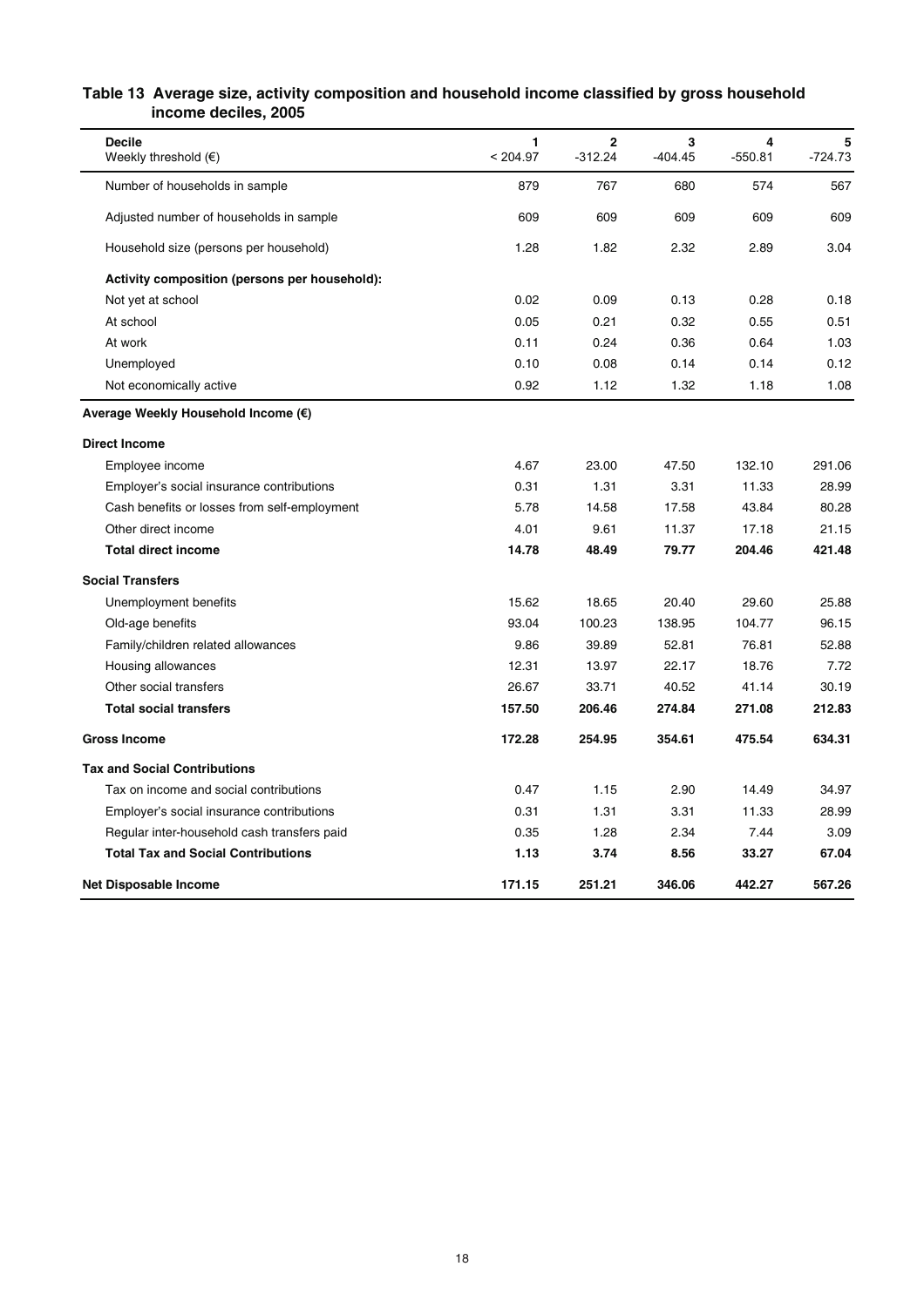#### **Table 13 Average size, activity composition and household income classified by gross household income deciles, 2005**

| <b>Decile</b><br>Weekly threshold $(\epsilon)$ | 1<br>< 204.97 | $\mathbf 2$<br>-312.24 | 3<br>-404.45 | 4<br>$-550.81$ | 5<br>-724.73 |
|------------------------------------------------|---------------|------------------------|--------------|----------------|--------------|
| Number of households in sample                 | 879           | 767                    | 680          | 574            | 567          |
| Adjusted number of households in sample        | 609           | 609                    | 609          | 609            | 609          |
| Household size (persons per household)         | 1.28          | 1.82                   | 2.32         | 2.89           | 3.04         |
| Activity composition (persons per household):  |               |                        |              |                |              |
| Not yet at school                              | 0.02          | 0.09                   | 0.13         | 0.28           | 0.18         |
| At school                                      | 0.05          | 0.21                   | 0.32         | 0.55           | 0.51         |
| At work                                        | 0.11          | 0.24                   | 0.36         | 0.64           | 1.03         |
| Unemployed                                     | 0.10          | 0.08                   | 0.14         | 0.14           | 0.12         |
| Not economically active                        | 0.92          | 1.12                   | 1.32         | 1.18           | 1.08         |
| Average Weekly Household Income (€)            |               |                        |              |                |              |
| <b>Direct Income</b>                           |               |                        |              |                |              |
| Employee income                                | 4.67          | 23.00                  | 47.50        | 132.10         | 291.06       |
| Employer's social insurance contributions      | 0.31          | 1.31                   | 3.31         | 11.33          | 28.99        |
| Cash benefits or losses from self-employment   | 5.78          | 14.58                  | 17.58        | 43.84          | 80.28        |
| Other direct income                            | 4.01          | 9.61                   | 11.37        | 17.18          | 21.15        |
| <b>Total direct income</b>                     | 14.78         | 48.49                  | 79.77        | 204.46         | 421.48       |
| <b>Social Transfers</b>                        |               |                        |              |                |              |
| Unemployment benefits                          | 15.62         | 18.65                  | 20.40        | 29.60          | 25.88        |
| Old-age benefits                               | 93.04         | 100.23                 | 138.95       | 104.77         | 96.15        |
| Family/children related allowances             | 9.86          | 39.89                  | 52.81        | 76.81          | 52.88        |
| Housing allowances                             | 12.31         | 13.97                  | 22.17        | 18.76          | 7.72         |
| Other social transfers                         | 26.67         | 33.71                  | 40.52        | 41.14          | 30.19        |
| <b>Total social transfers</b>                  | 157.50        | 206.46                 | 274.84       | 271.08         | 212.83       |
| <b>Gross Income</b>                            | 172.28        | 254.95                 | 354.61       | 475.54         | 634.31       |
| <b>Tax and Social Contributions</b>            |               |                        |              |                |              |
| Tax on income and social contributions         | 0.47          | 1.15                   | 2.90         | 14.49          | 34.97        |
| Employer's social insurance contributions      | 0.31          | 1.31                   | 3.31         | 11.33          | 28.99        |
| Regular inter-household cash transfers paid    | 0.35          | 1.28                   | 2.34         | 7.44           | 3.09         |
| <b>Total Tax and Social Contributions</b>      | 1.13          | 3.74                   | 8.56         | 33.27          | 67.04        |
| Net Disposable Income                          | 171.15        | 251.21                 | 346.06       | 442.27         | 567.26       |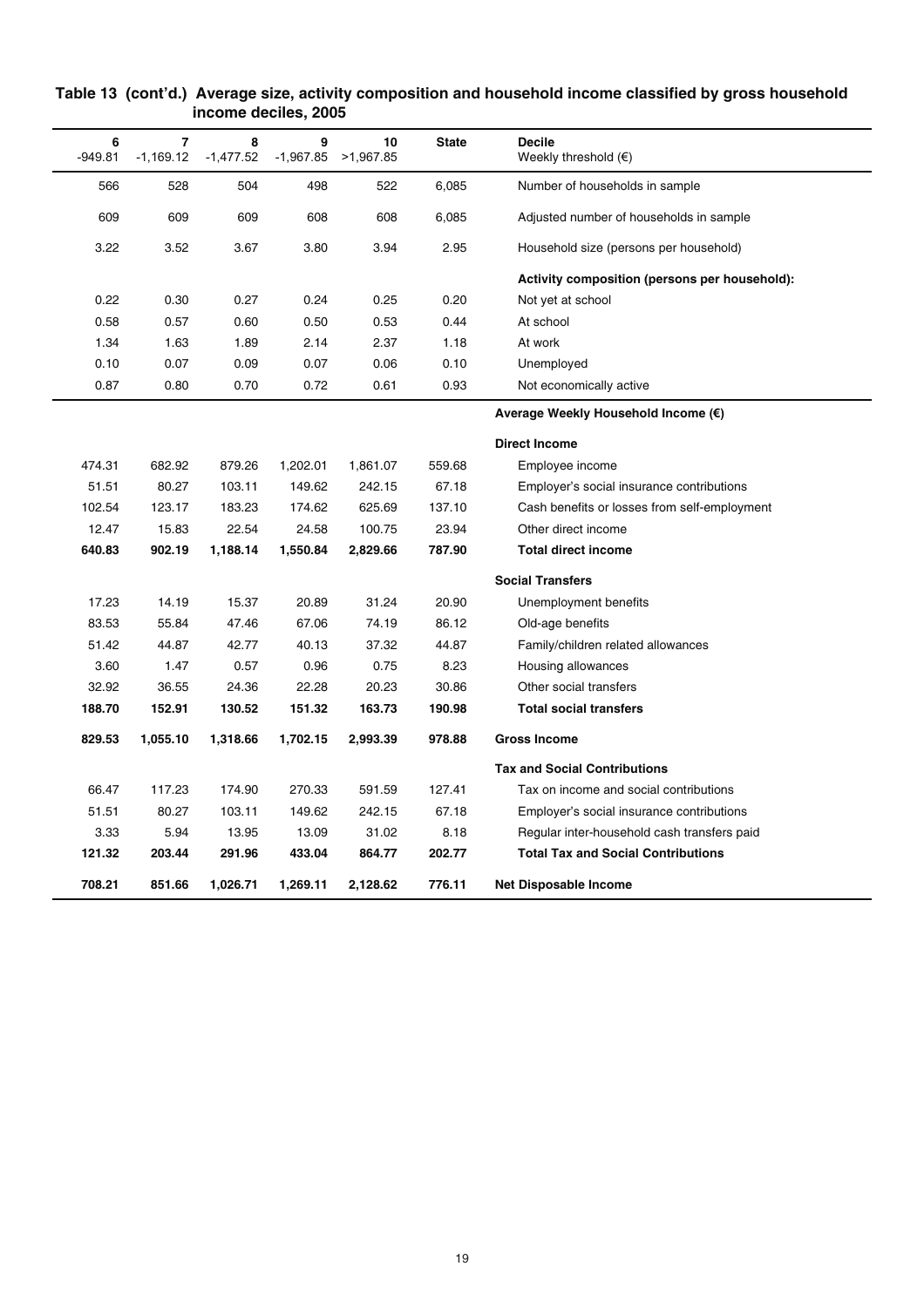| 6<br>$-949.81$<br>566<br>609<br>3.22<br>0.22<br>0.58<br>1.34<br>0.10<br>0.87<br>474.31<br>51.51<br>102.54<br>12.47<br>640.83<br>17.23<br>83.53<br>51.42 | 7<br>$-1,169.12$<br>528<br>609<br>3.52<br>0.30<br>0.57<br>1.63<br>0.07 | 8<br>$-1,477.52$<br>504<br>609<br>3.67<br>0.27<br>0.60 | 9<br>498<br>608<br>3.80<br>0.24<br>0.50 | 10<br>$-1,967.85$ >1,967.85<br>522<br>608<br>3.94 | <b>State</b><br>6,085<br>6,085<br>2.95 | <b>Decile</b><br>Weekly threshold $(\epsilon)$<br>Number of households in sample<br>Adjusted number of households in sample<br>Household size (persons per household) |
|---------------------------------------------------------------------------------------------------------------------------------------------------------|------------------------------------------------------------------------|--------------------------------------------------------|-----------------------------------------|---------------------------------------------------|----------------------------------------|-----------------------------------------------------------------------------------------------------------------------------------------------------------------------|
|                                                                                                                                                         |                                                                        |                                                        |                                         |                                                   |                                        |                                                                                                                                                                       |
|                                                                                                                                                         |                                                                        |                                                        |                                         |                                                   |                                        |                                                                                                                                                                       |
|                                                                                                                                                         |                                                                        |                                                        |                                         |                                                   |                                        |                                                                                                                                                                       |
|                                                                                                                                                         |                                                                        |                                                        |                                         |                                                   |                                        |                                                                                                                                                                       |
|                                                                                                                                                         |                                                                        |                                                        |                                         |                                                   |                                        | Activity composition (persons per household):                                                                                                                         |
|                                                                                                                                                         |                                                                        |                                                        |                                         | 0.25                                              | 0.20                                   | Not yet at school                                                                                                                                                     |
|                                                                                                                                                         |                                                                        |                                                        |                                         | 0.53                                              | 0.44                                   | At school                                                                                                                                                             |
|                                                                                                                                                         |                                                                        | 1.89                                                   | 2.14                                    | 2.37                                              | 1.18                                   | At work                                                                                                                                                               |
|                                                                                                                                                         |                                                                        | 0.09                                                   | 0.07                                    | 0.06                                              | 0.10                                   | Unemployed                                                                                                                                                            |
|                                                                                                                                                         | 0.80                                                                   | 0.70                                                   | 0.72                                    | 0.61                                              | 0.93                                   | Not economically active                                                                                                                                               |
|                                                                                                                                                         |                                                                        |                                                        |                                         |                                                   |                                        | Average Weekly Household Income (€)                                                                                                                                   |
|                                                                                                                                                         |                                                                        |                                                        |                                         |                                                   |                                        | <b>Direct Income</b>                                                                                                                                                  |
|                                                                                                                                                         | 682.92                                                                 | 879.26                                                 | 1,202.01                                | 1,861.07                                          | 559.68                                 | Employee income                                                                                                                                                       |
|                                                                                                                                                         | 80.27                                                                  | 103.11                                                 | 149.62                                  | 242.15                                            | 67.18                                  | Employer's social insurance contributions                                                                                                                             |
|                                                                                                                                                         | 123.17                                                                 | 183.23                                                 | 174.62                                  | 625.69                                            | 137.10                                 | Cash benefits or losses from self-employment                                                                                                                          |
|                                                                                                                                                         | 15.83                                                                  | 22.54                                                  | 24.58                                   | 100.75                                            | 23.94                                  | Other direct income                                                                                                                                                   |
|                                                                                                                                                         | 902.19                                                                 | 1,188.14                                               | 1,550.84                                | 2,829.66                                          | 787.90                                 | <b>Total direct income</b>                                                                                                                                            |
|                                                                                                                                                         |                                                                        |                                                        |                                         |                                                   |                                        | <b>Social Transfers</b>                                                                                                                                               |
|                                                                                                                                                         | 14.19                                                                  | 15.37                                                  | 20.89                                   | 31.24                                             | 20.90                                  | Unemployment benefits                                                                                                                                                 |
|                                                                                                                                                         | 55.84                                                                  | 47.46                                                  | 67.06                                   | 74.19                                             | 86.12                                  | Old-age benefits                                                                                                                                                      |
|                                                                                                                                                         | 44.87                                                                  | 42.77                                                  | 40.13                                   | 37.32                                             | 44.87                                  | Family/children related allowances                                                                                                                                    |
| 3.60                                                                                                                                                    | 1.47                                                                   | 0.57                                                   | 0.96                                    | 0.75                                              | 8.23                                   | Housing allowances                                                                                                                                                    |
| 32.92                                                                                                                                                   | 36.55                                                                  | 24.36                                                  | 22.28                                   | 20.23                                             | 30.86                                  | Other social transfers                                                                                                                                                |
| 188.70                                                                                                                                                  | 152.91                                                                 | 130.52                                                 | 151.32                                  | 163.73                                            | 190.98                                 | <b>Total social transfers</b>                                                                                                                                         |
| 829.53                                                                                                                                                  | 1,055.10                                                               | 1,318.66                                               | 1,702.15                                | 2,993.39                                          | 978.88                                 | <b>Gross Income</b>                                                                                                                                                   |
|                                                                                                                                                         |                                                                        |                                                        |                                         |                                                   |                                        | <b>Tax and Social Contributions</b>                                                                                                                                   |
| 66.47                                                                                                                                                   | 117.23                                                                 | 174.90                                                 | 270.33                                  | 591.59                                            | 127.41                                 | Tax on income and social contributions                                                                                                                                |
| 51.51                                                                                                                                                   | 80.27                                                                  | 103.11                                                 | 149.62                                  | 242.15                                            | 67.18                                  | Employer's social insurance contributions                                                                                                                             |
| 3.33                                                                                                                                                    | 5.94                                                                   | 13.95                                                  | 13.09                                   | 31.02                                             | 8.18                                   | Regular inter-household cash transfers paid                                                                                                                           |
| 121.32                                                                                                                                                  | 203.44                                                                 | 291.96                                                 | 433.04                                  | 864.77                                            | 202.77                                 | <b>Total Tax and Social Contributions</b>                                                                                                                             |
| 708.21                                                                                                                                                  | 851.66                                                                 | 1,026.71                                               | 1,269.11                                | 2,128.62                                          | 776.11                                 | Net Disposable Income                                                                                                                                                 |

#### **Table 13 (cont'd.) Average size, activity composition and household income classified by gross household income deciles, 2005**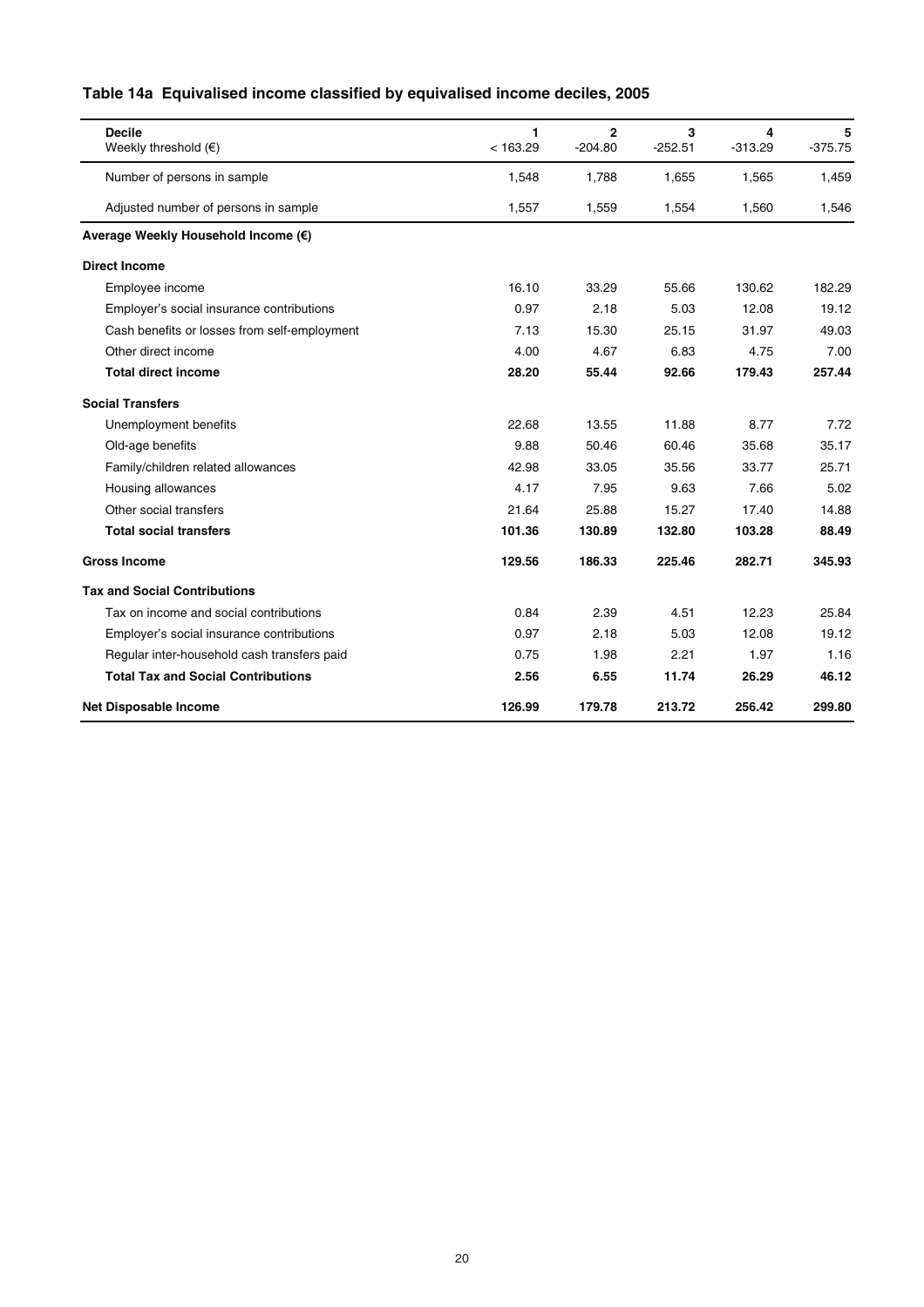| <b>Decile</b><br>Weekly threshold $(\epsilon)$ | 1<br>< 163.29 | $\mathbf{2}$<br>$-204.80$ | 3<br>$-252.51$ | 4<br>$-313.29$ | 5<br>$-375.75$ |
|------------------------------------------------|---------------|---------------------------|----------------|----------------|----------------|
| Number of persons in sample                    | 1,548         | 1,788                     | 1,655          | 1,565          | 1,459          |
| Adjusted number of persons in sample           | 1,557         | 1,559                     | 1,554          | 1,560          | 1,546          |
| Average Weekly Household Income (€)            |               |                           |                |                |                |
| <b>Direct Income</b>                           |               |                           |                |                |                |
| Employee income                                | 16.10         | 33.29                     | 55.66          | 130.62         | 182.29         |
| Employer's social insurance contributions      | 0.97          | 2.18                      | 5.03           | 12.08          | 19.12          |
| Cash benefits or losses from self-employment   | 7.13          | 15.30                     | 25.15          | 31.97          | 49.03          |
| Other direct income                            | 4.00          | 4.67                      | 6.83           | 4.75           | 7.00           |
| <b>Total direct income</b>                     | 28.20         | 55.44                     | 92.66          | 179.43         | 257.44         |
| <b>Social Transfers</b>                        |               |                           |                |                |                |
| Unemployment benefits                          | 22.68         | 13.55                     | 11.88          | 8.77           | 7.72           |
| Old-age benefits                               | 9.88          | 50.46                     | 60.46          | 35.68          | 35.17          |
| Family/children related allowances             | 42.98         | 33.05                     | 35.56          | 33.77          | 25.71          |
| Housing allowances                             | 4.17          | 7.95                      | 9.63           | 7.66           | 5.02           |
| Other social transfers                         | 21.64         | 25.88                     | 15.27          | 17.40          | 14.88          |
| <b>Total social transfers</b>                  | 101.36        | 130.89                    | 132.80         | 103.28         | 88.49          |
| <b>Gross Income</b>                            | 129.56        | 186.33                    | 225.46         | 282.71         | 345.93         |
| <b>Tax and Social Contributions</b>            |               |                           |                |                |                |
| Tax on income and social contributions         | 0.84          | 2.39                      | 4.51           | 12.23          | 25.84          |
| Employer's social insurance contributions      | 0.97          | 2.18                      | 5.03           | 12.08          | 19.12          |
| Regular inter-household cash transfers paid    | 0.75          | 1.98                      | 2.21           | 1.97           | 1.16           |
| <b>Total Tax and Social Contributions</b>      | 2.56          | 6.55                      | 11.74          | 26.29          | 46.12          |
| <b>Net Disposable Income</b>                   | 126.99        | 179.78                    | 213.72         | 256.42         | 299.80         |

# **Table 14a Equivalised income classified by equivalised income deciles, 2005**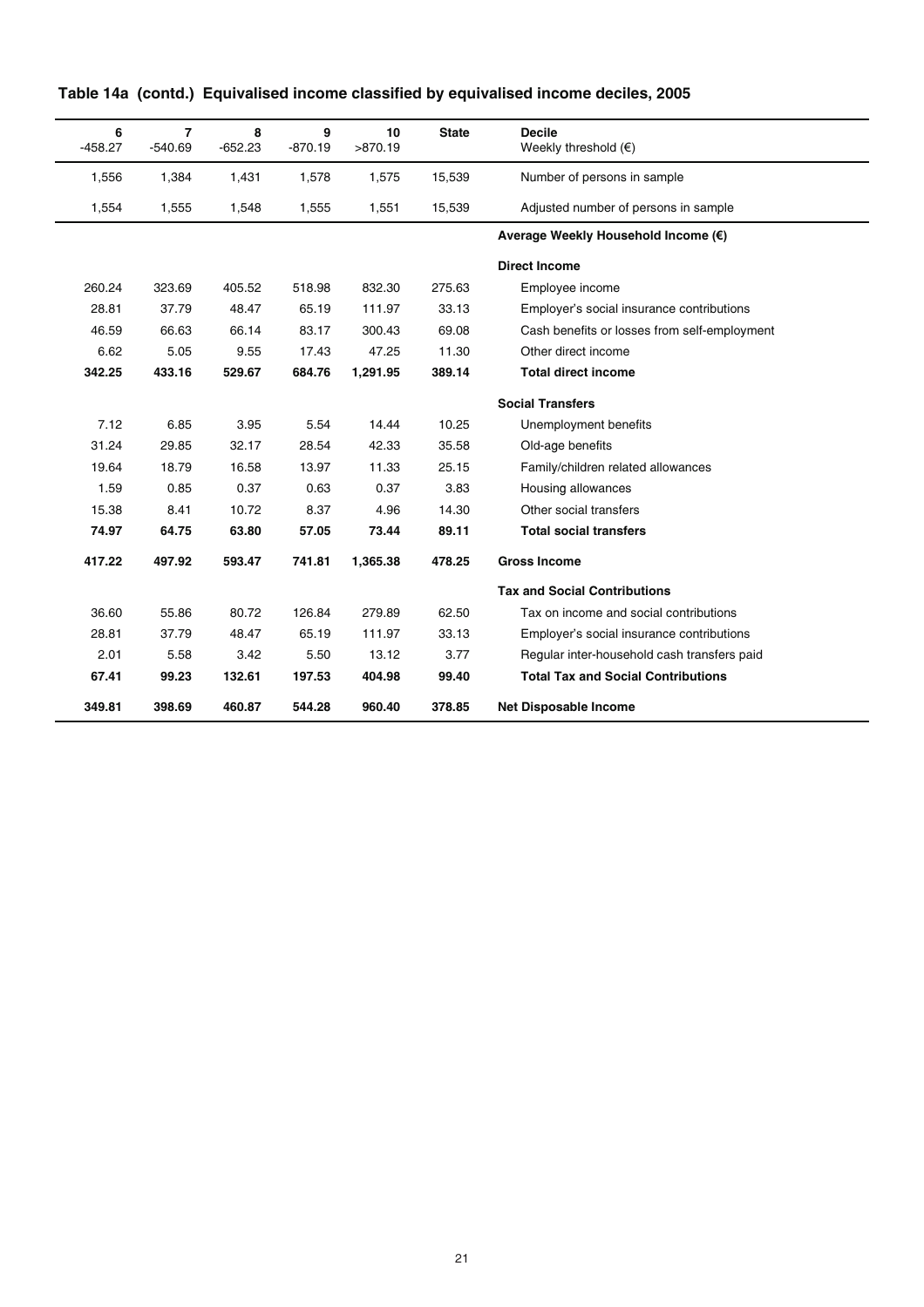| 6<br>$-458.27$ | $\overline{7}$<br>$-540.69$         | 8<br>$-652.23$ | 9<br>$-870.19$ | 10<br>>870.19 | <b>State</b> | <b>Decile</b><br>Weekly threshold $(€)$      |  |  |  |
|----------------|-------------------------------------|----------------|----------------|---------------|--------------|----------------------------------------------|--|--|--|
| 1,556          | 1,384                               | 1,431          | 1,578          | 1,575         | 15,539       | Number of persons in sample                  |  |  |  |
| 1,554          | 1,555                               | 1,548          | 1,555          | 1,551         | 15,539       | Adjusted number of persons in sample         |  |  |  |
|                | Average Weekly Household Income (€) |                |                |               |              |                                              |  |  |  |
|                |                                     |                |                |               |              | <b>Direct Income</b>                         |  |  |  |
| 260.24         | 323.69                              | 405.52         | 518.98         | 832.30        | 275.63       | Employee income                              |  |  |  |
| 28.81          | 37.79                               | 48.47          | 65.19          | 111.97        | 33.13        | Employer's social insurance contributions    |  |  |  |
| 46.59          | 66.63                               | 66.14          | 83.17          | 300.43        | 69.08        | Cash benefits or losses from self-employment |  |  |  |
| 6.62           | 5.05                                | 9.55           | 17.43          | 47.25         | 11.30        | Other direct income                          |  |  |  |
| 342.25         | 433.16                              | 529.67         | 684.76         | 1,291.95      | 389.14       | <b>Total direct income</b>                   |  |  |  |
|                |                                     |                |                |               |              | <b>Social Transfers</b>                      |  |  |  |
| 7.12           | 6.85                                | 3.95           | 5.54           | 14.44         | 10.25        | Unemployment benefits                        |  |  |  |
| 31.24          | 29.85                               | 32.17          | 28.54          | 42.33         | 35.58        | Old-age benefits                             |  |  |  |
| 19.64          | 18.79                               | 16.58          | 13.97          | 11.33         | 25.15        | Family/children related allowances           |  |  |  |
| 1.59           | 0.85                                | 0.37           | 0.63           | 0.37          | 3.83         | Housing allowances                           |  |  |  |
| 15.38          | 8.41                                | 10.72          | 8.37           | 4.96          | 14.30        | Other social transfers                       |  |  |  |
| 74.97          | 64.75                               | 63.80          | 57.05          | 73.44         | 89.11        | <b>Total social transfers</b>                |  |  |  |
| 417.22         | 497.92                              | 593.47         | 741.81         | 1,365.38      | 478.25       | <b>Gross Income</b>                          |  |  |  |
|                |                                     |                |                |               |              | <b>Tax and Social Contributions</b>          |  |  |  |
| 36.60          | 55.86                               | 80.72          | 126.84         | 279.89        | 62.50        | Tax on income and social contributions       |  |  |  |
| 28.81          | 37.79                               | 48.47          | 65.19          | 111.97        | 33.13        | Employer's social insurance contributions    |  |  |  |
| 2.01           | 5.58                                | 3.42           | 5.50           | 13.12         | 3.77         | Regular inter-household cash transfers paid  |  |  |  |
| 67.41          | 99.23                               | 132.61         | 197.53         | 404.98        | 99.40        | <b>Total Tax and Social Contributions</b>    |  |  |  |
| 349.81         | 398.69                              | 460.87         | 544.28         | 960.40        | 378.85       | <b>Net Disposable Income</b>                 |  |  |  |

| Table 14a (contd.) Equivalised income classified by equivalised income deciles, 2005 |
|--------------------------------------------------------------------------------------|
|--------------------------------------------------------------------------------------|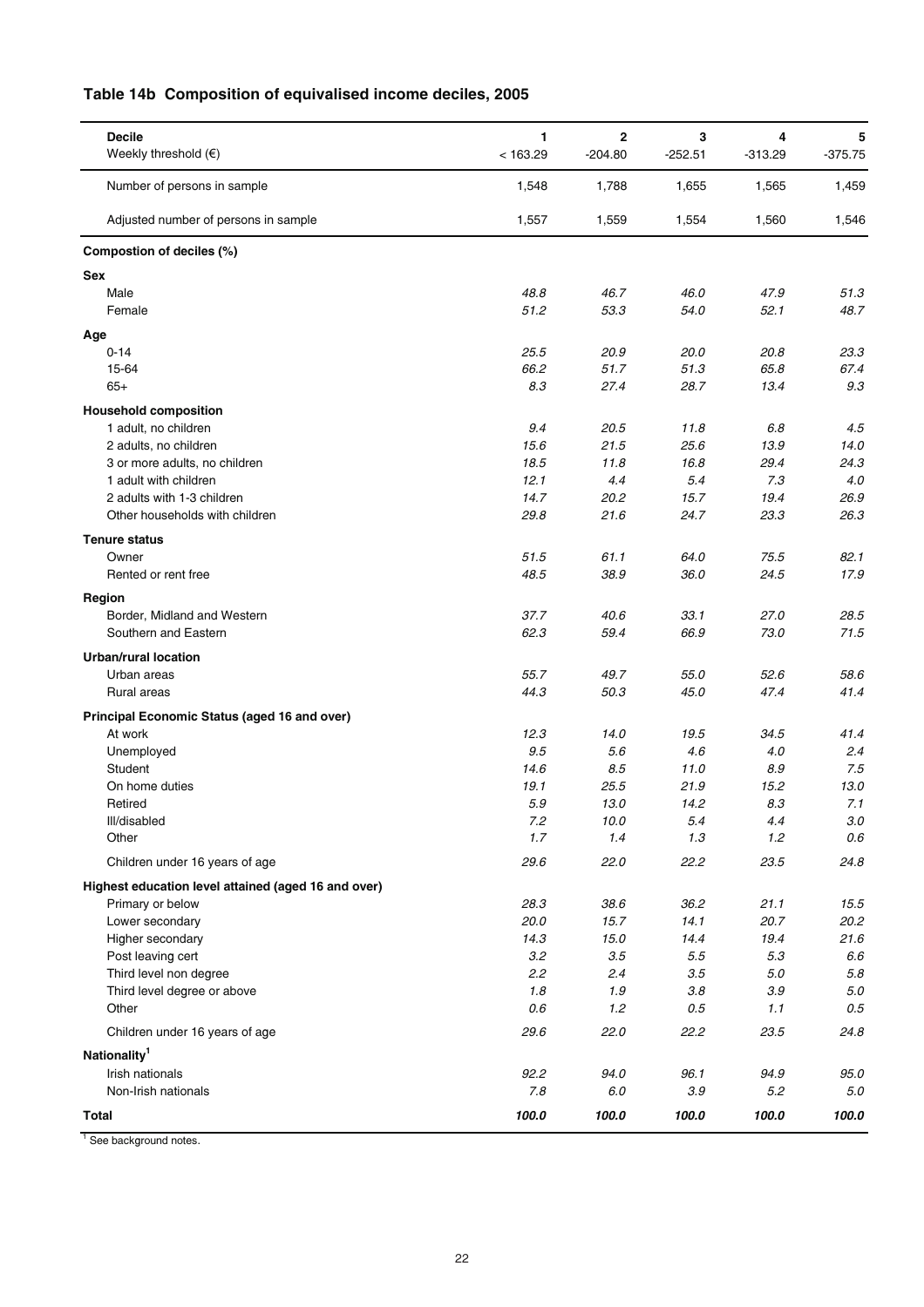| Table 14b Composition of equivalised income deciles, 2005 |  |
|-----------------------------------------------------------|--|
|-----------------------------------------------------------|--|

| <b>Decile</b><br>Weekly threshold $(\epsilon)$      | 1<br>< 163.29 | $\mathbf 2$<br>$-204.80$ | 3<br>$-252.51$ | 4<br>$-313.29$ | 5<br>$-375.75$ |
|-----------------------------------------------------|---------------|--------------------------|----------------|----------------|----------------|
| Number of persons in sample                         | 1,548         | 1,788                    | 1,655          | 1,565          | 1,459          |
| Adjusted number of persons in sample                | 1,557         | 1,559                    | 1,554          | 1,560          | 1,546          |
| Compostion of deciles (%)                           |               |                          |                |                |                |
| <b>Sex</b>                                          |               |                          |                |                |                |
| Male                                                | 48.8          | 46.7                     | 46.0           | 47.9           | 51.3           |
| Female                                              | 51.2          | 53.3                     | 54.0           | 52.1           | 48.7           |
| Age                                                 |               |                          |                |                |                |
| $0 - 14$                                            | 25.5          | 20.9                     | 20.0           | 20.8           | 23.3           |
| 15-64                                               | 66.2          | 51.7                     | 51.3           | 65.8           | 67.4           |
| $65+$                                               | 8.3           | 27.4                     | 28.7           | 13.4           | 9.3            |
| <b>Household composition</b>                        |               |                          |                |                |                |
| 1 adult, no children                                | 9.4           | 20.5                     | 11.8           | 6.8            | 4.5            |
| 2 adults, no children                               | 15.6          | 21.5                     | 25.6           | 13.9           | 14.0           |
| 3 or more adults, no children                       | 18.5<br>12.1  | 11.8                     | 16.8<br>5.4    | 29.4<br>7.3    | 24.3<br>4.0    |
| 1 adult with children<br>2 adults with 1-3 children | 14.7          | 4.4<br>20.2              | 15.7           | 19.4           | 26.9           |
| Other households with children                      | 29.8          | 21.6                     | 24.7           | 23.3           | 26.3           |
|                                                     |               |                          |                |                |                |
| <b>Tenure status</b>                                |               |                          |                |                |                |
| Owner<br>Rented or rent free                        | 51.5<br>48.5  | 61.1<br>38.9             | 64.0<br>36.0   | 75.5<br>24.5   | 82.1<br>17.9   |
|                                                     |               |                          |                |                |                |
| Region                                              |               |                          |                |                |                |
| Border, Midland and Western                         | 37.7          | 40.6                     | 33.1           | 27.0           | 28.5           |
| Southern and Eastern                                | 62.3          | 59.4                     | 66.9           | 73.0           | 71.5           |
| <b>Urban/rural location</b>                         |               |                          |                |                |                |
| Urban areas                                         | 55.7          | 49.7                     | 55.0           | 52.6           | 58.6           |
| Rural areas                                         | 44.3          | 50.3                     | 45.0           | 47.4           | 41.4           |
| Principal Economic Status (aged 16 and over)        |               |                          |                |                |                |
| At work                                             | 12.3          | 14.0                     | 19.5           | 34.5           | 41.4           |
| Unemployed                                          | 9.5           | 5.6                      | 4.6            | 4.0            | 2.4            |
| Student                                             | 14.6          | 8.5                      | 11.0           | 8.9            | 7.5            |
| On home duties                                      | 19.1<br>5.9   | 25.5<br>13.0             | 21.9<br>14.2   | 15.2           | 13.0<br>7.1    |
| Retired<br>III/disabled                             |               | 10.0                     | 5.4            | 8.3<br>4.4     | 3.0            |
| Other                                               | 7.2<br>1.7    | 1.4                      | 1.3            | 1.2            | $0.6\,$        |
|                                                     |               |                          |                |                |                |
| Children under 16 years of age                      | 29.6          | 22.0                     | 22.2           | 23.5           | 24.8           |
| Highest education level attained (aged 16 and over) |               |                          |                |                |                |
| Primary or below                                    | 28.3          | 38.6                     | 36.2           | 21.1           | 15.5           |
| Lower secondary                                     | 20.0          | 15.7                     | 14.1           | 20.7           | 20.2           |
| Higher secondary                                    | 14.3          | 15.0                     | 14.4           | 19.4           | 21.6           |
| Post leaving cert<br>Third level non degree         | 3.2<br>2.2    | 3.5<br>2.4               | 5.5<br>3.5     | 5.3<br>$5.0\,$ | 6.6<br>$5.8\,$ |
| Third level degree or above                         | 1.8           | 1.9                      | 3.8            | $3.9\,$        | $5.0\,$        |
| Other                                               | 0.6           | 1.2                      | 0.5            | 1.1            | $0.5\,$        |
|                                                     |               |                          |                |                |                |
| Children under 16 years of age                      | 29.6          | 22.0                     | 22.2           | 23.5           | 24.8           |
| Nationality <sup>1</sup>                            |               |                          |                |                |                |
| Irish nationals                                     | 92.2          | 94.0                     | 96.1           | 94.9           | 95.0           |
| Non-Irish nationals                                 | 7.8           | 6.0                      | 3.9            | 5.2            | 5.0            |
| Total                                               | 100.0         | 100.0                    | 100.0          | 100.0          | 100.0          |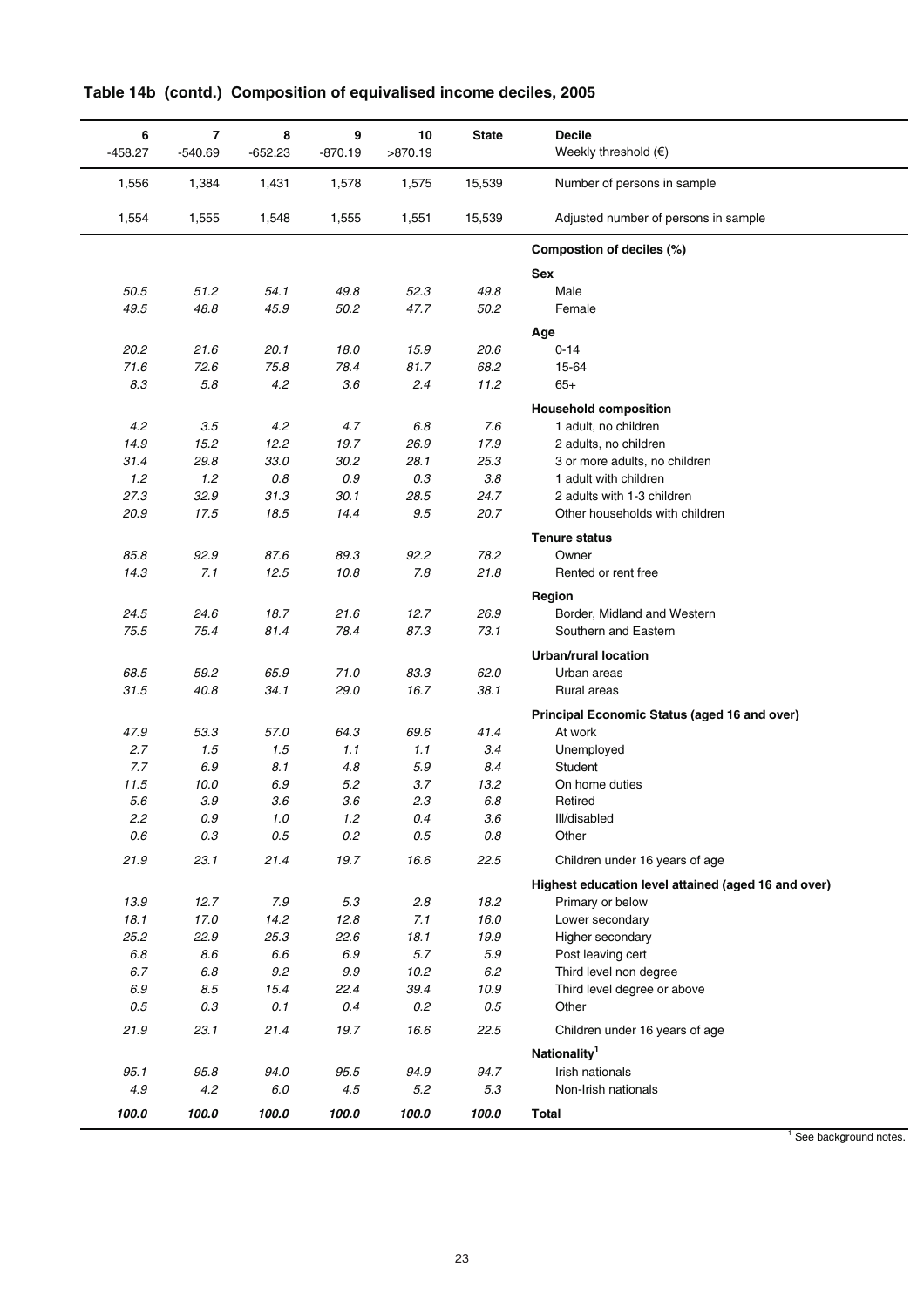| 6<br>$-458.27$ | $\overline{\mathbf{r}}$<br>$-540.69$ | 8<br>$-652.23$ | 9<br>$-870.19$ | 10<br>>870.19 | <b>State</b> | <b>Decile</b><br>Weekly threshold $(\epsilon)$      |
|----------------|--------------------------------------|----------------|----------------|---------------|--------------|-----------------------------------------------------|
| 1,556          | 1,384                                | 1,431          | 1,578          | 1,575         | 15,539       | Number of persons in sample                         |
| 1,554          | 1,555                                | 1,548          | 1,555          | 1,551         | 15,539       | Adjusted number of persons in sample                |
|                |                                      |                |                |               |              | Compostion of deciles (%)                           |
|                |                                      |                |                |               |              | <b>Sex</b>                                          |
| 50.5           | 51.2                                 | 54.1           | 49.8           | 52.3          | 49.8         | Male                                                |
| 49.5           | 48.8                                 | 45.9           | 50.2           | 47.7          | 50.2         | Female                                              |
|                |                                      |                |                |               |              | Age                                                 |
| 20.2           | 21.6                                 | 20.1           | 18.0           | 15.9          | 20.6         | $0 - 14$                                            |
| 71.6           | 72.6                                 | 75.8           | 78.4           | 81.7          | 68.2         | 15-64                                               |
| 8.3            | 5.8                                  | 4.2            | 3.6            | 2.4           | 11.2         | $65+$                                               |
|                |                                      |                |                |               |              | <b>Household composition</b>                        |
| 4.2            | 3.5                                  | 4.2            | 4.7            | 6.8           | 7.6          | 1 adult, no children                                |
| 14.9           | 15.2                                 | 12.2           | 19.7           | 26.9          | 17.9         | 2 adults, no children                               |
| 31.4           | 29.8                                 | 33.0           | 30.2           | 28.1          | 25.3         | 3 or more adults, no children                       |
| 1.2            | 1.2                                  | $0.8\,$        | $0.9\,$        | 0.3           | 3.8          | 1 adult with children                               |
| 27.3           | 32.9                                 | 31.3           | 30.1           | 28.5          | 24.7         | 2 adults with 1-3 children                          |
| 20.9           | 17.5                                 | 18.5           | 14.4           | 9.5           | 20.7         | Other households with children                      |
|                |                                      |                |                |               |              |                                                     |
|                |                                      |                |                |               |              | <b>Tenure status</b>                                |
| 85.8           | 92.9                                 | 87.6           | 89.3           | 92.2          | 78.2         | Owner                                               |
| 14.3           | 7.1                                  | 12.5           | 10.8           | 7.8           | 21.8         | Rented or rent free                                 |
|                |                                      |                |                |               |              | Region                                              |
| 24.5           | 24.6                                 | 18.7           | 21.6           | 12.7          | 26.9         | Border, Midland and Western                         |
| 75.5           | 75.4                                 | 81.4           | 78.4           | 87.3          | 73.1         | Southern and Eastern                                |
|                |                                      |                |                |               |              | <b>Urban/rural location</b>                         |
| 68.5           | 59.2                                 | 65.9           | 71.0           | 83.3          | 62.0         | Urban areas                                         |
| 31.5           | 40.8                                 | 34.1           | 29.0           | 16.7          | 38.1         | <b>Rural areas</b>                                  |
|                |                                      |                |                |               |              | Principal Economic Status (aged 16 and over)        |
| 47.9           | 53.3                                 | 57.0           | 64.3           | 69.6          | 41.4         | At work                                             |
| 2.7            | 1.5                                  | 1.5            | 1.1            | 1.1           | 3.4          | Unemployed                                          |
| 7.7            | 6.9                                  | 8.1            | 4.8            | $5.9\,$       | 8.4          | Student                                             |
| 11.5           | 10.0                                 | $6.9\,$        | 5.2            | 3.7           | 13.2         | On home duties                                      |
| 5.6            | 3.9                                  | 3.6            | 3.6            | 2.3           | 6.8          | Retired                                             |
| 2.2            | 0.9                                  | 1.0            | 1.2            | 0.4           | 3.6          | III/disabled                                        |
| 0.6            | 0.3                                  | $0.5\,$        | 0.2            | $0.5\,$       | $0.8\,$      | Other                                               |
| 21.9           | 23.1                                 | 21.4           | 19.7           | 16.6          | 22.5         | Children under 16 years of age                      |
|                |                                      |                |                |               |              | Highest education level attained (aged 16 and over) |
| 13.9           | 12.7                                 | 7.9            | 5.3            | 2.8           | 18.2         | Primary or below                                    |
| 18.1           | 17.0                                 | 14.2           | 12.8           | 7.1           | 16.0         | Lower secondary                                     |
| 25.2           | 22.9                                 | 25.3           | 22.6           | 18.1          | 19.9         | Higher secondary                                    |
| $6.8\,$        | 8.6                                  | $6.6\,$        | $6.9\,$        | 5.7           | $5.9\,$      | Post leaving cert                                   |
| 6.7            | 6.8                                  | $9.2\,$        | 9.9            | 10.2          | $6.2\,$      | Third level non degree                              |
| 6.9            | $8.5\,$                              | 15.4           | 22.4           | 39.4          | 10.9         | Third level degree or above                         |
| 0.5            | 0.3                                  | 0.1            | 0.4            | 0.2           | $0.5\,$      | Other                                               |
| 21.9           | 23.1                                 | 21.4           | 19.7           | 16.6          | 22.5         | Children under 16 years of age                      |
|                |                                      |                |                |               |              | Nationality <sup>1</sup>                            |
| 95.1           | 95.8                                 | 94.0           | 95.5           | 94.9          | 94.7         | Irish nationals                                     |
| 4.9            | 4.2                                  | 6.0            | 4.5            | 5.2           | 5.3          | Non-Irish nationals                                 |
| 100.0          | 100.0                                | 100.0          | 100.0          | 100.0         | 100.0        | <b>Total</b>                                        |

# **Table 14b (contd.) Composition of equivalised income deciles, 2005**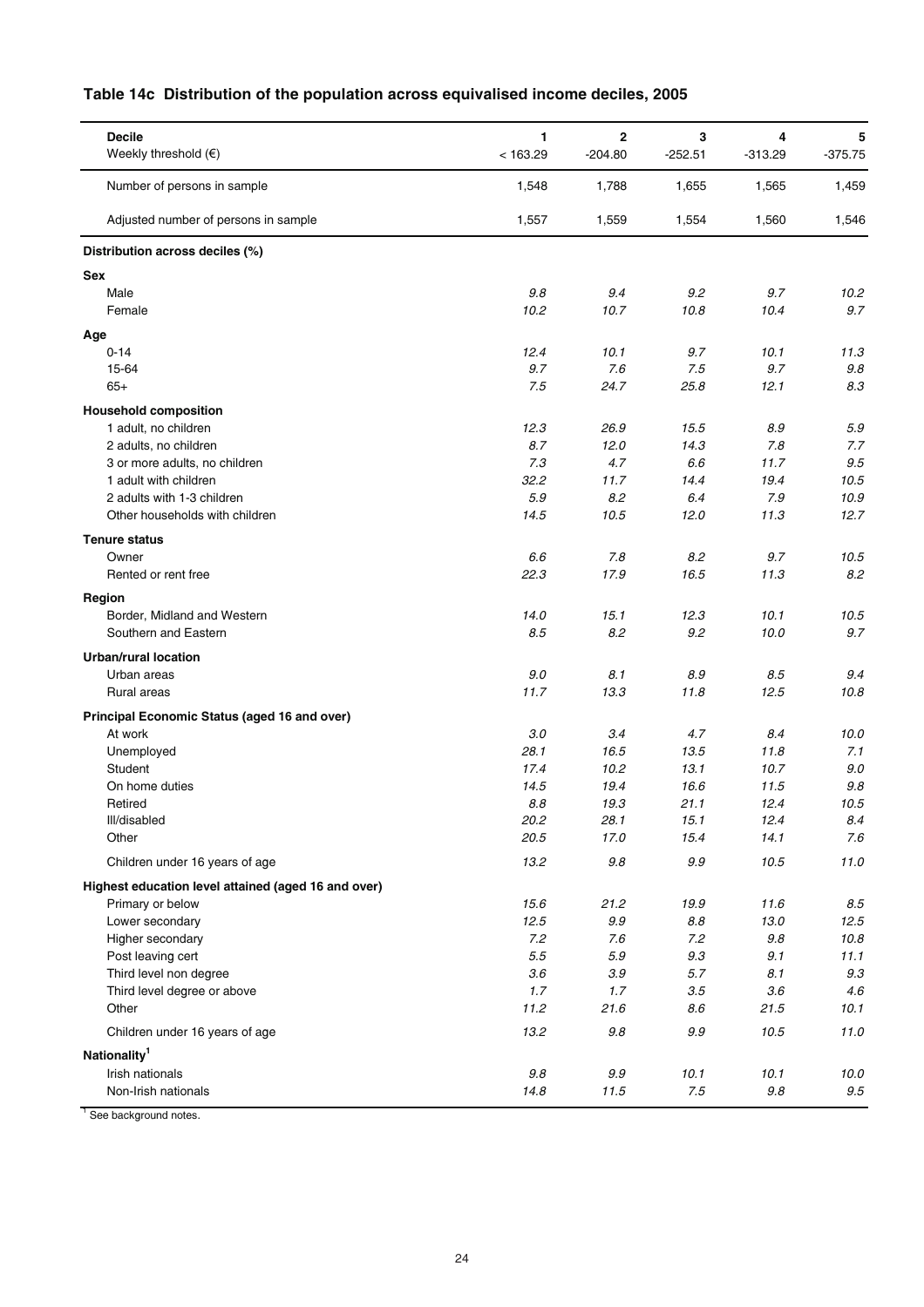|  |  |  | Table 14c Distribution of the population across equivalised income deciles, 2005 |  |  |
|--|--|--|----------------------------------------------------------------------------------|--|--|
|--|--|--|----------------------------------------------------------------------------------|--|--|

| <b>Decile</b><br>Weekly threshold $(€)$                | $\mathbf{1}$<br>< 163.29 | $\mathbf{2}$<br>$-204.80$ | 3<br>$-252.51$ | 4<br>$-313.29$ | 5<br>$-375.75$ |
|--------------------------------------------------------|--------------------------|---------------------------|----------------|----------------|----------------|
| Number of persons in sample                            | 1,548                    | 1,788                     | 1,655          | 1,565          | 1,459          |
|                                                        |                          |                           |                |                |                |
| Adjusted number of persons in sample                   | 1,557                    | 1,559                     | 1,554          | 1,560          | 1,546          |
| Distribution across deciles (%)                        |                          |                           |                |                |                |
| Sex                                                    |                          |                           |                |                |                |
| Male                                                   | 9.8                      | 9.4                       | 9.2            | 9.7            | 10.2           |
| Female                                                 | 10.2                     | 10.7                      | 10.8           | 10.4           | 9.7            |
| Age                                                    |                          |                           |                |                |                |
| $0 - 14$                                               | 12.4                     | 10.1                      | 9.7            | 10.1           | 11.3           |
| 15-64<br>$65+$                                         | 9.7<br>7.5               | 7.6<br>24.7               | 7.5            | 9.7<br>12.1    | 9.8<br>8.3     |
|                                                        |                          |                           | 25.8           |                |                |
| <b>Household composition</b>                           |                          |                           |                |                |                |
| 1 adult, no children                                   | 12.3                     | 26.9                      | 15.5           | 8.9            | 5.9            |
| 2 adults, no children<br>3 or more adults, no children | 8.7<br>7.3               | 12.0<br>4.7               | 14.3<br>6.6    | 7.8<br>11.7    | 7.7<br>9.5     |
| 1 adult with children                                  | 32.2                     | 11.7                      | 14.4           | 19.4           | 10.5           |
| 2 adults with 1-3 children                             | 5.9                      | 8.2                       | 6.4            | 7.9            | 10.9           |
| Other households with children                         | 14.5                     | 10.5                      | 12.0           | 11.3           | 12.7           |
| <b>Tenure status</b>                                   |                          |                           |                |                |                |
| Owner                                                  | 6.6                      | 7.8                       | 8.2            | 9.7            | 10.5           |
| Rented or rent free                                    | 22.3                     | 17.9                      | 16.5           | 11.3           | 8.2            |
|                                                        |                          |                           |                |                |                |
| Region<br>Border, Midland and Western                  | 14.0                     | 15.1                      | 12.3           | 10.1           | 10.5           |
| Southern and Eastern                                   | 8.5                      | 8.2                       | 9.2            | 10.0           | 9.7            |
|                                                        |                          |                           |                |                |                |
| <b>Urban/rural location</b><br>Urban areas             | 9.0                      | 8.1                       |                |                |                |
| Rural areas                                            | 11.7                     | 13.3                      | 8.9<br>11.8    | 8.5<br>12.5    | 9.4<br>10.8    |
|                                                        |                          |                           |                |                |                |
| Principal Economic Status (aged 16 and over)           |                          |                           |                |                |                |
| At work<br>Unemployed                                  | 3.0<br>28.1              | 3.4<br>16.5               | 4.7<br>13.5    | 8.4<br>11.8    | 10.0<br>7.1    |
| Student                                                | 17.4                     | 10.2                      | 13.1           | 10.7           | 9.0            |
| On home duties                                         | 14.5                     | 19.4                      | 16.6           | 11.5           | 9.8            |
| Retired                                                | 8.8                      | 19.3                      | 21.1           | 12.4           | 10.5           |
| III/disabled                                           | 20.2                     | 28.1                      | 15.1           | 12.4           | $8.4\,$        |
| Other                                                  | 20.5                     | 17.0                      | 15.4           | 14.1           | 7.6            |
| Children under 16 years of age                         | 13.2                     | $9.8\,$                   | $9.9\,$        | 10.5           | 11.0           |
| Highest education level attained (aged 16 and over)    |                          |                           |                |                |                |
| Primary or below                                       | 15.6                     | 21.2                      | 19.9           | 11.6           | 8.5            |
| Lower secondary                                        | 12.5                     | $9.9\,$                   | $8.8\,$        | 13.0           | 12.5           |
| Higher secondary                                       | 7.2                      | 7.6                       | 7.2            | 9.8            | 10.8           |
| Post leaving cert                                      | 5.5                      | $5.9\,$                   | 9.3            | 9.1            | 11.1           |
| Third level non degree                                 | 3.6                      | $3.9\,$                   | 5.7            | 8.1            | 9.3            |
| Third level degree or above<br>Other                   | 1.7<br>11.2              | 1.7<br>21.6               | 3.5<br>8.6     | 3.6<br>21.5    | 4.6<br>10.1    |
|                                                        |                          |                           |                |                |                |
| Children under 16 years of age                         | 13.2                     | $9.8\,$                   | 9.9            | 10.5           | 11.0           |
| Nationality <sup>1</sup>                               |                          |                           |                |                |                |
| Irish nationals                                        | $9.8\,$                  | $9.9\,$                   | 10.1           | 10.1           | 10.0           |
| Non-Irish nationals                                    | 14.8                     | 11.5                      | $7.5\,$        | $9.8\,$        | $9.5\,$        |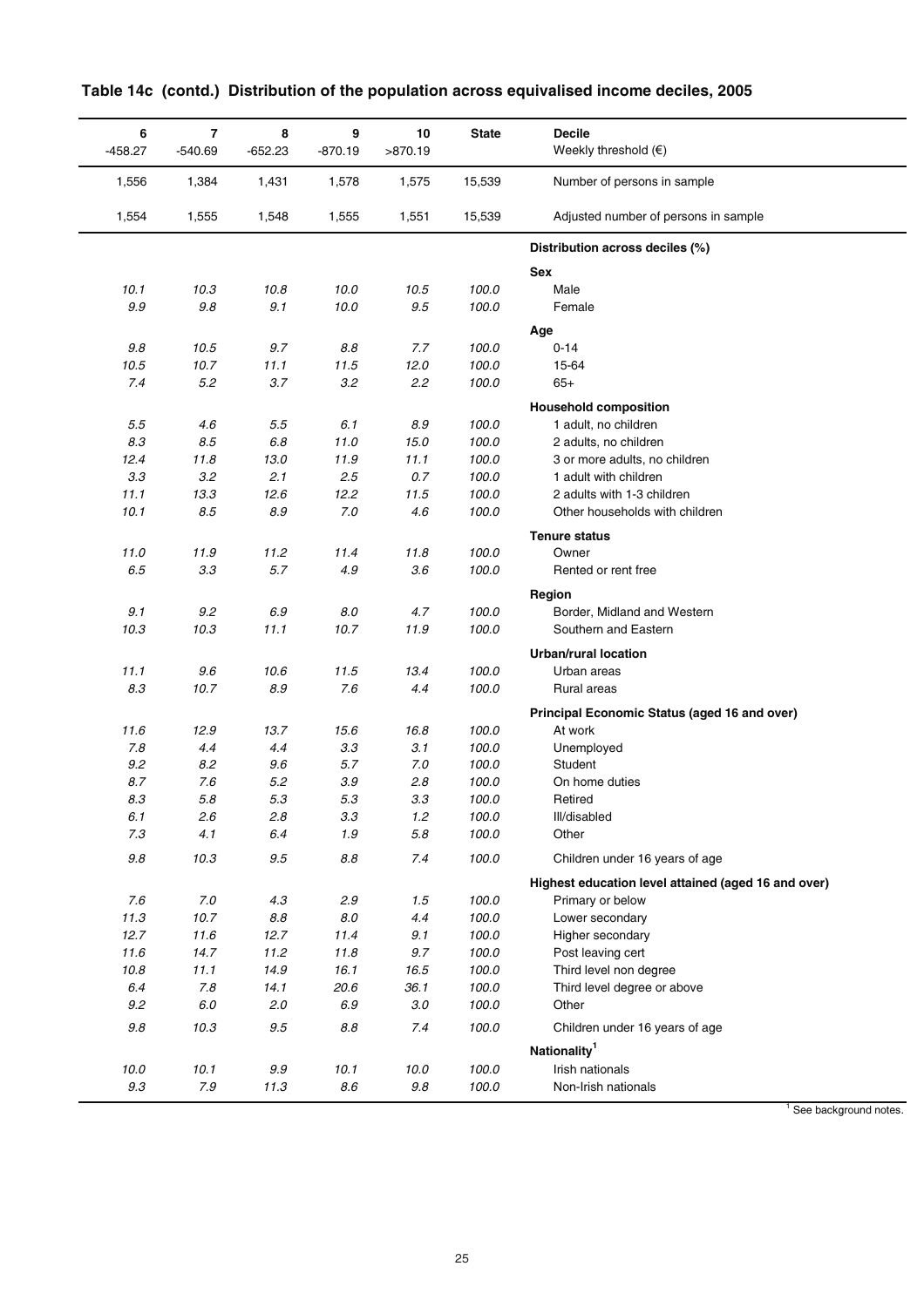| 6<br>$-458.27$ | $\overline{7}$<br>$-540.69$ | 8<br>$-652.23$  | 9<br>$-870.19$ | 10<br>>870.19 | <b>State</b>   | <b>Decile</b><br>Weekly threshold $(€)$             |
|----------------|-----------------------------|-----------------|----------------|---------------|----------------|-----------------------------------------------------|
| 1,556          | 1,384                       | 1,431           | 1,578          | 1,575         | 15,539         | Number of persons in sample                         |
| 1,554          | 1,555                       | 1,548           | 1,555          | 1,551         | 15,539         | Adjusted number of persons in sample                |
|                |                             |                 |                |               |                | Distribution across deciles (%)                     |
|                |                             |                 |                |               |                | <b>Sex</b>                                          |
| 10.1           | 10.3                        | 10.8            | 10.0           | 10.5          | 100.0          | Male                                                |
| $9.9\,$        | 9.8                         | 9.1             | 10.0           | $9.5\,$       | 100.0          | Female                                              |
|                |                             |                 |                |               |                | Age                                                 |
| $9.8\,$        | 10.5                        | 9.7             | 8.8            | 7.7           | 100.0          | $0 - 14$                                            |
| 10.5           | 10.7                        | 11.1            | 11.5           | 12.0          | 100.0          | 15-64                                               |
| 7.4            | 5.2                         | 3.7             | 3.2            | 2.2           | 100.0          | $65+$                                               |
|                |                             |                 |                |               |                | <b>Household composition</b>                        |
| $5.5\,$        | 4.6                         | $5.5\,$         | 6.1            | $8.9\,$       | 100.0          | 1 adult, no children                                |
| 8.3            | 8.5                         | $6.8\,$         | 11.0           | 15.0          | 100.0          | 2 adults, no children                               |
| 12.4           | 11.8                        | 13.0            | 11.9           | 11.1          | 100.0          | 3 or more adults, no children                       |
| 3.3            | 3.2                         | 2.1             | 2.5            | 0.7           | 100.0          | 1 adult with children                               |
| 11.1           | 13.3                        | 12.6            | 12.2           | 11.5          | 100.0          | 2 adults with 1-3 children                          |
| 10.1           | 8.5                         | $8.9\,$         | $7.0$          | 4.6           | 100.0          | Other households with children                      |
|                |                             |                 |                |               |                | <b>Tenure status</b>                                |
| 11.0           | 11.9                        | 11.2            | 11.4           | 11.8          | 100.0          | Owner                                               |
| $6.5\,$        | 3.3                         | 5.7             | 4.9            | 3.6           | 100.0          | Rented or rent free                                 |
|                |                             |                 |                |               |                | Region                                              |
| 9.1            | 9.2                         | $6.9\,$         | $8.0\,$        | 4.7           | 100.0          | Border, Midland and Western                         |
| 10.3           | 10.3                        | 11.1            | 10.7           | 11.9          | 100.0          | Southern and Eastern                                |
|                |                             |                 |                |               |                |                                                     |
|                |                             |                 |                |               |                | <b>Urban/rural location</b>                         |
| 11.1<br>8.3    | 9.6<br>10.7                 | 10.6<br>$8.9\,$ | 11.5<br>7.6    | 13.4<br>4.4   | 100.0<br>100.0 | Urban areas<br>Rural areas                          |
|                |                             |                 |                |               |                |                                                     |
|                |                             |                 |                |               |                | Principal Economic Status (aged 16 and over)        |
| 11.6           | 12.9                        | 13.7            | 15.6           | 16.8          | 100.0          | At work                                             |
| 7.8            | 4.4                         | 4.4             | 3.3            | 3.1           | 100.0          | Unemployed                                          |
| 9.2            | 8.2                         | 9.6             | 5.7            | $7.0$         | 100.0          | Student                                             |
| 8.7<br>8.3     | 7.6<br>5.8                  | 5.2<br>5.3      | 3.9<br>5.3     | 2.8<br>3.3    | 100.0<br>100.0 | On home duties<br>Retired                           |
| 6.1            | 2.6                         | 2.8             | 3.3            | 1.2           | 100.0          | III/disabled                                        |
| 7.3            | 4.1                         | 6.4             | 1.9            | 5.8           | 100.0          | Other                                               |
|                |                             |                 |                |               |                |                                                     |
| $9.8\,$        | 10.3                        | 9.5             | $8.8\,$        | 7.4           | 100.0          | Children under 16 years of age                      |
|                |                             |                 |                |               |                | Highest education level attained (aged 16 and over) |
| 7.6            | 7.0                         | 4.3             | 2.9            | 1.5           | 100.0          | Primary or below                                    |
| 11.3           | 10.7                        | $8.8\,$         | $8.0\,$        | 4.4           | 100.0          | Lower secondary                                     |
| 12.7           | 11.6                        | 12.7            | 11.4           | 9.1           | 100.0          | Higher secondary                                    |
| 11.6           | 14.7                        | 11.2            | 11.8           | 9.7           | 100.0          | Post leaving cert                                   |
| 10.8           | 11.1                        | 14.9            | 16.1           | 16.5          | 100.0          | Third level non degree                              |
| 6.4            | 7.8                         | 14.1            | 20.6           | 36.1          | 100.0          | Third level degree or above                         |
| 9.2            | $6.0\,$                     | 2.0             | 6.9            | $3.0\,$       | 100.0          | Other                                               |
| $9.8\,$        | 10.3                        | $9.5\,$         | $8.8\,$        | 7.4           | 100.0          | Children under 16 years of age                      |
|                |                             |                 |                |               |                | Nationality <sup>1</sup>                            |
| 10.0           | 10.1                        | $9.9\,$         | 10.1           | 10.0          | 100.0          | Irish nationals                                     |
| $9.3\,$        | $7.9\,$                     | 11.3            | $8.6\,$        | $9.8\,$       | 100.0          | Non-Irish nationals                                 |

|  |  |  | Table 14c (contd.) Distribution of the population across equivalised income deciles, 2005 |  |
|--|--|--|-------------------------------------------------------------------------------------------|--|
|--|--|--|-------------------------------------------------------------------------------------------|--|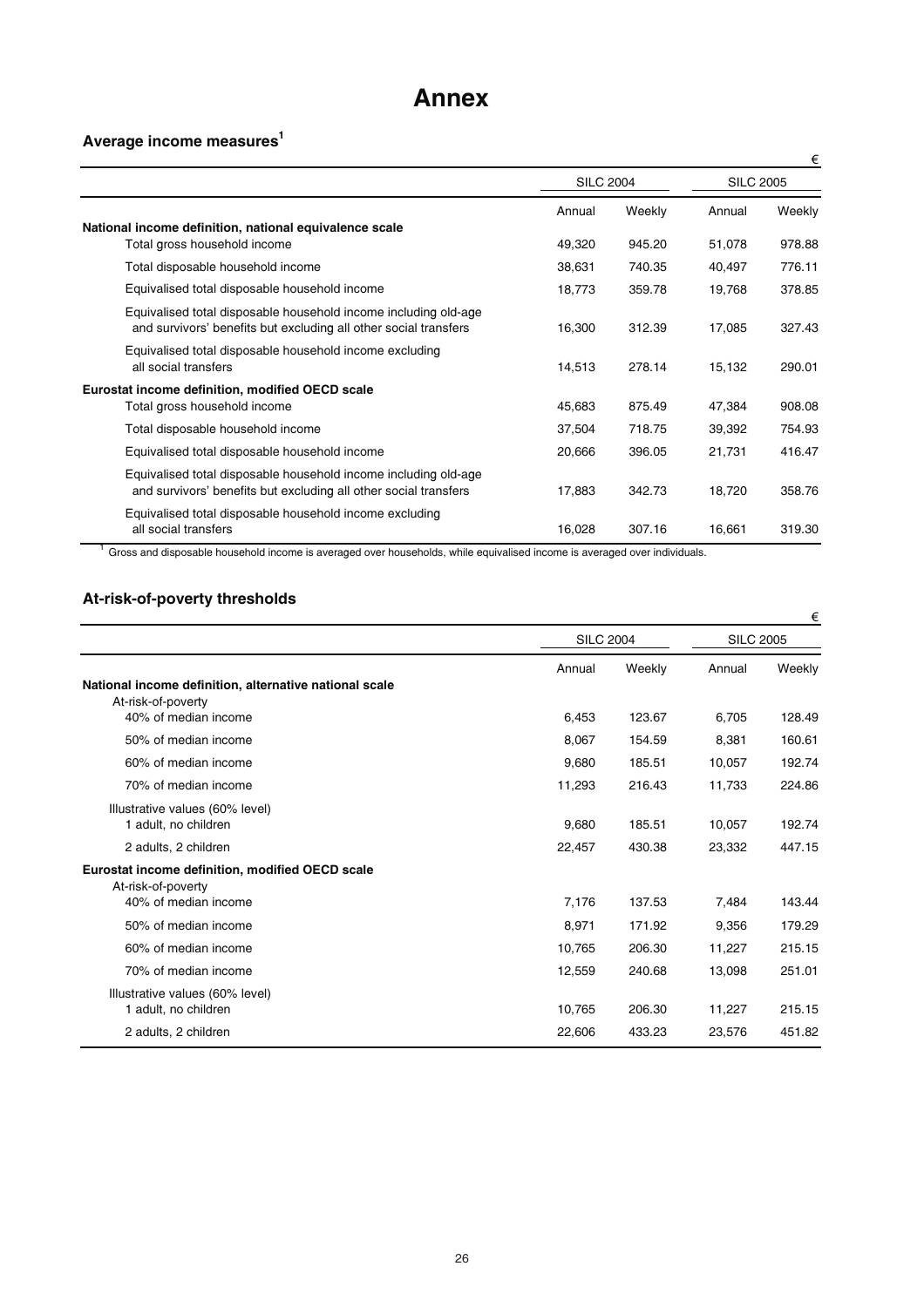# **Annex**

# **Average income measures1**

|                                                                                                                                     |                  |        |                  | €      |
|-------------------------------------------------------------------------------------------------------------------------------------|------------------|--------|------------------|--------|
|                                                                                                                                     | <b>SILC 2004</b> |        | <b>SILC 2005</b> |        |
|                                                                                                                                     | Annual           | Weekly | Annual           | Weekly |
| National income definition, national equivalence scale                                                                              |                  |        |                  |        |
| Total gross household income                                                                                                        | 49,320           | 945.20 | 51,078           | 978.88 |
| Total disposable household income                                                                                                   | 38,631           | 740.35 | 40,497           | 776.11 |
| Equivalised total disposable household income                                                                                       | 18,773           | 359.78 | 19,768           | 378.85 |
| Equivalised total disposable household income including old-age<br>and survivors' benefits but excluding all other social transfers | 16,300           | 312.39 | 17,085           | 327.43 |
| Equivalised total disposable household income excluding<br>all social transfers                                                     | 14,513           | 278.14 | 15,132           | 290.01 |
| Eurostat income definition, modified OECD scale                                                                                     |                  |        |                  |        |
| Total gross household income                                                                                                        | 45,683           | 875.49 | 47,384           | 908.08 |
| Total disposable household income                                                                                                   | 37,504           | 718.75 | 39,392           | 754.93 |
| Equivalised total disposable household income                                                                                       | 20,666           | 396.05 | 21,731           | 416.47 |
| Equivalised total disposable household income including old-age<br>and survivors' benefits but excluding all other social transfers | 17,883           | 342.73 | 18,720           | 358.76 |
| Equivalised total disposable household income excluding<br>all social transfers                                                     | 16,028           | 307.16 | 16,661           | 319.30 |

<sup>1</sup> Gross and disposable household income is averaged over households, while equivalised income is averaged over individuals.

# **At-risk-of-poverty thresholds**

|                                                                                               |                  |        |                  | €      |
|-----------------------------------------------------------------------------------------------|------------------|--------|------------------|--------|
|                                                                                               | <b>SILC 2004</b> |        | <b>SILC 2005</b> |        |
| National income definition, alternative national scale<br>At-risk-of-poverty                  | Annual           | Weekly | Annual           | Weekly |
| 40% of median income                                                                          | 6,453            | 123.67 | 6,705            | 128.49 |
| 50% of median income                                                                          | 8,067            | 154.59 | 8,381            | 160.61 |
| 60% of median income                                                                          | 9,680            | 185.51 | 10,057           | 192.74 |
| 70% of median income                                                                          | 11,293           | 216.43 | 11,733           | 224.86 |
| Illustrative values (60% level)<br>1 adult, no children                                       | 9,680            | 185.51 | 10,057           | 192.74 |
| 2 adults, 2 children                                                                          | 22,457           | 430.38 | 23,332           | 447.15 |
| Eurostat income definition, modified OECD scale<br>At-risk-of-poverty<br>40% of median income | 7,176            | 137.53 | 7,484            | 143.44 |
| 50% of median income                                                                          | 8,971            | 171.92 | 9,356            | 179.29 |
| 60% of median income                                                                          | 10,765           | 206.30 | 11,227           | 215.15 |
| 70% of median income                                                                          | 12,559           | 240.68 | 13,098           | 251.01 |
| Illustrative values (60% level)<br>1 adult, no children                                       | 10,765           | 206.30 | 11,227           | 215.15 |
| 2 adults, 2 children                                                                          | 22,606           | 433.23 | 23,576           | 451.82 |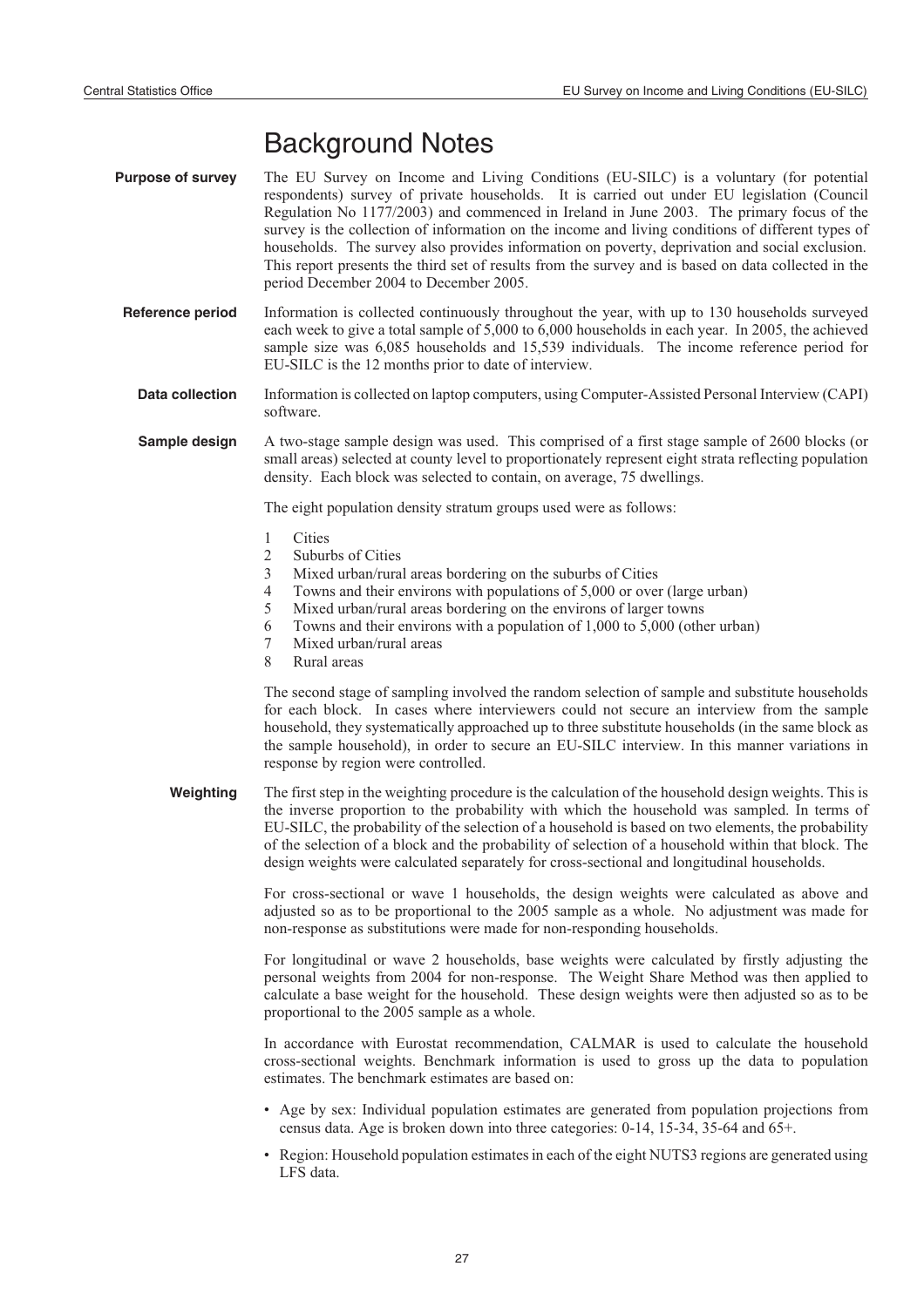# Background Notes

- **Purpose of survey** The EU Survey on Income and Living Conditions (EU-SILC) is a voluntary (for potential respondents) survey of private households. It is carried out under EU legislation (Council Regulation No 1177/2003) and commenced in Ireland in June 2003. The primary focus of the survey is the collection of information on the income and living conditions of different types of households. The survey also provides information on poverty, deprivation and social exclusion. This report presents the third set of results from the survey and is based on data collected in the period December 2004 to December 2005.
	- **Reference period** Information is collected continuously throughout the year, with up to 130 households surveyed each week to give a total sample of 5,000 to 6,000 households in each year. In 2005, the achieved sample size was 6,085 households and 15,539 individuals. The income reference period for EU-SILC is the 12 months prior to date of interview.
		- **Data collection** Information is collected on laptop computers, using Computer-Assisted Personal Interview (CAPI) software.
		- **Sample design** A two-stage sample design was used. This comprised of a first stage sample of 2600 blocks (or small areas) selected at county level to proportionately represent eight strata reflecting population density. Each block was selected to contain, on average, 75 dwellings.

The eight population density stratum groups used were as follows:

- 1 Cities<br>2 Subur
- 2 Suburbs of Cities<br>3 Mixed urban/rura
- Mixed urban/rural areas bordering on the suburbs of Cities
- 4 Towns and their environs with populations of 5,000 or over (large urban)<br>5 Mixed urban/rural areas bordering on the environs of larger towns
- Mixed urban/rural areas bordering on the environs of larger towns
- 6 Towns and their environs with a population of 1,000 to 5,000 (other urban)
- 7 Mixed urban/rural areas
- 8 Rural areas

The second stage of sampling involved the random selection of sample and substitute households for each block. In cases where interviewers could not secure an interview from the sample household, they systematically approached up to three substitute households (in the same block as the sample household), in order to secure an EU-SILC interview. In this manner variations in response by region were controlled.

**Weighting** The first step in the weighting procedure is the calculation of the household design weights. This is the inverse proportion to the probability with which the household was sampled. In terms of EU-SILC, the probability of the selection of a household is based on two elements, the probability of the selection of a block and the probability of selection of a household within that block. The design weights were calculated separately for cross-sectional and longitudinal households.

> For cross-sectional or wave 1 households, the design weights were calculated as above and adjusted so as to be proportional to the 2005 sample as a whole. No adjustment was made for non-response as substitutions were made for non-responding households.

> For longitudinal or wave 2 households, base weights were calculated by firstly adjusting the personal weights from 2004 for non-response. The Weight Share Method was then applied to calculate a base weight for the household. These design weights were then adjusted so as to be proportional to the 2005 sample as a whole.

> In accordance with Eurostat recommendation, CALMAR is used to calculate the household cross-sectional weights. Benchmark information is used to gross up the data to population estimates. The benchmark estimates are based on:

- Age by sex: Individual population estimates are generated from population projections from census data. Age is broken down into three categories: 0-14, 15-34, 35-64 and 65+.
- Region: Household population estimates in each of the eight NUTS3 regions are generated using LFS data.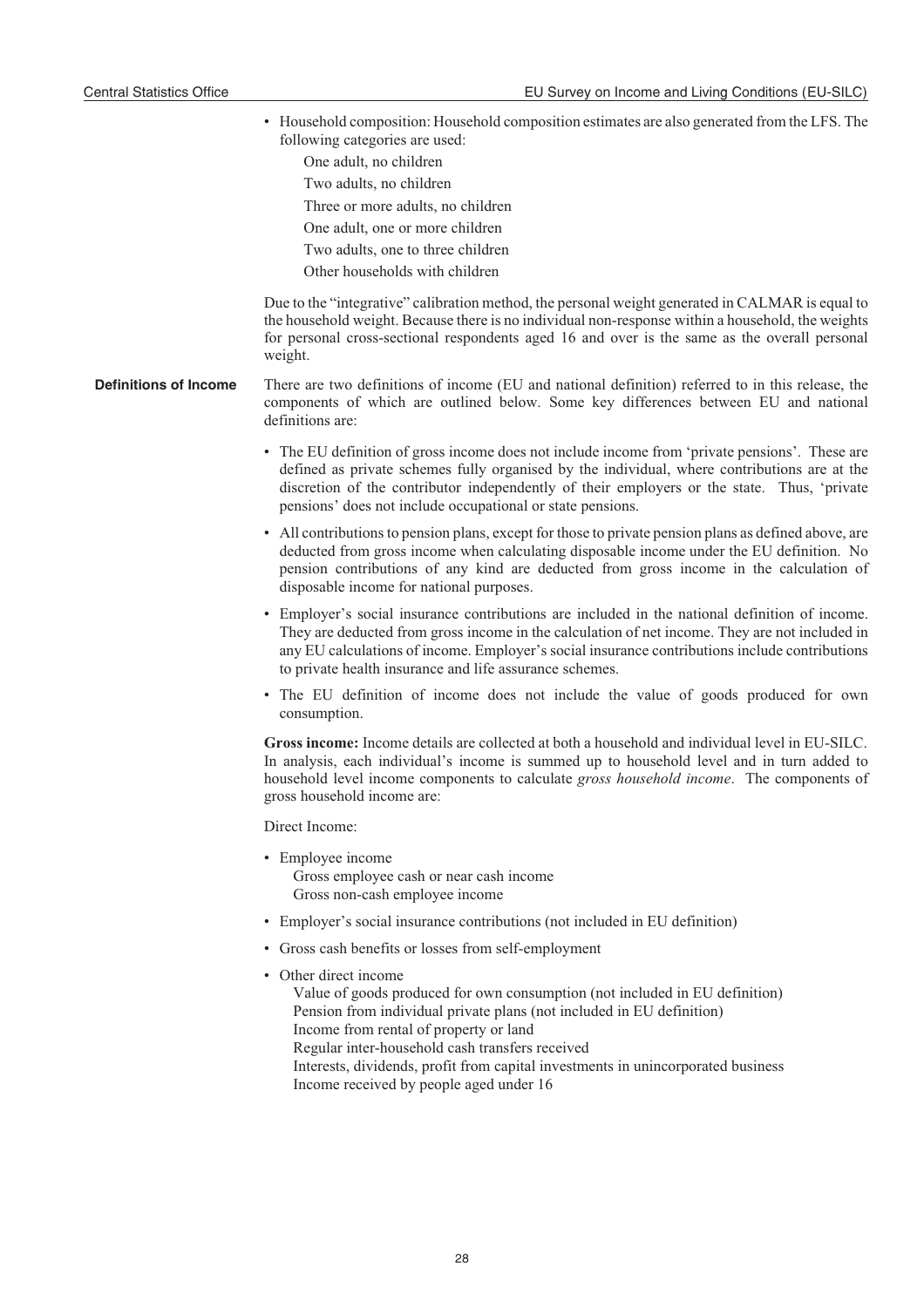- Household composition: Household composition estimates are also generated from the LFS. The following categories are used:
	- One adult, no children Two adults, no children Three or more adults, no children One adult, one or more children Two adults, one to three children
	- Other households with children

Due to the "integrative" calibration method, the personal weight generated in CALMAR is equal to the household weight. Because there is no individual non-response within a household, the weights for personal cross-sectional respondents aged 16 and over is the same as the overall personal weight.

- **Definitions of Income** There are two definitions of income (EU and national definition) referred to in this release, the components of which are outlined below. Some key differences between EU and national definitions are:
	- The EU definition of gross income does not include income from 'private pensions'. These are defined as private schemes fully organised by the individual, where contributions are at the discretion of the contributor independently of their employers or the state. Thus, 'private pensions' does not include occupational or state pensions.
	- All contributions to pension plans, except for those to private pension plans as defined above, are deducted from gross income when calculating disposable income under the EU definition. No pension contributions of any kind are deducted from gross income in the calculation of disposable income for national purposes.
	- Employer's social insurance contributions are included in the national definition of income. They are deducted from gross income in the calculation of net income. They are not included in any EU calculations of income. Employer's social insurance contributions include contributions to private health insurance and life assurance schemes.
	- The EU definition of income does not include the value of goods produced for own consumption.

**Gross income:** Income details are collected at both a household and individual level in EU-SILC. In analysis, each individual's income is summed up to household level and in turn added to household level income components to calculate *gross household income*. The components of gross household income are:

Direct Income:

- Employee income Gross employee cash or near cash income Gross non-cash employee income
- Employer's social insurance contributions (not included in EU definition)
- Gross cash benefits or losses from self-employment
- Other direct income
	- Value of goods produced for own consumption (not included in EU definition) Pension from individual private plans (not included in EU definition) Income from rental of property or land Regular inter-household cash transfers received Interests, dividends, profit from capital investments in unincorporated business Income received by people aged under 16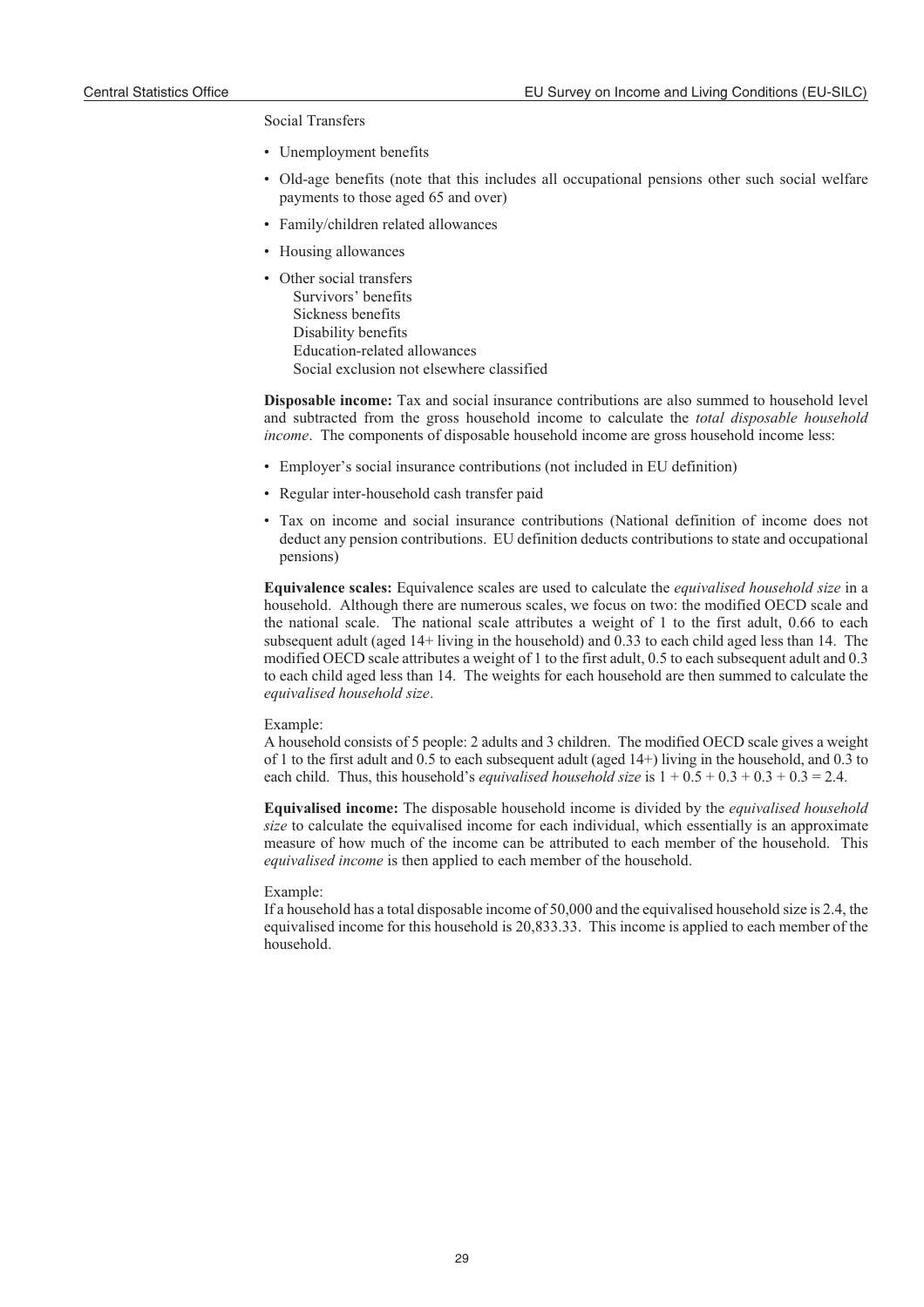#### Social Transfers

- Unemployment benefits
- Old-age benefits (note that this includes all occupational pensions other such social welfare payments to those aged 65 and over)
- Family/children related allowances
- Housing allowances
- Other social transfers Survivors' benefits Sickness benefits Disability benefits Education-related allowances Social exclusion not elsewhere classified

**Disposable income:** Tax and social insurance contributions are also summed to household level and subtracted from the gross household income to calculate the *total disposable household income*. The components of disposable household income are gross household income less:

- Employer's social insurance contributions (not included in EU definition)
- Regular inter-household cash transfer paid
- Tax on income and social insurance contributions (National definition of income does not deduct any pension contributions. EU definition deducts contributions to state and occupational pensions)

**Equivalence scales:** Equivalence scales are used to calculate the *equivalised household size* in a household. Although there are numerous scales, we focus on two: the modified OECD scale and the national scale. The national scale attributes a weight of 1 to the first adult, 0.66 to each subsequent adult (aged 14+ living in the household) and 0.33 to each child aged less than 14. The modified OECD scale attributes a weight of 1 to the first adult, 0.5 to each subsequent adult and 0.3 to each child aged less than 14. The weights for each household are then summed to calculate the *equivalised household size*.

#### Example:

A household consists of 5 people: 2 adults and 3 children. The modified OECD scale gives a weight of 1 to the first adult and 0.5 to each subsequent adult (aged 14+) living in the household, and 0.3 to each child. Thus, this household's *equivalised household size* is  $1 + 0.5 + 0.3 + 0.3 + 0.3 = 2.4$ .

**Equivalised income:** The disposable household income is divided by the *equivalised household size* to calculate the equivalised income for each individual, which essentially is an approximate measure of how much of the income can be attributed to each member of the household. This *equivalised income* is then applied to each member of the household.

#### Example:

If a household has a total disposable income of 50,000 and the equivalised household size is 2.4, the equivalised income for this household is 20,833.33. This income is applied to each member of the household.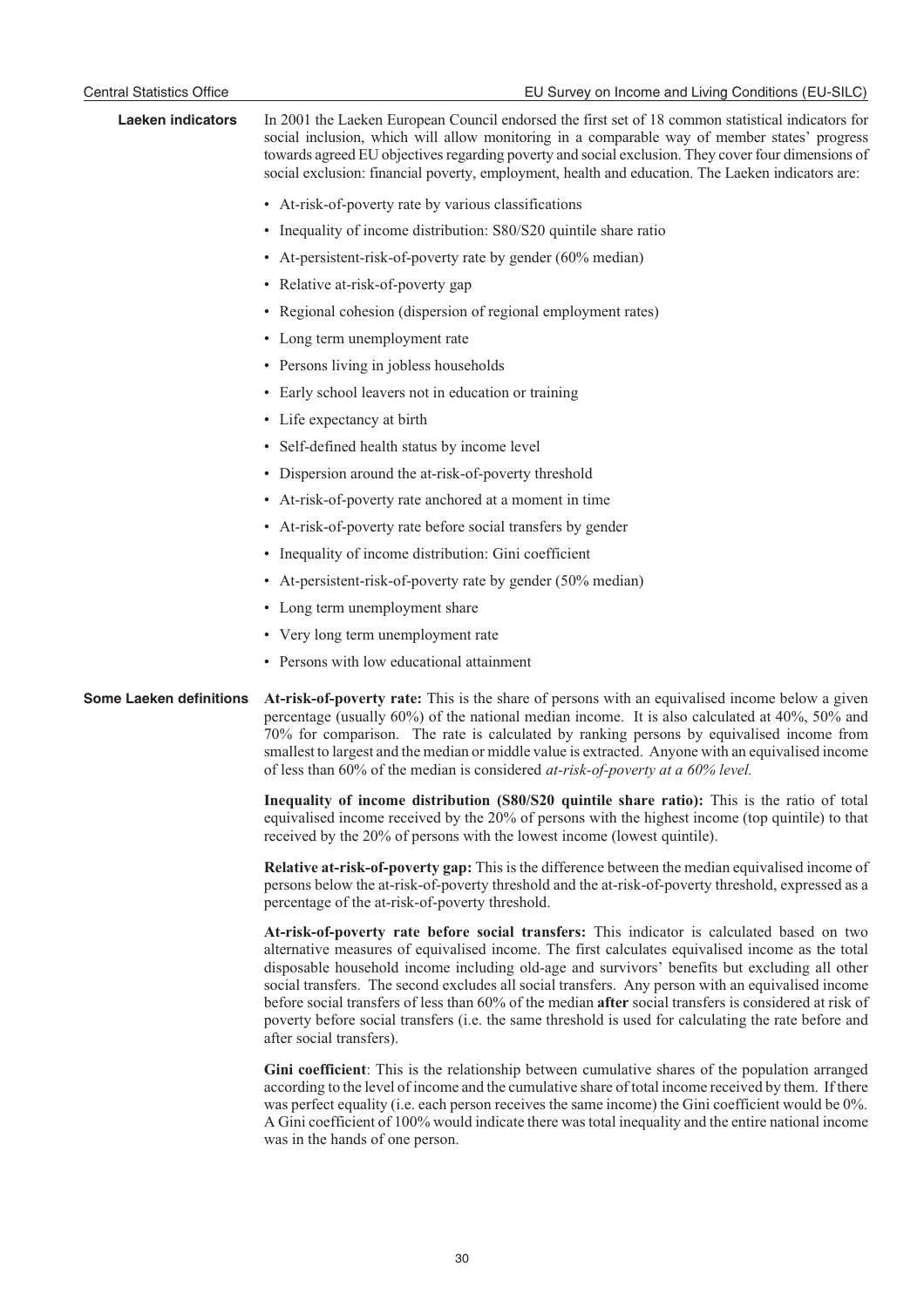| <b>Laeken indicators</b>       | In 2001 the Laeken European Council endorsed the first set of 18 common statistical indicators for<br>social inclusion, which will allow monitoring in a comparable way of member states' progress<br>towards agreed EU objectives regarding poverty and social exclusion. They cover four dimensions of<br>social exclusion: financial poverty, employment, health and education. The Laeken indicators are:                                                                                                                                                                                                                                             |
|--------------------------------|-----------------------------------------------------------------------------------------------------------------------------------------------------------------------------------------------------------------------------------------------------------------------------------------------------------------------------------------------------------------------------------------------------------------------------------------------------------------------------------------------------------------------------------------------------------------------------------------------------------------------------------------------------------|
|                                | • At-risk-of-poverty rate by various classifications                                                                                                                                                                                                                                                                                                                                                                                                                                                                                                                                                                                                      |
|                                | • Inequality of income distribution: S80/S20 quintile share ratio                                                                                                                                                                                                                                                                                                                                                                                                                                                                                                                                                                                         |
|                                | • At-persistent-risk-of-poverty rate by gender (60% median)                                                                                                                                                                                                                                                                                                                                                                                                                                                                                                                                                                                               |
|                                | • Relative at-risk-of-poverty gap                                                                                                                                                                                                                                                                                                                                                                                                                                                                                                                                                                                                                         |
|                                | • Regional cohesion (dispersion of regional employment rates)                                                                                                                                                                                                                                                                                                                                                                                                                                                                                                                                                                                             |
|                                | • Long term unemployment rate                                                                                                                                                                                                                                                                                                                                                                                                                                                                                                                                                                                                                             |
|                                | • Persons living in jobless households                                                                                                                                                                                                                                                                                                                                                                                                                                                                                                                                                                                                                    |
|                                | • Early school leavers not in education or training                                                                                                                                                                                                                                                                                                                                                                                                                                                                                                                                                                                                       |
|                                | • Life expectancy at birth                                                                                                                                                                                                                                                                                                                                                                                                                                                                                                                                                                                                                                |
|                                | • Self-defined health status by income level                                                                                                                                                                                                                                                                                                                                                                                                                                                                                                                                                                                                              |
|                                | • Dispersion around the at-risk-of-poverty threshold                                                                                                                                                                                                                                                                                                                                                                                                                                                                                                                                                                                                      |
|                                | • At-risk-of-poverty rate anchored at a moment in time                                                                                                                                                                                                                                                                                                                                                                                                                                                                                                                                                                                                    |
|                                | • At-risk-of-poverty rate before social transfers by gender                                                                                                                                                                                                                                                                                                                                                                                                                                                                                                                                                                                               |
|                                | • Inequality of income distribution: Gini coefficient                                                                                                                                                                                                                                                                                                                                                                                                                                                                                                                                                                                                     |
|                                | • At-persistent-risk-of-poverty rate by gender (50% median)                                                                                                                                                                                                                                                                                                                                                                                                                                                                                                                                                                                               |
|                                | • Long term unemployment share                                                                                                                                                                                                                                                                                                                                                                                                                                                                                                                                                                                                                            |
|                                | • Very long term unemployment rate                                                                                                                                                                                                                                                                                                                                                                                                                                                                                                                                                                                                                        |
|                                | • Persons with low educational attainment                                                                                                                                                                                                                                                                                                                                                                                                                                                                                                                                                                                                                 |
| <b>Some Laeken definitions</b> | At-risk-of-poverty rate: This is the share of persons with an equivalised income below a given<br>percentage (usually 60%) of the national median income. It is also calculated at 40%, 50% and<br>70% for comparison. The rate is calculated by ranking persons by equivalised income from<br>smallest to largest and the median or middle value is extracted. Anyone with an equivalised income<br>of less than 60% of the median is considered at-risk-of-poverty at a 60% level.                                                                                                                                                                      |
|                                | Inequality of income distribution (S80/S20 quintile share ratio): This is the ratio of total<br>equivalised income received by the 20% of persons with the highest income (top quintile) to that<br>received by the 20% of persons with the lowest income (lowest quintile).                                                                                                                                                                                                                                                                                                                                                                              |
|                                | Relative at-risk-of-poverty gap: This is the difference between the median equivalised income of<br>persons below the at-risk-of-poverty threshold and the at-risk-of-poverty threshold, expressed as a<br>percentage of the at-risk-of-poverty threshold.                                                                                                                                                                                                                                                                                                                                                                                                |
|                                | At-risk-of-poverty rate before social transfers: This indicator is calculated based on two<br>alternative measures of equivalised income. The first calculates equivalised income as the total<br>disposable household income including old-age and survivors' benefits but excluding all other<br>social transfers. The second excludes all social transfers. Any person with an equivalised income<br>before social transfers of less than 60% of the median <b>after</b> social transfers is considered at risk of<br>poverty before social transfers (i.e. the same threshold is used for calculating the rate before and<br>after social transfers). |
|                                | Gini coefficient: This is the relationship between cumulative shares of the population arranged<br>according to the level of income and the cumulative share of total income received by them. If there<br>was perfect equality (i.e. each person receives the same income) the Gini coefficient would be $0\%$ .                                                                                                                                                                                                                                                                                                                                         |

was perfect equality (i.e. each person receives the same income) the Gini coefficient would be 0%. A Gini coefficient of 100% would indicate there was total inequality and the entire national income was in the hands of one person.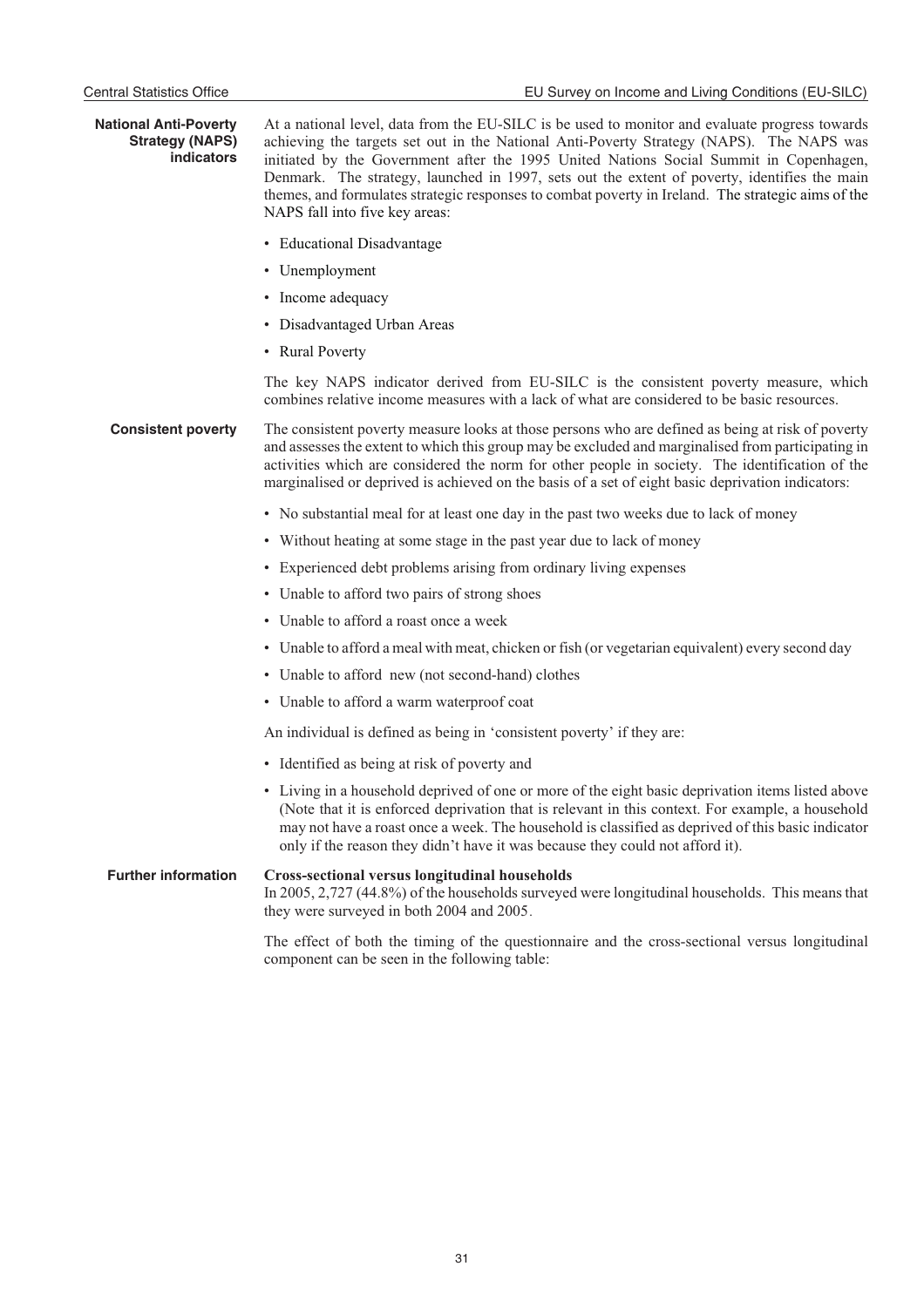| <b>National Anti-Poverty</b><br><b>Strategy (NAPS)</b><br>indicators | At a national level, data from the EU-SILC is be used to monitor and evaluate progress towards<br>achieving the targets set out in the National Anti-Poverty Strategy (NAPS). The NAPS was<br>initiated by the Government after the 1995 United Nations Social Summit in Copenhagen,<br>Denmark. The strategy, launched in 1997, sets out the extent of poverty, identifies the main<br>themes, and formulates strategic responses to combat poverty in Ireland. The strategic aims of the<br>NAPS fall into five key areas: |
|----------------------------------------------------------------------|------------------------------------------------------------------------------------------------------------------------------------------------------------------------------------------------------------------------------------------------------------------------------------------------------------------------------------------------------------------------------------------------------------------------------------------------------------------------------------------------------------------------------|
|                                                                      | • Educational Disadvantage                                                                                                                                                                                                                                                                                                                                                                                                                                                                                                   |
|                                                                      | • Unemployment                                                                                                                                                                                                                                                                                                                                                                                                                                                                                                               |
|                                                                      | • Income adequacy                                                                                                                                                                                                                                                                                                                                                                                                                                                                                                            |
|                                                                      | • Disadvantaged Urban Areas                                                                                                                                                                                                                                                                                                                                                                                                                                                                                                  |
|                                                                      | • Rural Poverty                                                                                                                                                                                                                                                                                                                                                                                                                                                                                                              |
|                                                                      | The key NAPS indicator derived from EU-SILC is the consistent poverty measure, which<br>combines relative income measures with a lack of what are considered to be basic resources.                                                                                                                                                                                                                                                                                                                                          |
| <b>Consistent poverty</b>                                            | The consistent poverty measure looks at those persons who are defined as being at risk of poverty<br>and assesses the extent to which this group may be excluded and marginalised from participating in<br>activities which are considered the norm for other people in society. The identification of the<br>marginalised or deprived is achieved on the basis of a set of eight basic deprivation indicators:                                                                                                              |
|                                                                      | • No substantial meal for at least one day in the past two weeks due to lack of money                                                                                                                                                                                                                                                                                                                                                                                                                                        |
|                                                                      | • Without heating at some stage in the past year due to lack of money                                                                                                                                                                                                                                                                                                                                                                                                                                                        |
|                                                                      | • Experienced debt problems arising from ordinary living expenses                                                                                                                                                                                                                                                                                                                                                                                                                                                            |
|                                                                      | • Unable to afford two pairs of strong shoes                                                                                                                                                                                                                                                                                                                                                                                                                                                                                 |
|                                                                      | • Unable to afford a roast once a week                                                                                                                                                                                                                                                                                                                                                                                                                                                                                       |
|                                                                      | • Unable to afford a meal with meat, chicken or fish (or vegetarian equivalent) every second day                                                                                                                                                                                                                                                                                                                                                                                                                             |
|                                                                      | • Unable to afford new (not second-hand) clothes                                                                                                                                                                                                                                                                                                                                                                                                                                                                             |
|                                                                      | • Unable to afford a warm waterproof coat                                                                                                                                                                                                                                                                                                                                                                                                                                                                                    |
|                                                                      | An individual is defined as being in 'consistent poverty' if they are:                                                                                                                                                                                                                                                                                                                                                                                                                                                       |
|                                                                      | • Identified as being at risk of poverty and                                                                                                                                                                                                                                                                                                                                                                                                                                                                                 |
|                                                                      | • Living in a household deprived of one or more of the eight basic deprivation items listed above<br>(Note that it is enforced deprivation that is relevant in this context. For example, a household<br>may not have a roast once a week. The household is classified as deprived of this basic indicator<br>only if the reason they didn't have it was because they could not afford it).                                                                                                                                  |
| <b>Further information</b>                                           | <b>Cross-sectional versus longitudinal households</b><br>In 2005, 2,727 (44.8%) of the households surveyed were longitudinal households. This means that<br>they were surveyed in both 2004 and 2005.                                                                                                                                                                                                                                                                                                                        |

The effect of both the timing of the questionnaire and the cross-sectional versus longitudinal component can be seen in the following table: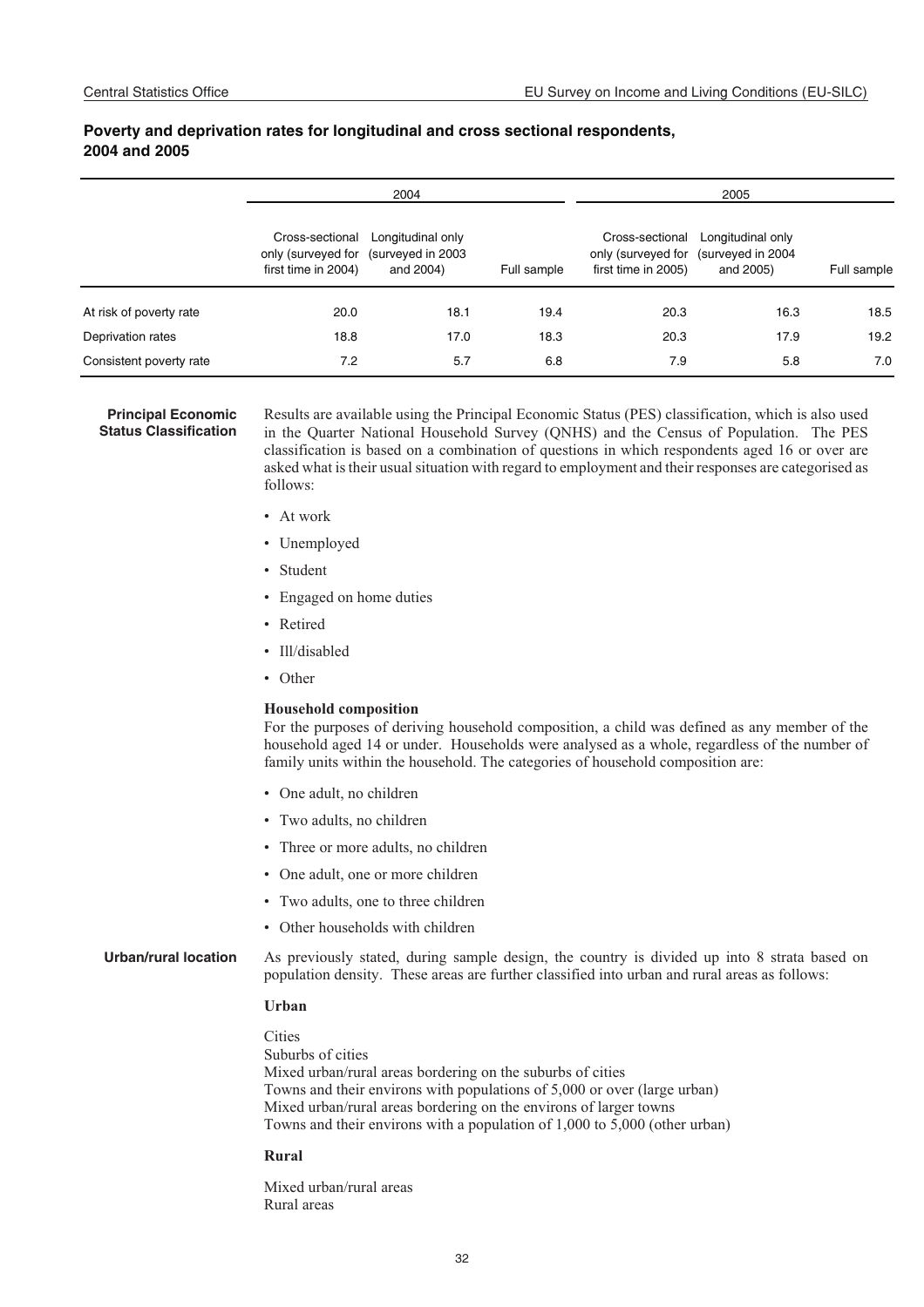#### **Poverty and deprivation rates for longitudinal and cross sectional respondents, 2004 and 2005**

|                         | 2004                                   |                                                                         |             | 2005                                                         |                                                     |             |
|-------------------------|----------------------------------------|-------------------------------------------------------------------------|-------------|--------------------------------------------------------------|-----------------------------------------------------|-------------|
|                         | Cross-sectional<br>first time in 2004) | Longitudinal only<br>only (surveyed for (surveyed in 2003)<br>and 2004) | Full sample | Cross-sectional<br>only (surveyed for<br>first time in 2005) | Longitudinal only<br>(surveyed in 2004<br>and 2005) | Full sample |
| At risk of poverty rate | 20.0                                   | 18.1                                                                    | 19.4        | 20.3                                                         | 16.3                                                | 18.5        |
| Deprivation rates       | 18.8                                   | 17.0                                                                    | 18.3        | 20.3                                                         | 17.9                                                | 19.2        |
| Consistent poverty rate | 7.2                                    | 5.7                                                                     | 6.8         | 7.9                                                          | 5.8                                                 | 7.0         |

#### **Principal Economic Status Classification**

Results are available using the Principal Economic Status (PES) classification, which is also used in the Quarter National Household Survey (QNHS) and the Census of Population. The PES classification is based on a combination of questions in which respondents aged 16 or over are asked what is their usual situation with regard to employment and their responses are categorised as follows:

- At work
- Unemployed
- Student
- Engaged on home duties
- Retired
- Ill/disabled
- Other

#### **Household composition**

For the purposes of deriving household composition, a child was defined as any member of the household aged 14 or under. Households were analysed as a whole, regardless of the number of family units within the household. The categories of household composition are:

- One adult, no children
- Two adults, no children
- Three or more adults, no children
- One adult, one or more children
- Two adults, one to three children
- Other households with children

**Urban/rural location** As previously stated, during sample design, the country is divided up into 8 strata based on population density. These areas are further classified into urban and rural areas as follows:

#### **Urban**

**Cities** Suburbs of cities Mixed urban/rural areas bordering on the suburbs of cities Towns and their environs with populations of 5,000 or over (large urban) Mixed urban/rural areas bordering on the environs of larger towns Towns and their environs with a population of 1,000 to 5,000 (other urban)

#### **Rural**

Mixed urban/rural areas Rural areas